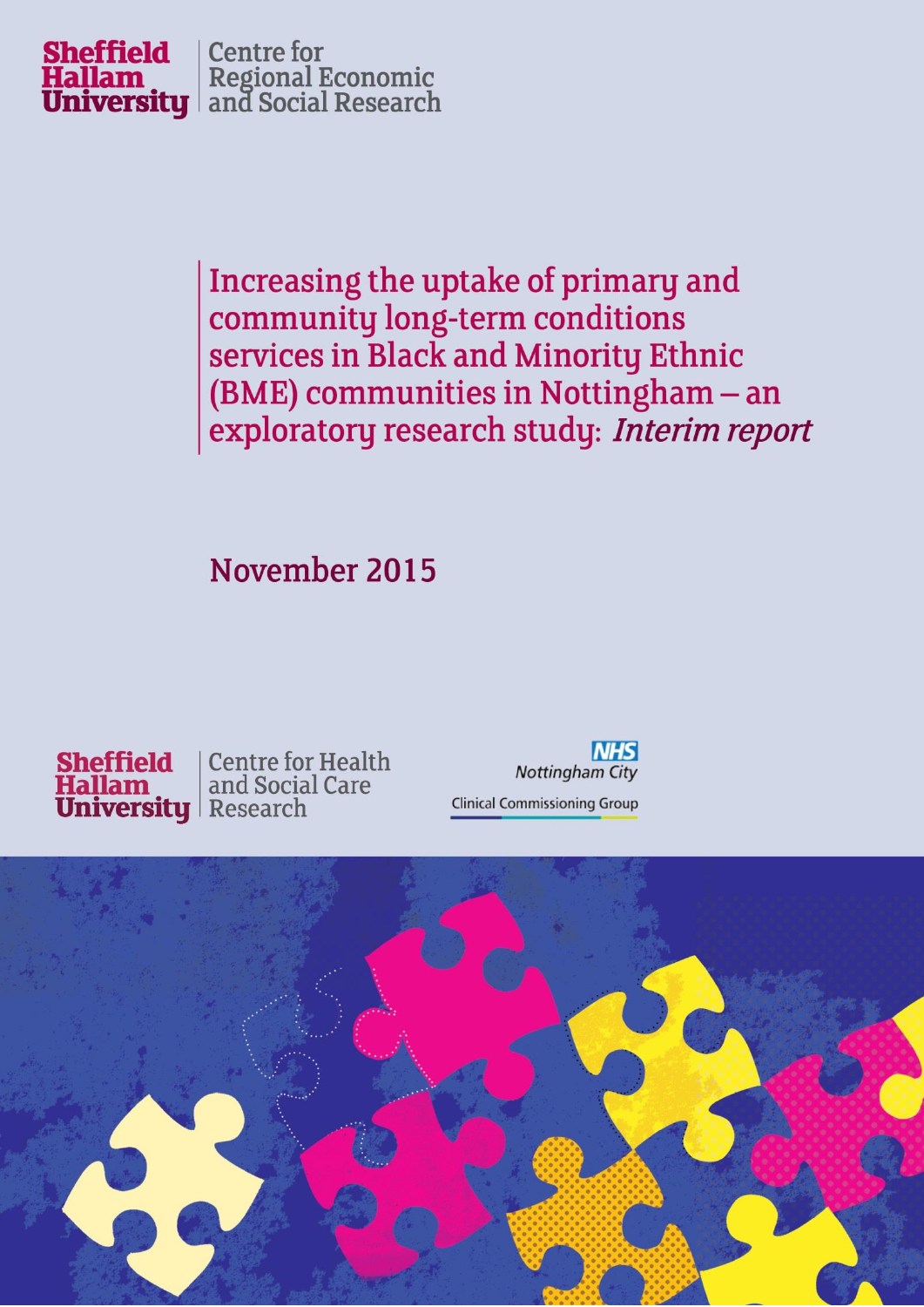

Increasing the uptake of primary and community long-term conditions services in Black and Minority Ethnic (BME) communities in Nottingham - an exploratory research study: Interim report

November 2015



**NHS Nottingham City Clinical Commissioning Group** 

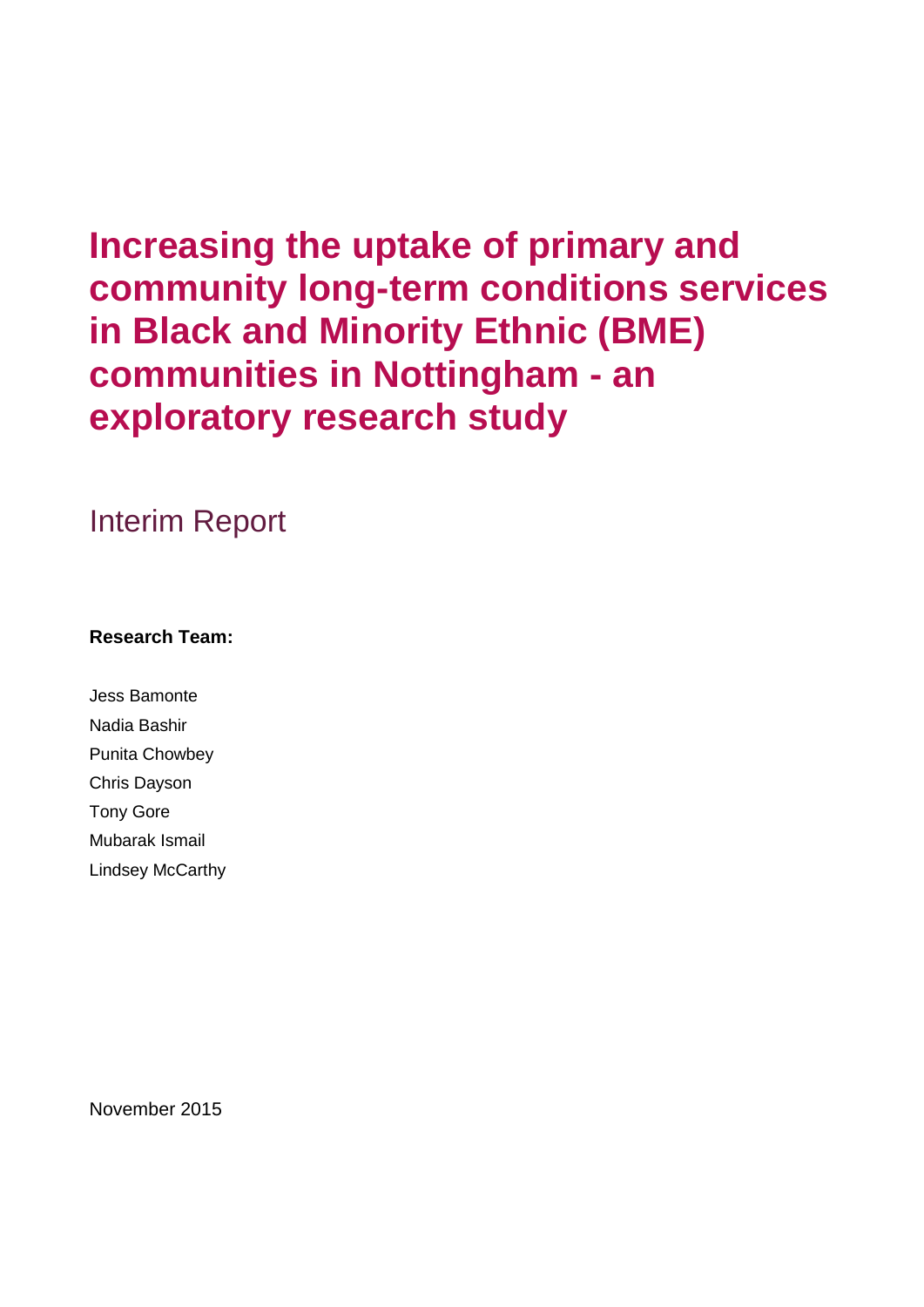## **Increasing the uptake of primary and community long-term conditions services in Black and Minority Ethnic (BME) communities in Nottingham - an exploratory research study**

Interim Report

### **Research Team:**

Jess Bamonte Nadia Bashir Punita Chowbey Chris Dayson Tony Gore Mubarak Ismail Lindsey McCarthy

November 2015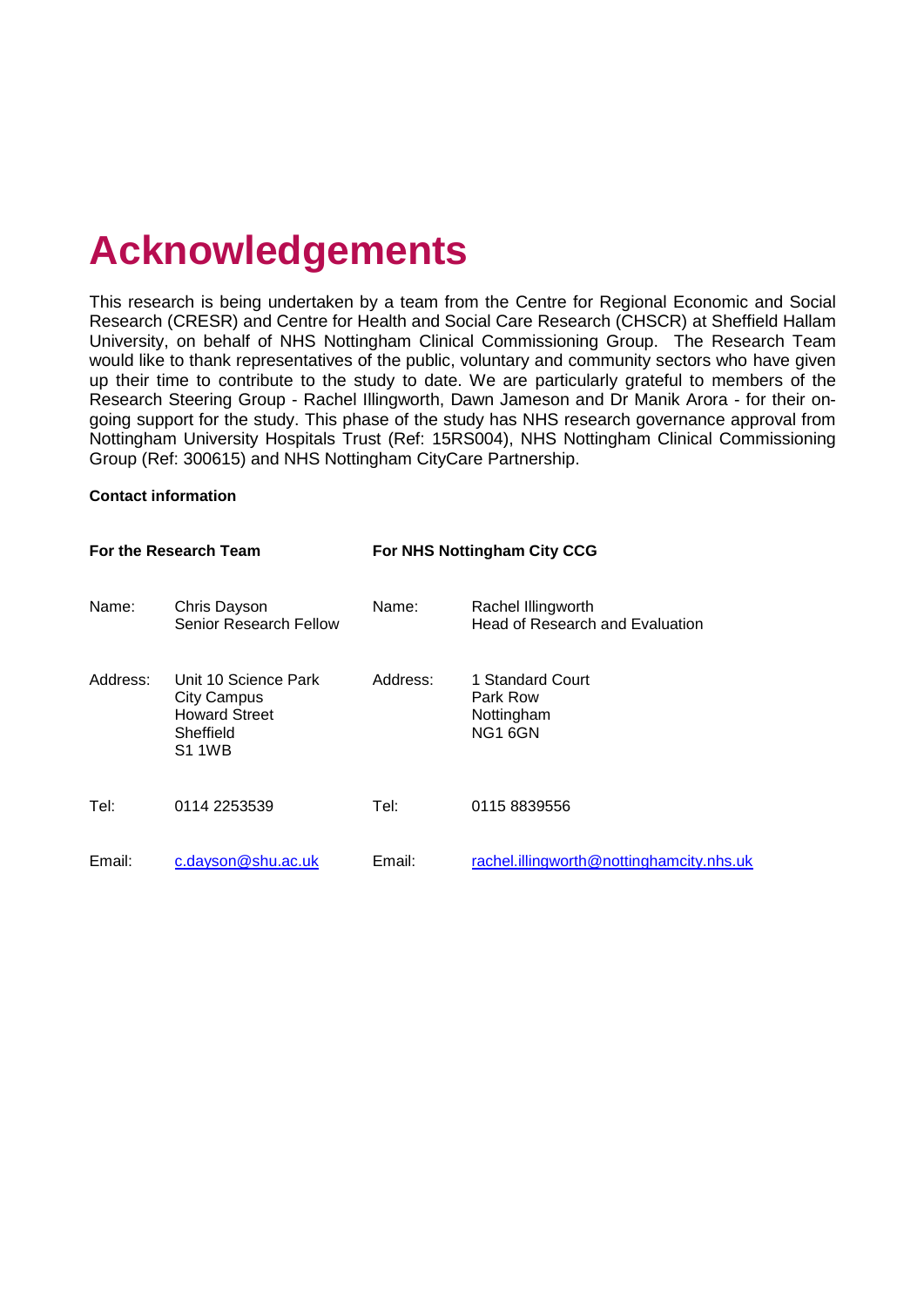# **Acknowledgements**

This research is being undertaken by a team from the Centre for Regional Economic and Social Research (CRESR) and Centre for Health and Social Care Research (CHSCR) at Sheffield Hallam University, on behalf of NHS Nottingham Clinical Commissioning Group. The Research Team would like to thank representatives of the public, voluntary and community sectors who have given up their time to contribute to the study to date. We are particularly grateful to members of the Research Steering Group - Rachel Illingworth, Dawn Jameson and Dr Manik Arora - for their ongoing support for the study. This phase of the study has NHS research governance approval from Nottingham University Hospitals Trust (Ref: 15RS004), NHS Nottingham Clinical Commissioning Group (Ref: 300615) and NHS Nottingham CityCare Partnership.

#### **Contact information**

|          | For the Research Team                                                                            |          | For NHS Nottingham City CCG                           |
|----------|--------------------------------------------------------------------------------------------------|----------|-------------------------------------------------------|
| Name:    | Chris Dayson<br>Senior Research Fellow                                                           | Name:    | Rachel Illingworth<br>Head of Research and Evaluation |
| Address: | Unit 10 Science Park<br><b>City Campus</b><br><b>Howard Street</b><br>Sheffield<br><b>S1 1WB</b> | Address: | 1 Standard Court<br>Park Row<br>Nottingham<br>NG1 6GN |
| Tel:     | 0114 2253539                                                                                     | Tel:     | 0115 8839556                                          |
| Email:   | c.dayson@shu.ac.uk                                                                               | Email:   | rachel.illingworth@nottinghamcity.nhs.uk              |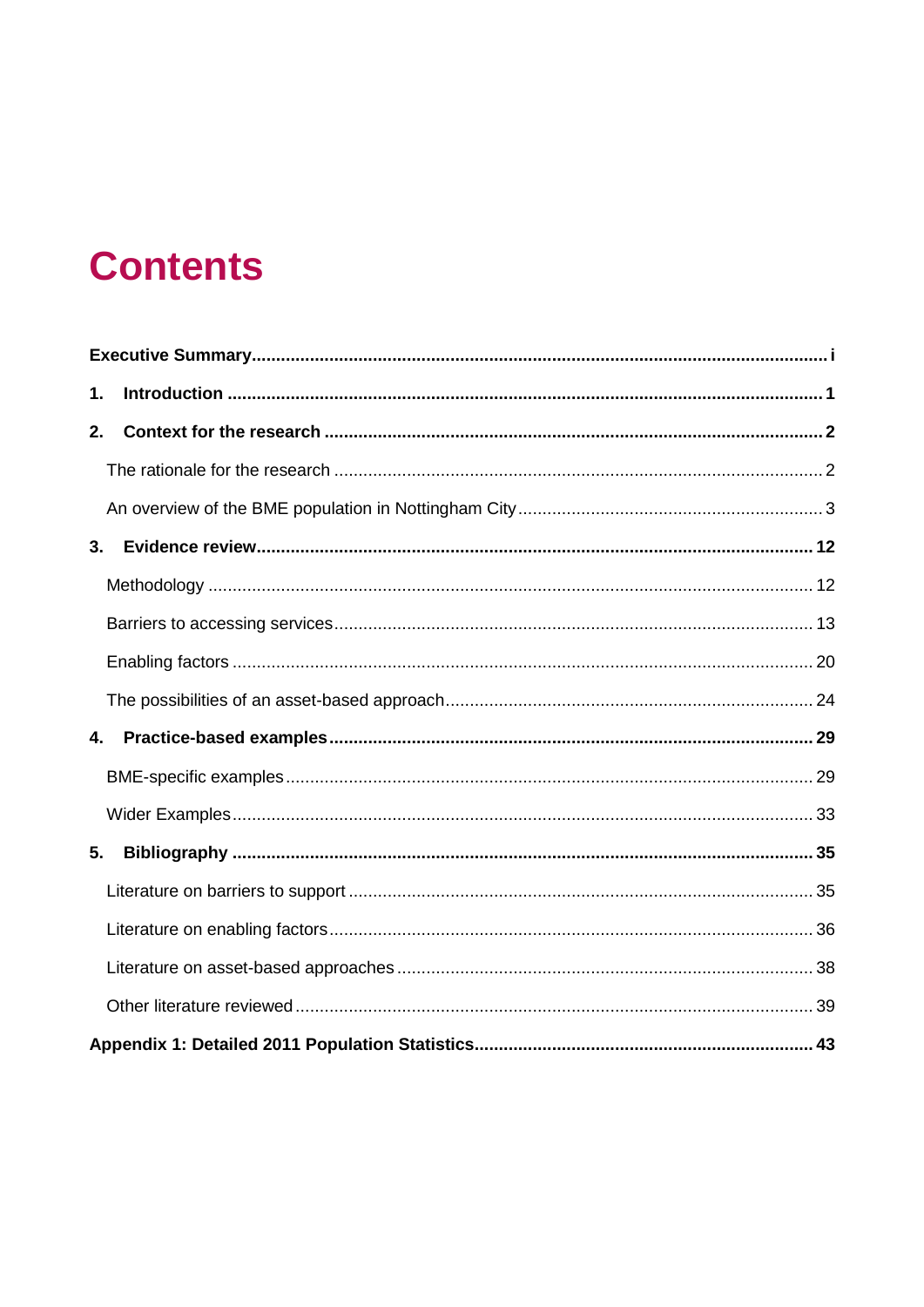## **Contents**

| 1. |  |
|----|--|
| 2. |  |
|    |  |
|    |  |
| 3. |  |
|    |  |
|    |  |
|    |  |
|    |  |
| 4. |  |
|    |  |
|    |  |
| 5. |  |
|    |  |
|    |  |
|    |  |
|    |  |
|    |  |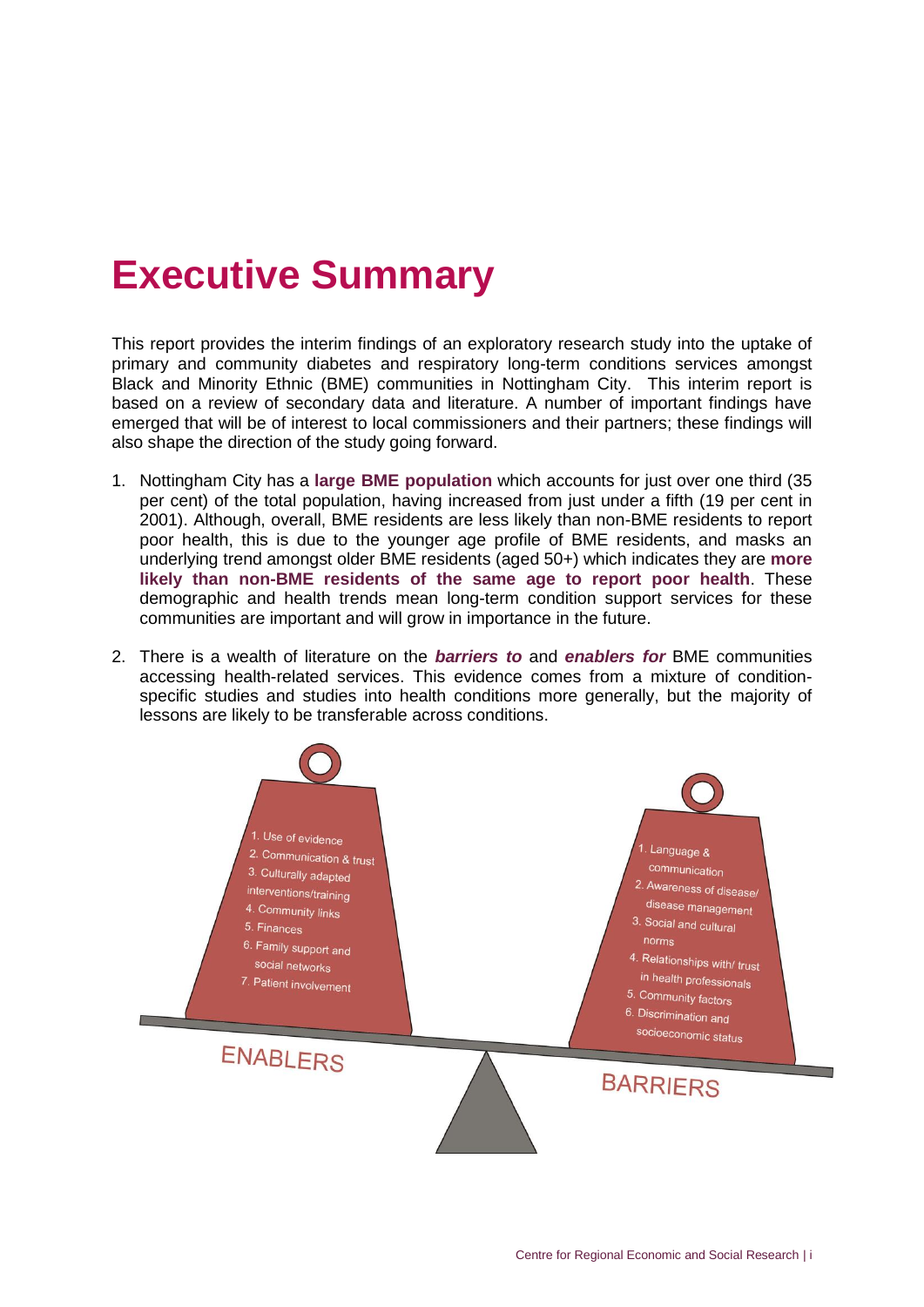## <span id="page-5-0"></span>**Executive Summary**

This report provides the interim findings of an exploratory research study into the uptake of primary and community diabetes and respiratory long-term conditions services amongst Black and Minority Ethnic (BME) communities in Nottingham City. This interim report is based on a review of secondary data and literature. A number of important findings have emerged that will be of interest to local commissioners and their partners; these findings will also shape the direction of the study going forward.

- 1. Nottingham City has a **large BME population** which accounts for just over one third (35 per cent) of the total population, having increased from just under a fifth (19 per cent in 2001). Although, overall, BME residents are less likely than non-BME residents to report poor health, this is due to the younger age profile of BME residents, and masks an underlying trend amongst older BME residents (aged 50+) which indicates they are **more likely than non-BME residents of the same age to report poor health**. These demographic and health trends mean long-term condition support services for these communities are important and will grow in importance in the future.
- 2. There is a wealth of literature on the *barriers to* and *enablers for* BME communities accessing health-related services. This evidence comes from a mixture of conditionspecific studies and studies into health conditions more generally, but the majority of lessons are likely to be transferable across conditions.

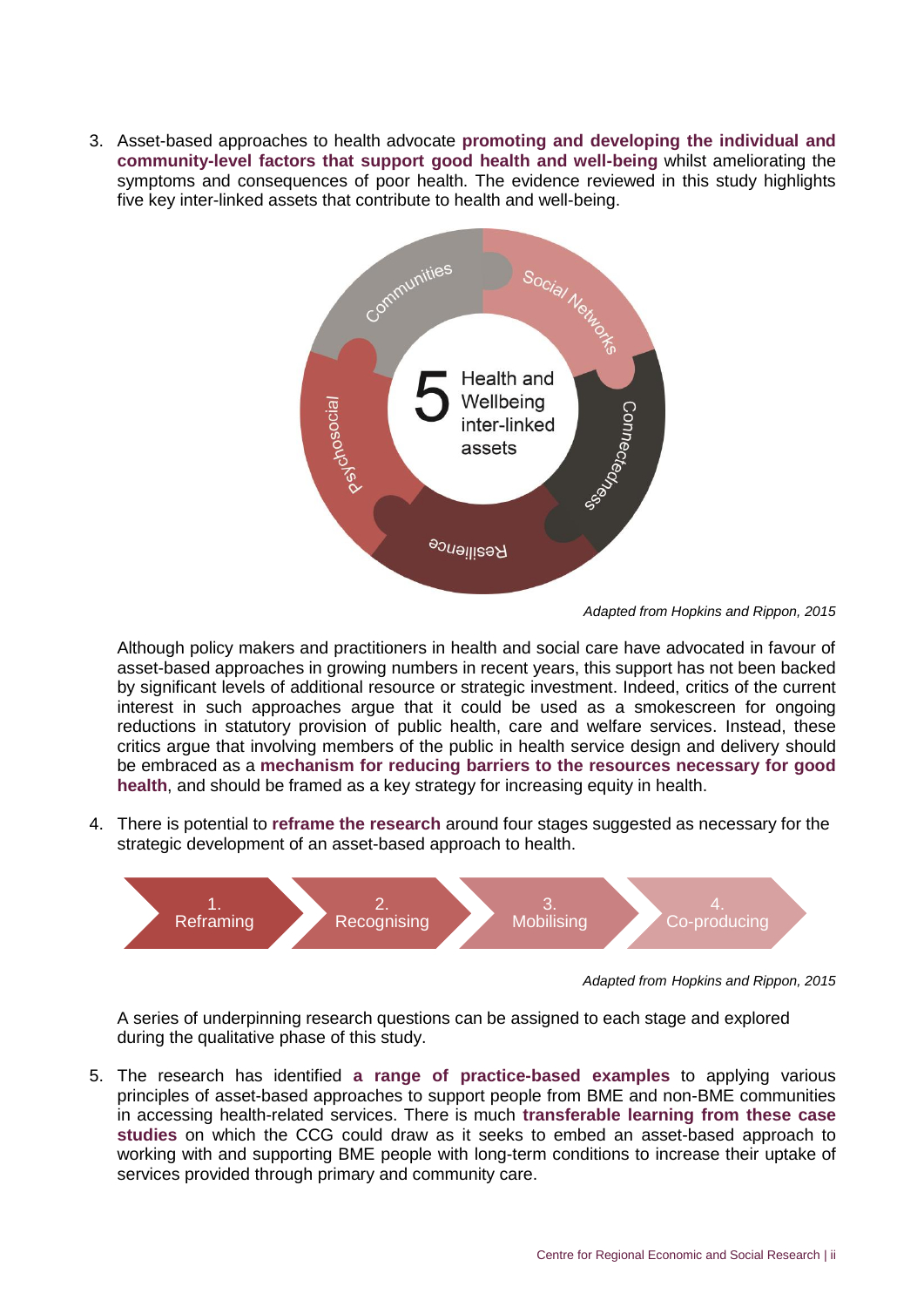3. Asset-based approaches to health advocate **promoting and developing the individual and community-level factors that support good health and well-being** whilst ameliorating the symptoms and consequences of poor health. The evidence reviewed in this study highlights five key inter-linked assets that contribute to health and well-being.



*Adapted from Hopkins and Rippon, 2015*

Although policy makers and practitioners in health and social care have advocated in favour of asset-based approaches in growing numbers in recent years, this support has not been backed by significant levels of additional resource or strategic investment. Indeed, critics of the current interest in such approaches argue that it could be used as a smokescreen for ongoing reductions in statutory provision of public health, care and welfare services. Instead, these critics argue that involving members of the public in health service design and delivery should be embraced as a **mechanism for reducing barriers to the resources necessary for good health**, and should be framed as a key strategy for increasing equity in health.

4. There is potential to **reframe the research** around four stages suggested as necessary for the strategic development of an asset-based approach to health.



*Adapted from Hopkins and Rippon, 2015*

A series of underpinning research questions can be assigned to each stage and explored during the qualitative phase of this study.

5. The research has identified **a range of practice-based examples** to applying various principles of asset-based approaches to support people from BME and non-BME communities in accessing health-related services. There is much **transferable learning from these case studies** on which the CCG could draw as it seeks to embed an asset-based approach to working with and supporting BME people with long-term conditions to increase their uptake of services provided through primary and community care.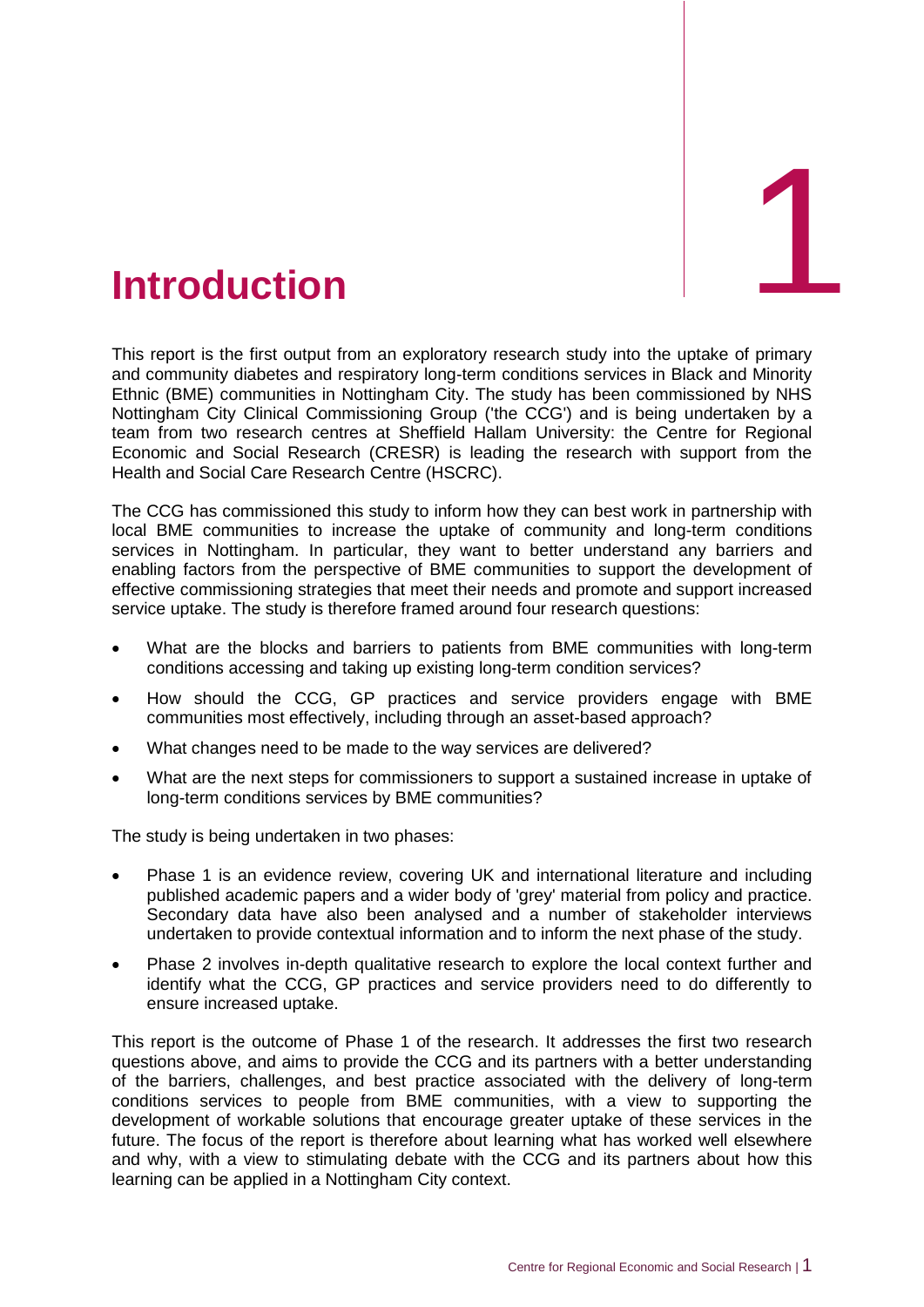<span id="page-7-0"></span>

This report is the first output from an exploratory research study into the uptake of primary and community diabetes and respiratory long-term conditions services in Black and Minority Ethnic (BME) communities in Nottingham City. The study has been commissioned by NHS Nottingham City Clinical Commissioning Group ('the CCG') and is being undertaken by a team from two research centres at Sheffield Hallam University: the Centre for Regional Economic and Social Research (CRESR) is leading the research with support from the Health and Social Care Research Centre (HSCRC).

The CCG has commissioned this study to inform how they can best work in partnership with local BME communities to increase the uptake of community and long-term conditions services in Nottingham. In particular, they want to better understand any barriers and enabling factors from the perspective of BME communities to support the development of effective commissioning strategies that meet their needs and promote and support increased service uptake. The study is therefore framed around four research questions:

- What are the blocks and barriers to patients from BME communities with long-term conditions accessing and taking up existing long-term condition services?
- How should the CCG, GP practices and service providers engage with BME communities most effectively, including through an asset-based approach?
- What changes need to be made to the way services are delivered?
- What are the next steps for commissioners to support a sustained increase in uptake of long-term conditions services by BME communities?

The study is being undertaken in two phases:

- Phase 1 is an evidence review, covering UK and international literature and including published academic papers and a wider body of 'grey' material from policy and practice. Secondary data have also been analysed and a number of stakeholder interviews undertaken to provide contextual information and to inform the next phase of the study.
- Phase 2 involves in-depth qualitative research to explore the local context further and identify what the CCG, GP practices and service providers need to do differently to ensure increased uptake.

This report is the outcome of Phase 1 of the research. It addresses the first two research questions above, and aims to provide the CCG and its partners with a better understanding of the barriers, challenges, and best practice associated with the delivery of long-term conditions services to people from BME communities, with a view to supporting the development of workable solutions that encourage greater uptake of these services in the future. The focus of the report is therefore about learning what has worked well elsewhere and why, with a view to stimulating debate with the CCG and its partners about how this learning can be applied in a Nottingham City context.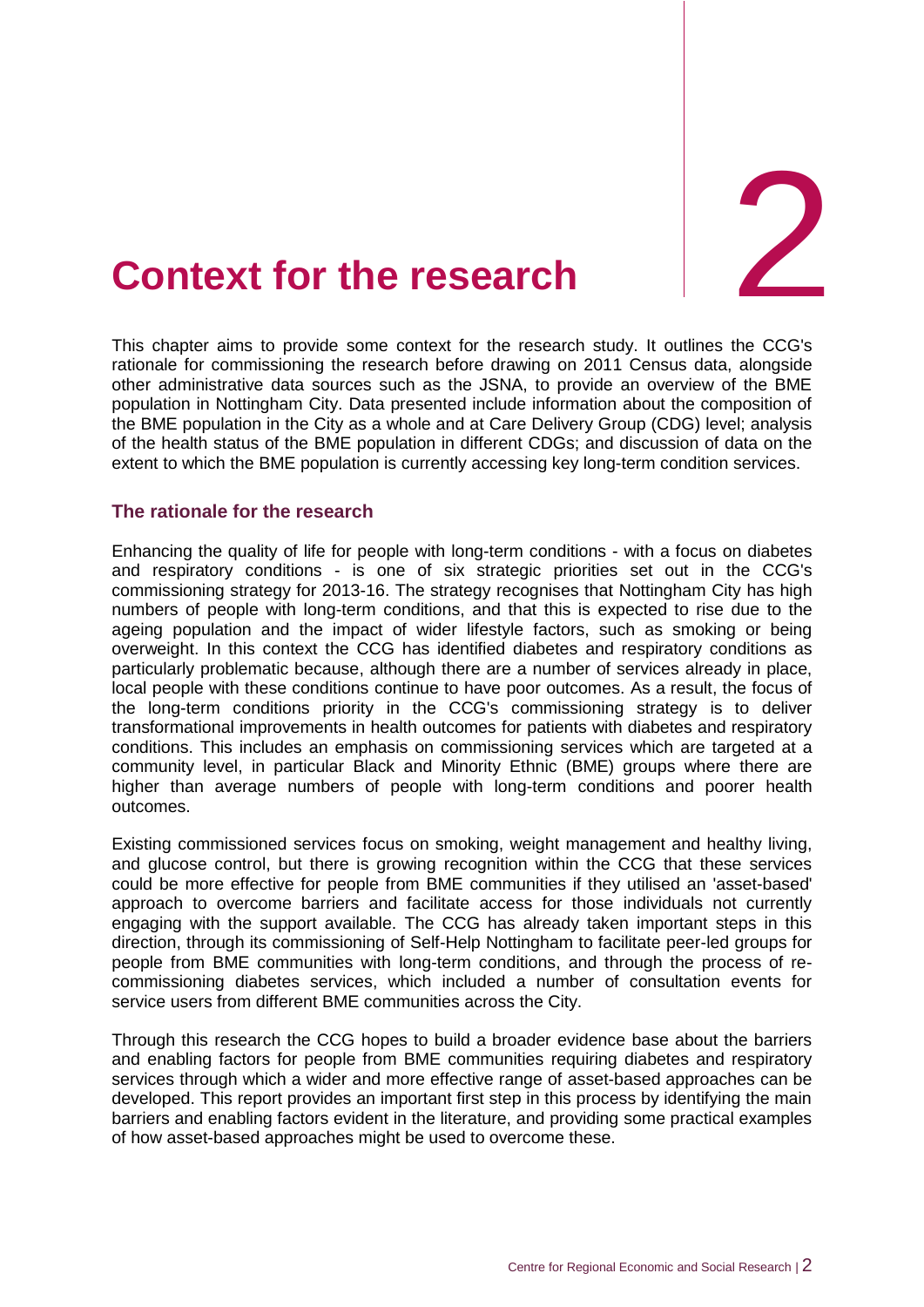

# <span id="page-8-0"></span>**Context for the research**

This chapter aims to provide some context for the research study. It outlines the CCG 's rationale for commissioning the research before drawing on 2011 Census data, alongside other administrative data sources such as the JSNA, to provide an overview of the BME population in Nottingham City. Data presented include information about the composition of the BME population in the City as a whole and at Care Delivery Group (CDG) level; analysis of the health status of the BME population in different CDGs; and discussion of data on the extent to which the BME population is currently accessing key long-term condition services.

#### <span id="page-8-1"></span>**The rationale for the research**

Enhancing the quality of life for people with long-term conditions - with a focus on diabetes and respiratory conditions - is one of six strategic priorities set out in the CCG's commissioning strategy for 2013-16. The strategy recognises that Nottingham City has high numbers of people with long-term conditions, and that this is expected to rise due to the ageing population and the impact of wider lifestyle factors, such as smoking or being overweight. In this context the CCG has identified diabetes and respiratory conditions as particularly problematic because, although there are a number of services already in place, local people with these conditions continue to have poor outcomes. As a result, the focus of the long-term conditions priority in the CCG's commissioning strategy is to deliver transformational improvements in health outcomes for patients with diabetes and respiratory conditions. This includes an emphasis on commissioning services which are targeted at a community level, in particular Black and Minority Ethnic (BME) groups where there are higher than average numbers of people with long-term conditions and poorer health outcomes.

Existing commissioned services focus on smoking, weight management and healthy living, and glucose control, but there is growing recognition within the CCG that these services could be more effective for people from BME communities if they utilised an 'asset-based' approach to overcome barriers and facilitate access for those individuals not currently engaging with the support available. The CCG has already taken important steps in this direction, through its commissioning of Self-Help Nottingham to facilitate peer-led groups for people from BME communities with long-term conditions, and through the process of recommissioning diabetes services, which included a number of consultation events for service users from different BME communities across the City.

Through this research the CCG hopes to build a broader evidence base about the barriers and enabling factors for people from BME communities requiring diabetes and respiratory services through which a wider and more effective range of asset-based approaches can be developed. This report provides an important first step in this process by identifying the main barriers and enabling factors evident in the literature, and providing some practical examples of how asset-based approaches might be used to overcome these.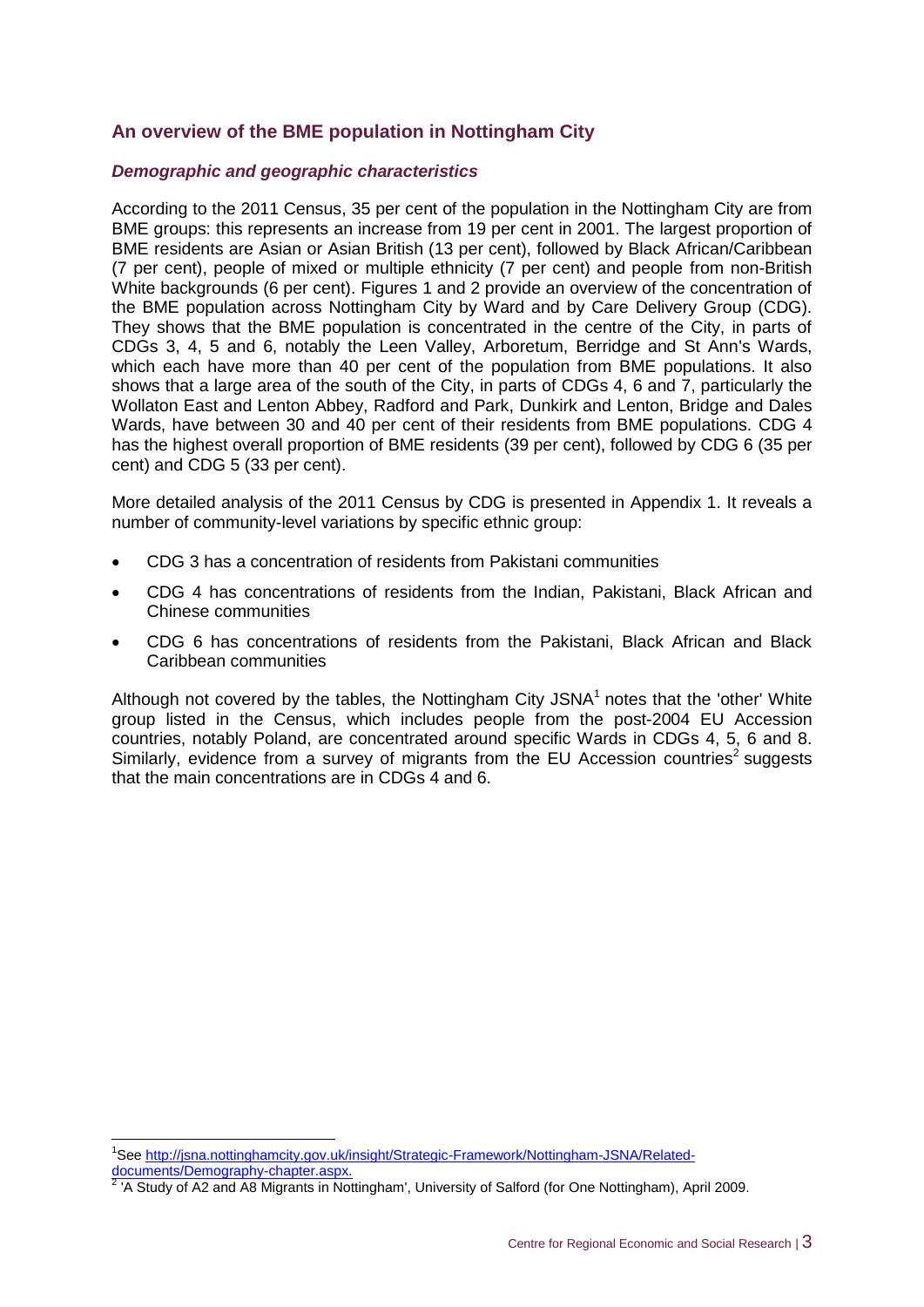#### <span id="page-9-0"></span>**An overview of the BME population in Nottingham City**

#### *Demographic and geographic characteristics*

According to the 2011 Census, 35 per cent of the population in the Nottingham City are from BME groups: this represents an increase from 19 per cent in 2001. The largest proportion of BME residents are Asian or Asian British (13 per cent), followed by Black African/Caribbean (7 per cent), people of mixed or multiple ethnicity (7 per cent) and people from non-British White backgrounds (6 per cent). Figures 1 and 2 provide an overview of the concentration of the BME population across Nottingham City by Ward and by Care Delivery Group (CDG). They shows that the BME population is concentrated in the centre of the City, in parts of CDGs 3, 4, 5 and 6, notably the Leen Valley, Arboretum, Berridge and St Ann's Wards, which each have more than 40 per cent of the population from BME populations. It also shows that a large area of the south of the City, in parts of CDGs 4, 6 and 7, particularly the Wollaton East and Lenton Abbey, Radford and Park, Dunkirk and Lenton, Bridge and Dales Wards, have between 30 and 40 per cent of their residents from BME populations. CDG 4 has the highest overall proportion of BME residents (39 per cent), followed by CDG 6 (35 per cent) and CDG 5 (33 per cent).

More detailed analysis of the 2011 Census by CDG is presented in Appendix 1. It reveals a number of community-level variations by specific ethnic group:

- CDG 3 has a concentration of residents from Pakistani communities
- CDG 4 has concentrations of residents from the Indian, Pakistani, Black African and Chinese communities
- CDG 6 has concentrations of residents from the Pakistani, Black African and Black Caribbean communities

Although not covered by the tables, the Nottingham City JSNA $<sup>1</sup>$  notes that the 'other' White</sup> group listed in the Census, which includes people from the post-2004 EU Accession countries, notably Poland, are concentrated around specific Wards in CDGs 4, 5, 6 and 8. Similarly, evidence from a survey of migrants from the EU Accession countries<sup>2</sup> suggests that the main concentrations are in CDGs 4 and 6.

-

<sup>&</sup>lt;sup>1</sup>See [http://jsna.nottinghamcity.gov.uk/insight/Strategic-Framework/Nottingham-JSNA/Related](http://jsna.nottinghamcity.gov.uk/insight/Strategic-Framework/Nottingham-JSNA/Related-documents/Demography-chapter.aspx)[documents/Demography-chapter.aspx.](http://jsna.nottinghamcity.gov.uk/insight/Strategic-Framework/Nottingham-JSNA/Related-documents/Demography-chapter.aspx)<br><sup>2</sup><sup>1</sup>A Study of A2 and A8 Migraphs in Nat

<sup>&#</sup>x27;A Study of A2 and A8 Migrants in Nottingham', University of Salford (for One Nottingham), April 2009.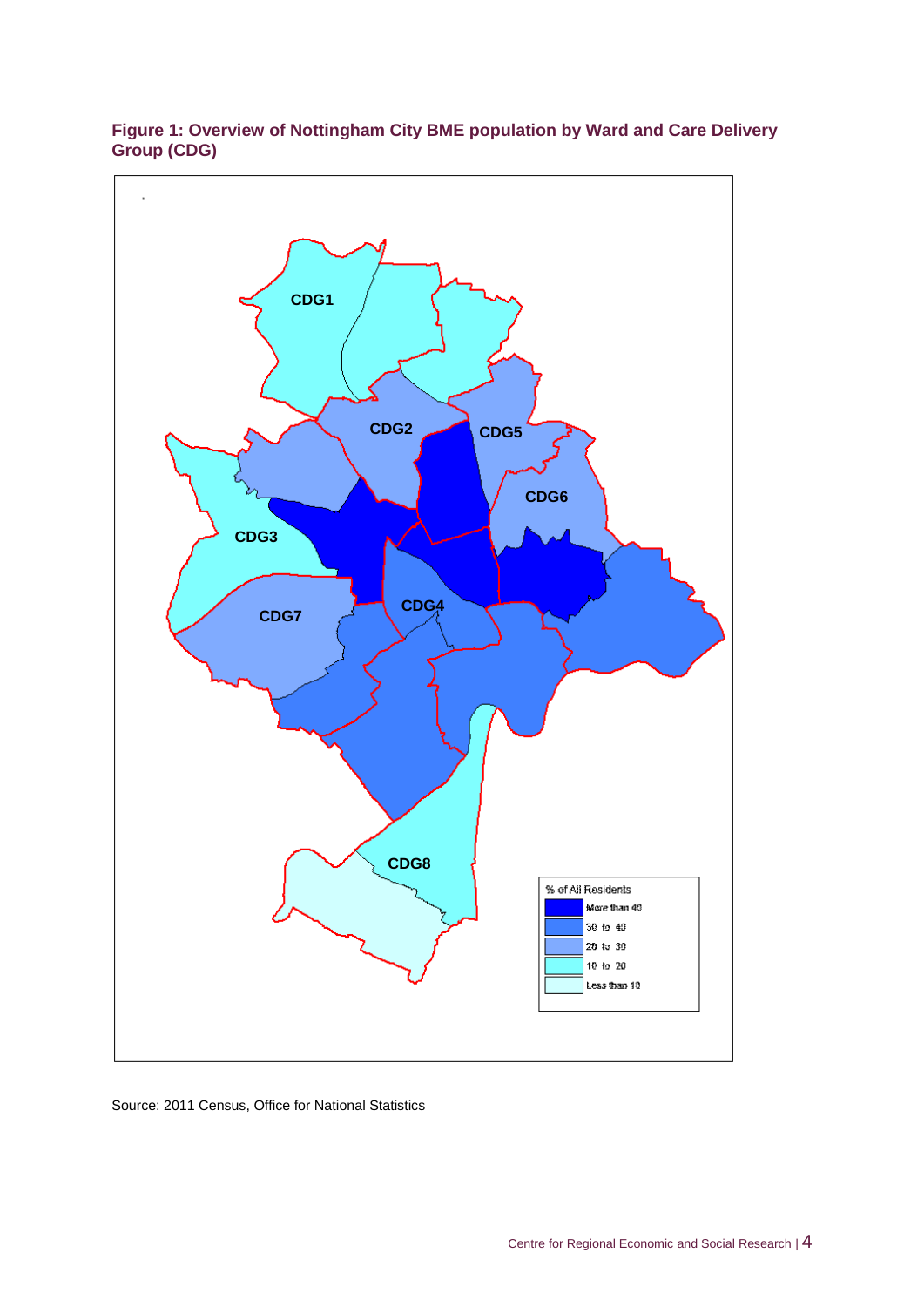

#### **Figure 1: Overview of Nottingham City BME population by Ward and Care Delivery Group (CDG)**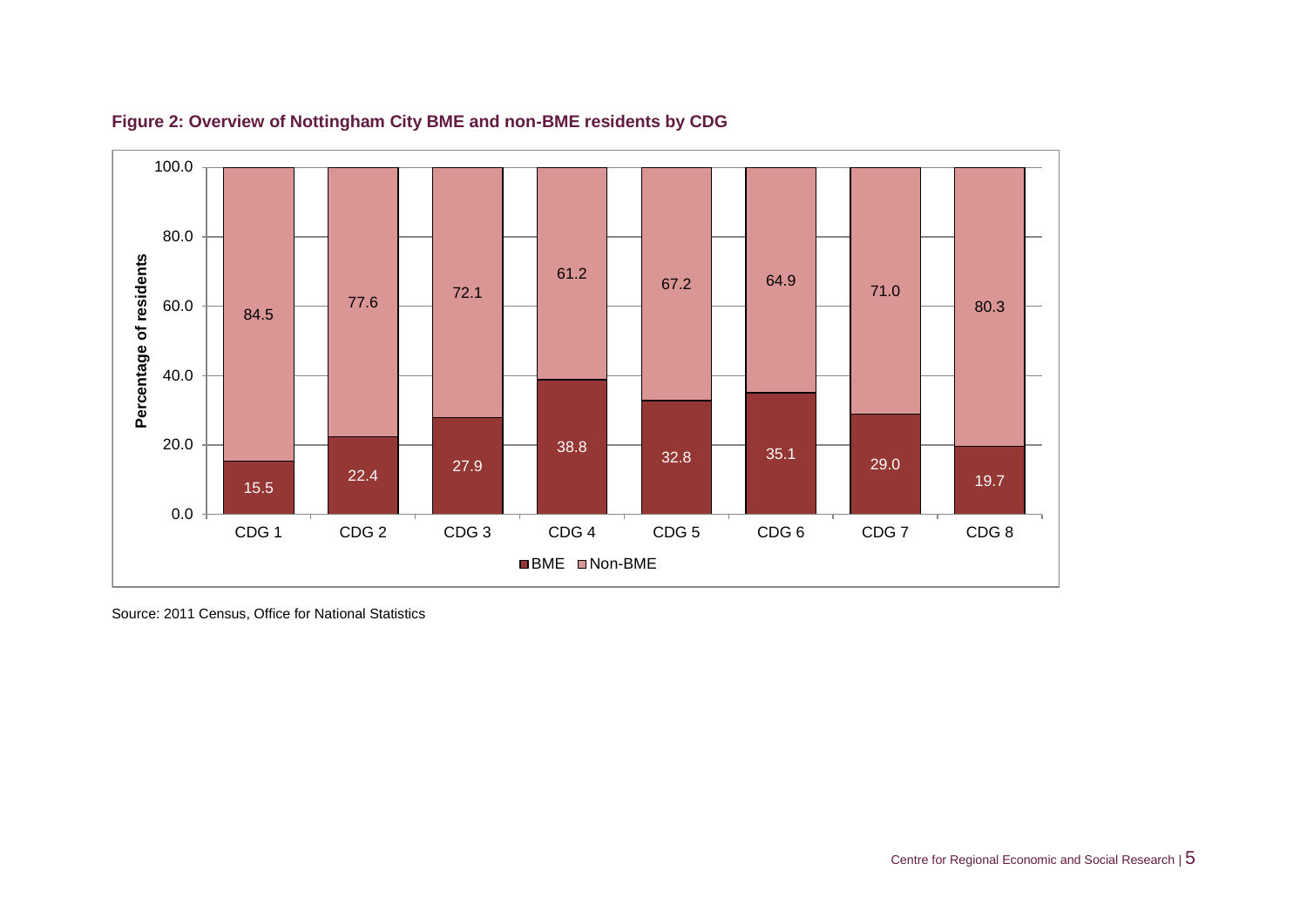

#### **Figure 2: Overview of Nottingham City BME and non-BME residents by CDG**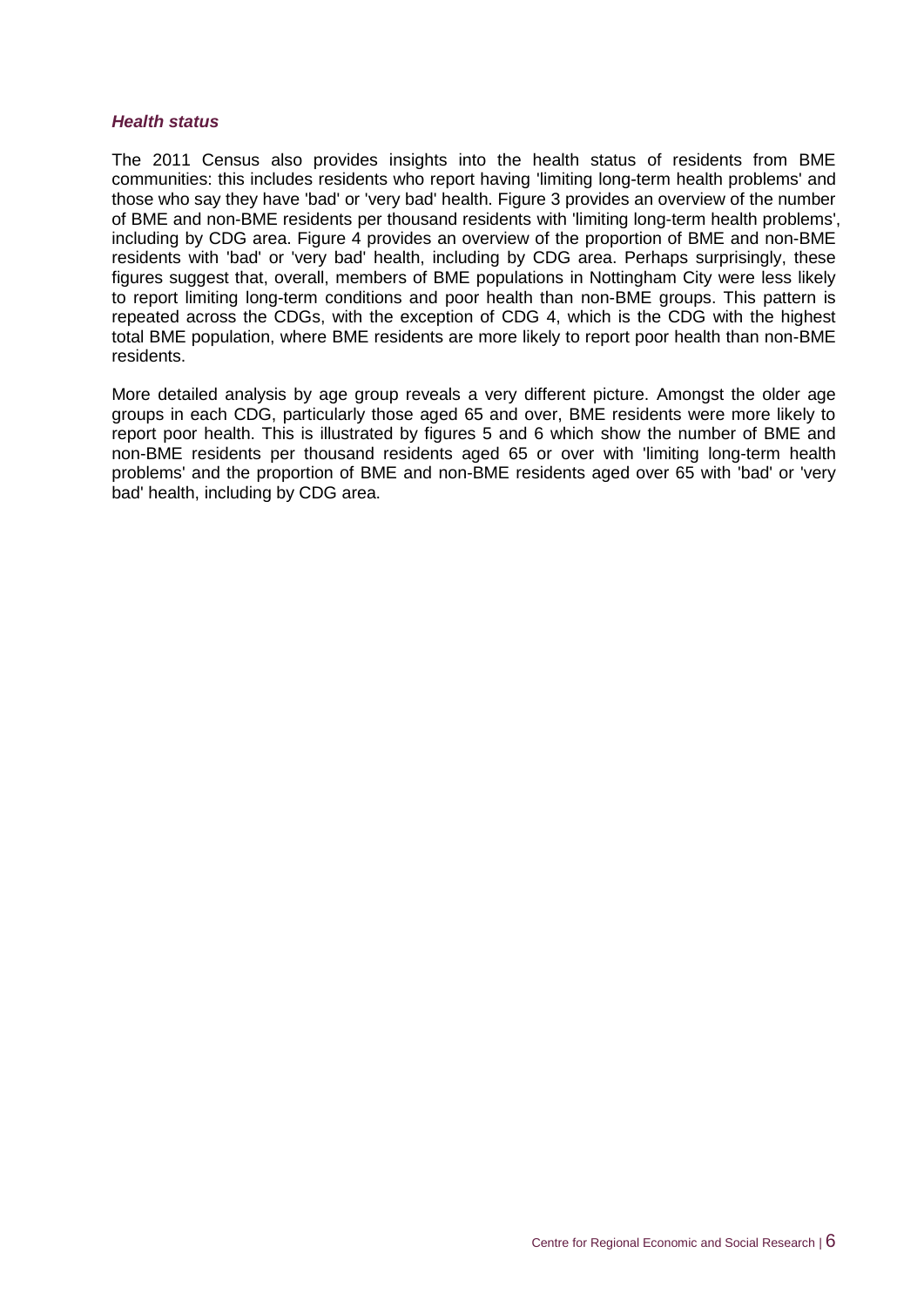#### *Health status*

The 2011 Census also provides insights into the health status of residents from BME communities: this includes residents who report having 'limiting long-term health problems' and those who say they have 'bad' or 'very bad' health. Figure 3 provides an overview of the number of BME and non-BME residents per thousand residents with 'limiting long-term health problems', including by CDG area. Figure 4 provides an overview of the proportion of BME and non-BME residents with 'bad' or 'very bad' health, including by CDG area. Perhaps surprisingly, these figures suggest that, overall, members of BME populations in Nottingham City were less likely to report limiting long-term conditions and poor health than non-BME groups. This pattern is repeated across the CDGs, with the exception of CDG 4, which is the CDG with the highest total BME population, where BME residents are more likely to report poor health than non-BME residents.

More detailed analysis by age group reveals a very different picture. Amongst the older age groups in each CDG, particularly those aged 65 and over, BME residents were more likely to report poor health. This is illustrated by figures 5 and 6 which show the number of BME and non-BME residents per thousand residents aged 65 or over with 'limiting long-term health problems' and the proportion of BME and non-BME residents aged over 65 with 'bad' or 'very bad' health, including by CDG area.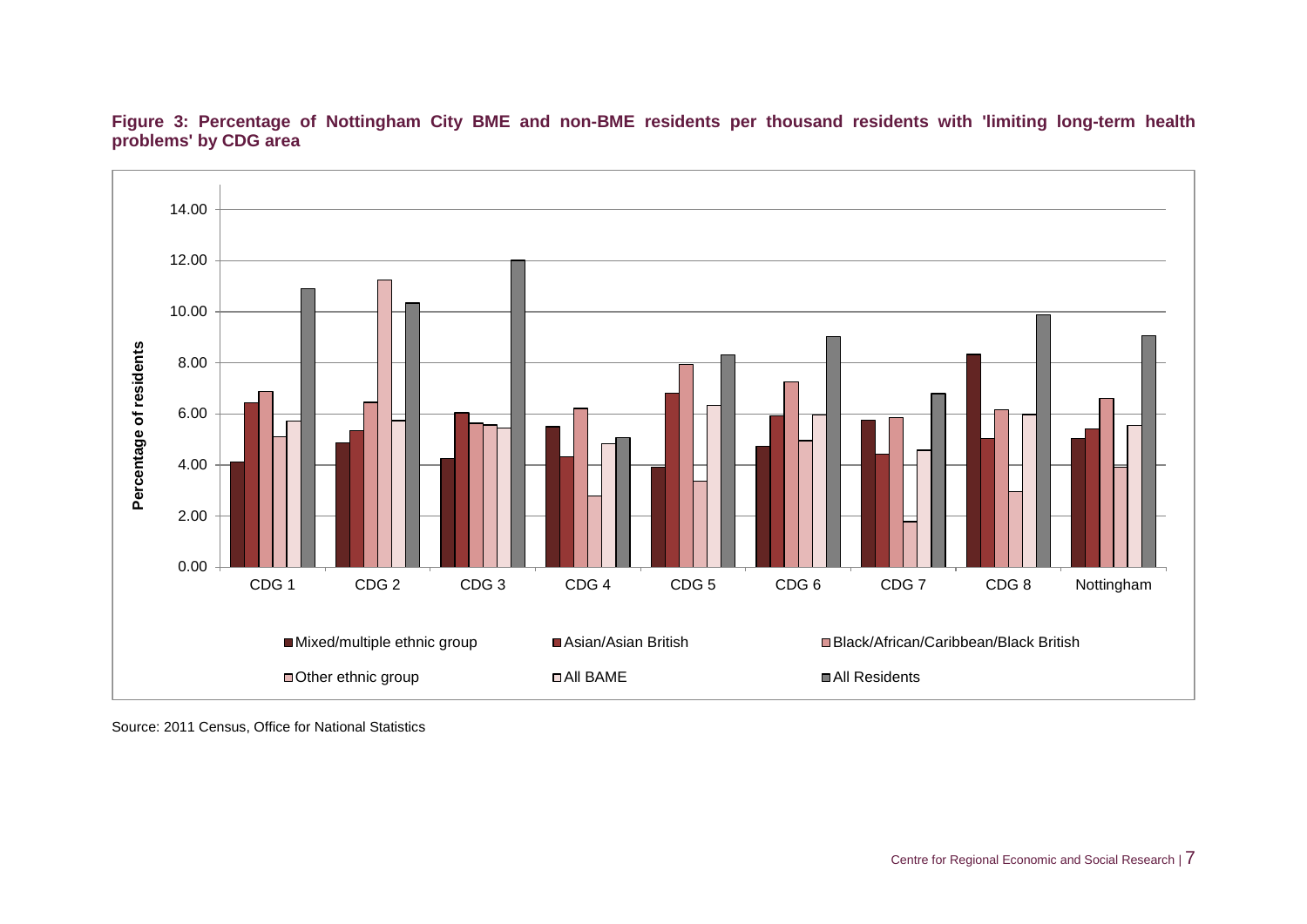

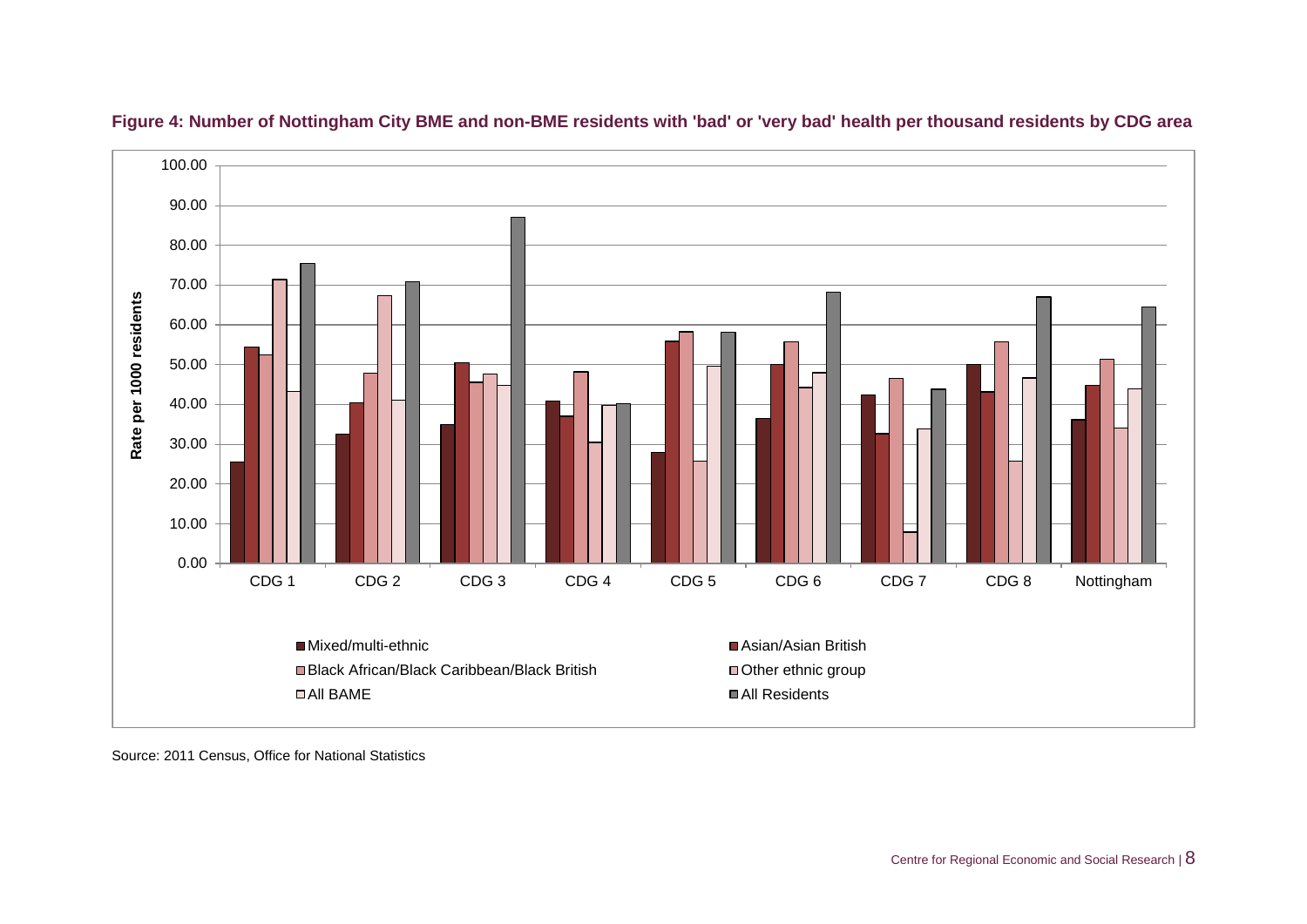

#### **Figure 4: Number of Nottingham City BME and non-BME residents with 'bad' or 'very bad' health per thousand residents by CDG area**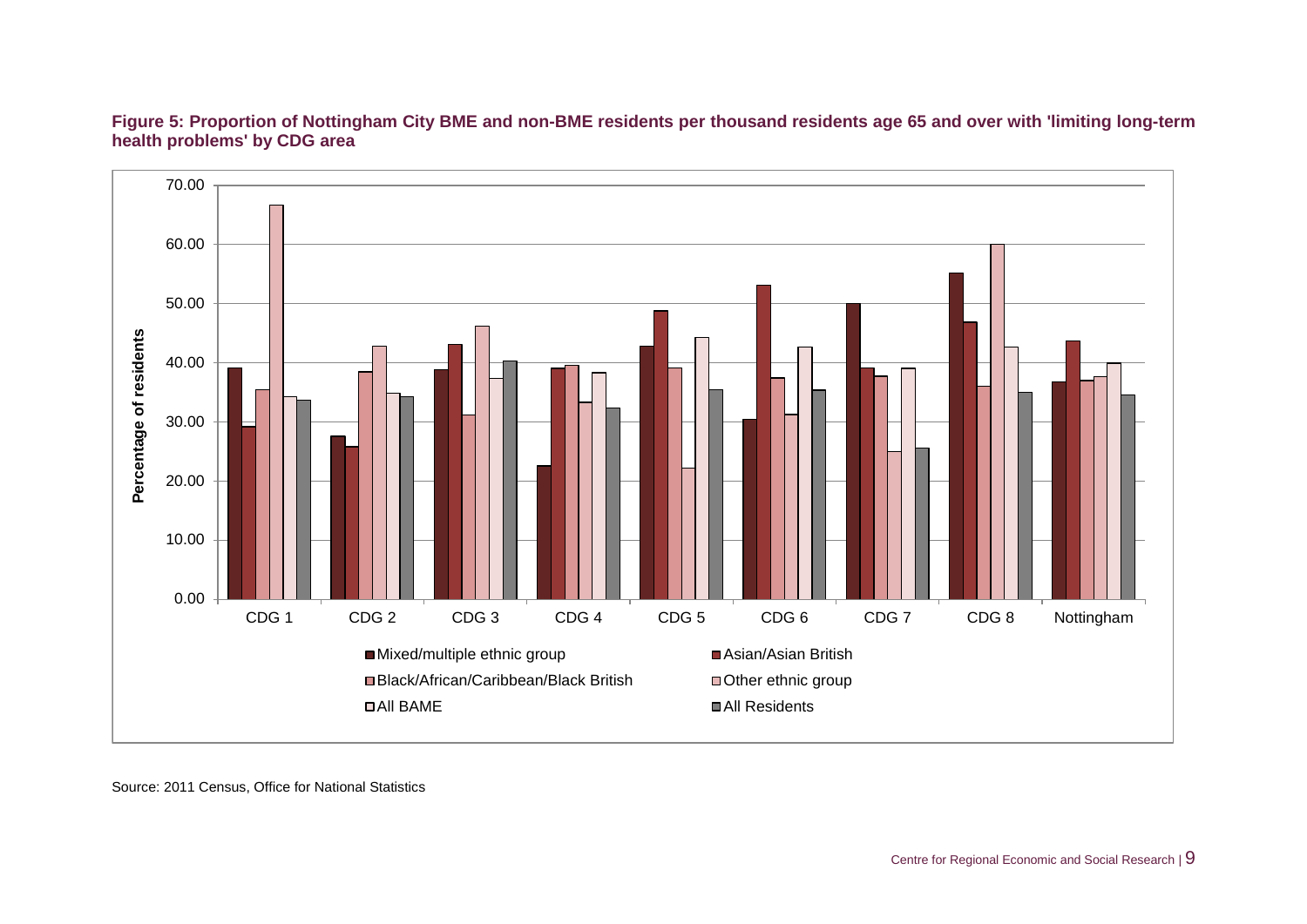

**Figure 5: Proportion of Nottingham City BME and non-BME residents per thousand residents age 65 and over with 'limiting long-term health problems' by CDG area**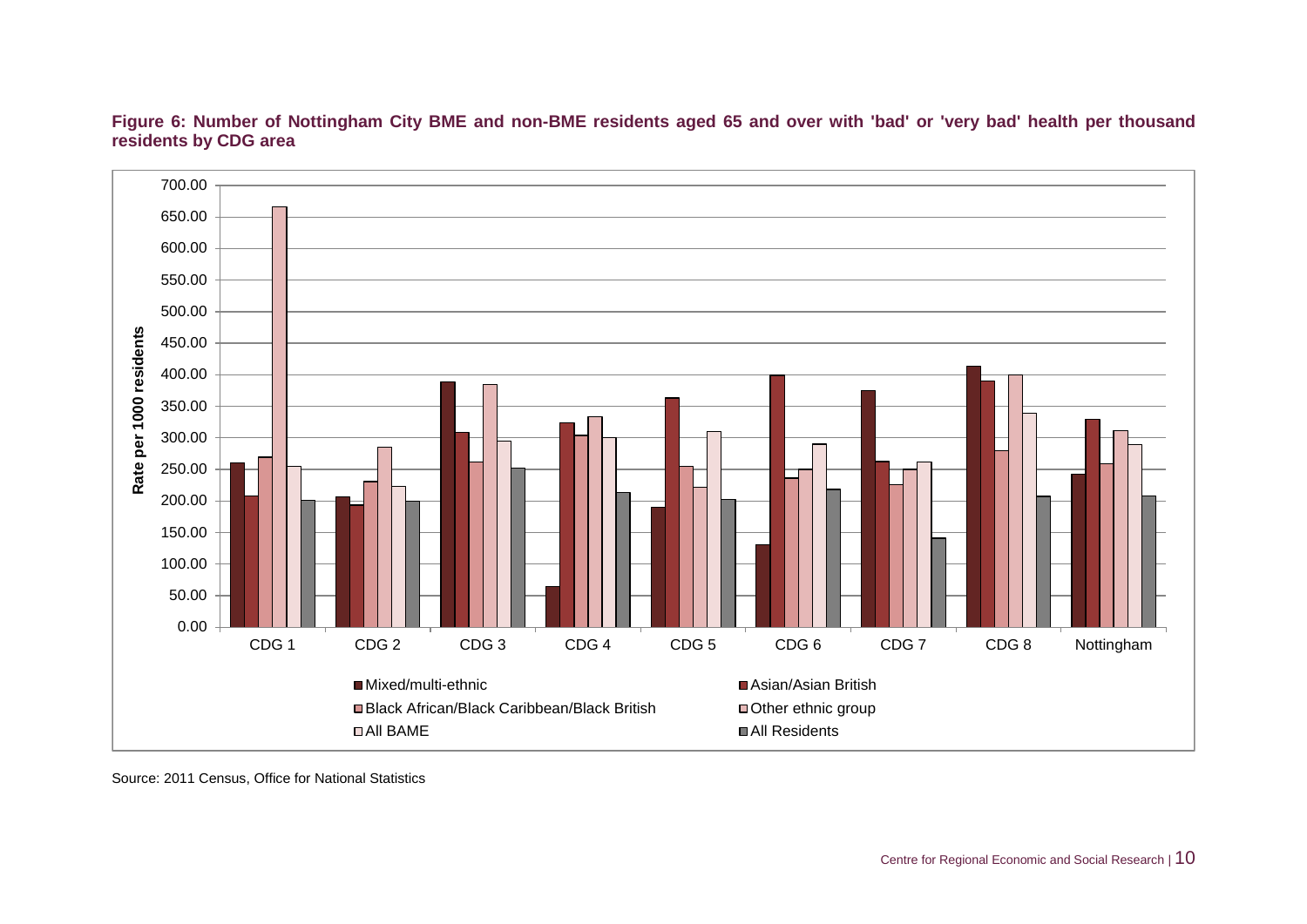

**Figure 6: Number of Nottingham City BME and non-BME residents aged 65 and over with 'bad' or 'very bad' health per thousand residents by CDG area**

Source: 2011 Census, Office for National Statistics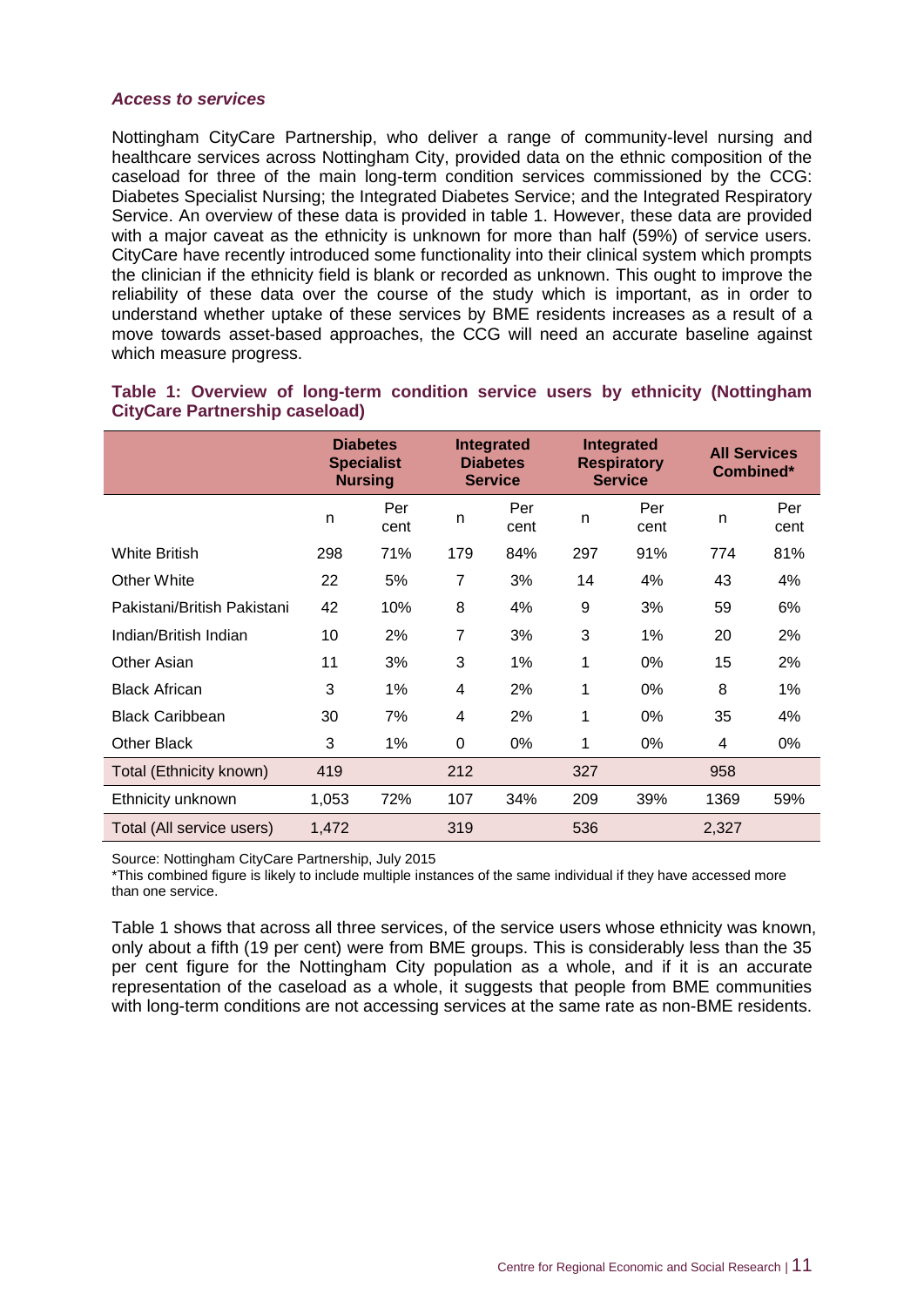#### *Access to services*

Nottingham CityCare Partnership, who deliver a range of community-level nursing and healthcare services across Nottingham City, provided data on the ethnic composition of the caseload for three of the main long-term condition services commissioned by the CCG: Diabetes Specialist Nursing; the Integrated Diabetes Service; and the Integrated Respiratory Service. An overview of these data is provided in table 1. However, these data are provided with a major caveat as the ethnicity is unknown for more than half (59%) of service users. CityCare have recently introduced some functionality into their clinical system which prompts the clinician if the ethnicity field is blank or recorded as unknown. This ought to improve the reliability of these data over the course of the study which is important, as in order to understand whether uptake of these services by BME residents increases as a result of a move towards asset-based approaches, the CCG will need an accurate baseline against which measure progress.

|                             |       | <b>Diabetes</b><br><b>Specialist</b><br><b>Nursing</b> |                | Integrated<br><b>Diabetes</b><br><b>Service</b> |     | <b>Integrated</b><br><b>Respiratory</b><br><b>Service</b> | <b>All Services</b><br>Combined* |             |
|-----------------------------|-------|--------------------------------------------------------|----------------|-------------------------------------------------|-----|-----------------------------------------------------------|----------------------------------|-------------|
|                             | n     | Per<br>cent                                            | n              | Per<br>cent                                     | n   | Per<br>cent                                               | n                                | Per<br>cent |
| <b>White British</b>        | 298   | 71%                                                    | 179            | 84%                                             | 297 | 91%                                                       | 774                              | 81%         |
| Other White                 | 22    | 5%                                                     | $\overline{7}$ | 3%                                              | 14  | 4%                                                        | 43                               | 4%          |
| Pakistani/British Pakistani | 42    | 10%                                                    | 8              | 4%                                              | 9   | 3%                                                        | 59                               | 6%          |
| Indian/British Indian       | 10    | 2%                                                     | $\overline{7}$ | 3%                                              | 3   | 1%                                                        | 20                               | 2%          |
| Other Asian                 | 11    | 3%                                                     | 3              | 1%                                              | 1   | 0%                                                        | 15                               | 2%          |
| <b>Black African</b>        | 3     | 1%                                                     | 4              | 2%                                              | 1   | 0%                                                        | 8                                | 1%          |
| <b>Black Caribbean</b>      | 30    | 7%                                                     | 4              | 2%                                              | 1   | 0%                                                        | 35                               | 4%          |
| <b>Other Black</b>          | 3     | 1%                                                     | 0              | 0%                                              | 1   | 0%                                                        | 4                                | 0%          |
| Total (Ethnicity known)     | 419   |                                                        | 212            |                                                 | 327 |                                                           | 958                              |             |
| Ethnicity unknown           | 1,053 | 72%                                                    | 107            | 34%                                             | 209 | 39%                                                       | 1369                             | 59%         |
| Total (All service users)   | 1,472 |                                                        | 319            |                                                 | 536 |                                                           | 2,327                            |             |

#### **Table 1: Overview of long-term condition service users by ethnicity (Nottingham CityCare Partnership caseload)**

Source: Nottingham CityCare Partnership, July 2015

\*This combined figure is likely to include multiple instances of the same individual if they have accessed more than one service.

Table 1 shows that across all three services, of the service users whose ethnicity was known, only about a fifth (19 per cent) were from BME groups. This is considerably less than the 35 per cent figure for the Nottingham City population as a whole, and if it is an accurate representation of the caseload as a whole, it suggests that people from BME communities with long-term conditions are not accessing services at the same rate as non-BME residents.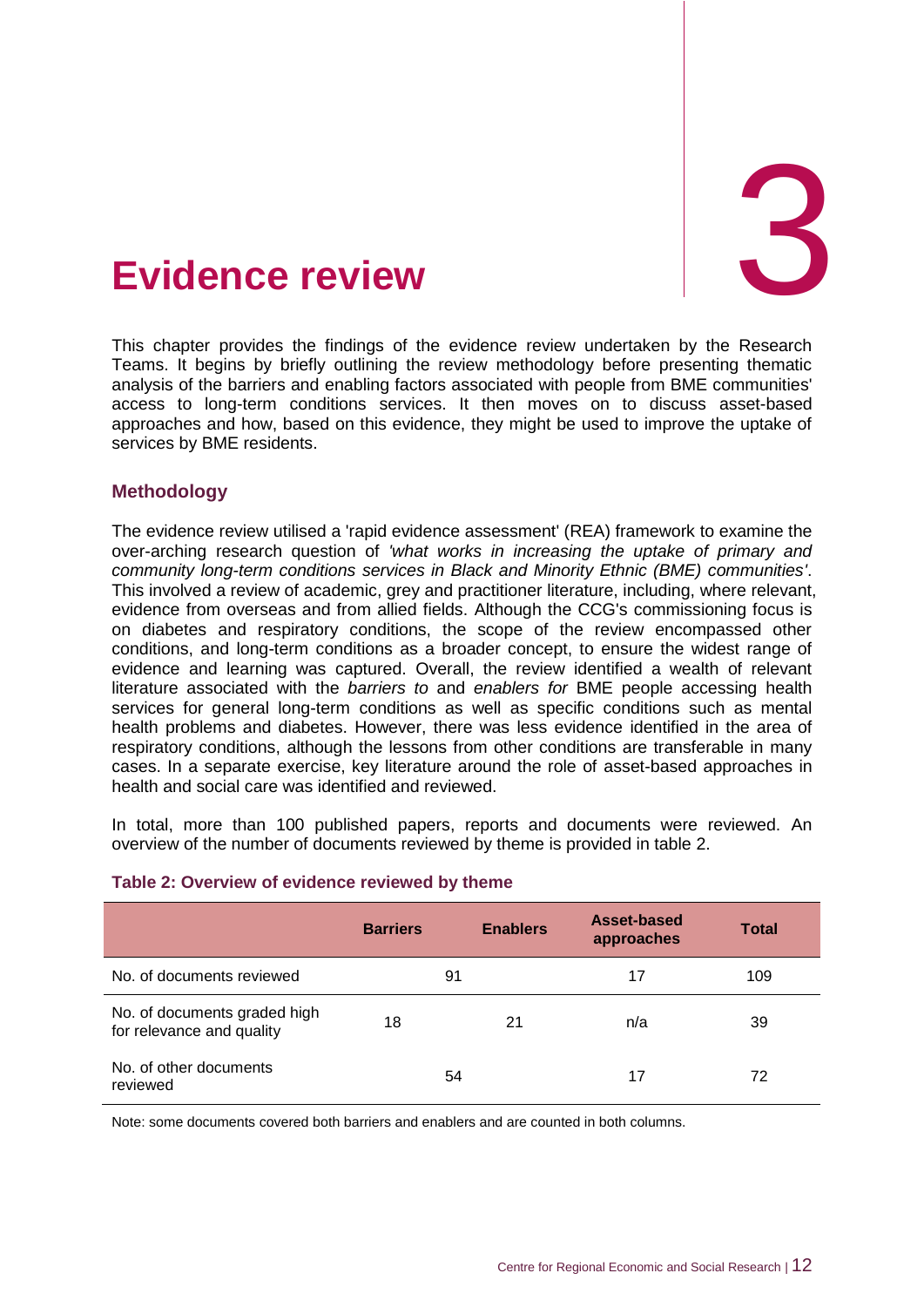<span id="page-18-0"></span>

This chapter provides the findings of the evidence review undertaken by the Research Teams. It begins by briefly outlining the review methodology before presenting thematic analysis of the barriers and enabling factors associated with people from BME communities' access to long-term conditions services. It then moves on to discuss asset-based approaches and how, based on this evidence, they might be used to improve the uptake of services by BME residents.

#### <span id="page-18-1"></span>**Methodology**

The evidence review utilised a 'rapid evidence assessment' (REA) framework to examine the over-arching research question of *'what works in increasing the uptake of primary and community long-term conditions services in Black and Minority Ethnic (BME) communities'*. This involved a review of academic, grey and practitioner literature, including, where relevant, evidence from overseas and from allied fields. Although the CCG's commissioning focus is on diabetes and respiratory conditions, the scope of the review encompassed other conditions, and long-term conditions as a broader concept, to ensure the widest range of evidence and learning was captured. Overall, the review identified a wealth of relevant literature associated with the *barriers to* and *enablers for* BME people accessing health services for general long-term conditions as well as specific conditions such as mental health problems and diabetes. However, there was less evidence identified in the area of respiratory conditions, although the lessons from other conditions are transferable in many cases. In a separate exercise, key literature around the role of asset-based approaches in health and social care was identified and reviewed.

In total, more than 100 published papers, reports and documents were reviewed. An overview of the number of documents reviewed by theme is provided in table 2.

|                                                           | <b>Barriers</b> | <b>Enablers</b> | Asset-based<br>approaches | <b>Total</b> |  |
|-----------------------------------------------------------|-----------------|-----------------|---------------------------|--------------|--|
| No. of documents reviewed                                 | 91              |                 | 17                        | 109          |  |
| No. of documents graded high<br>for relevance and quality | 18              | 21              | n/a                       | 39           |  |
| No. of other documents<br>reviewed                        | 54              |                 | 17                        | 72           |  |

#### **Table 2: Overview of evidence reviewed by theme**

Note: some documents covered both barriers and enablers and are counted in both columns.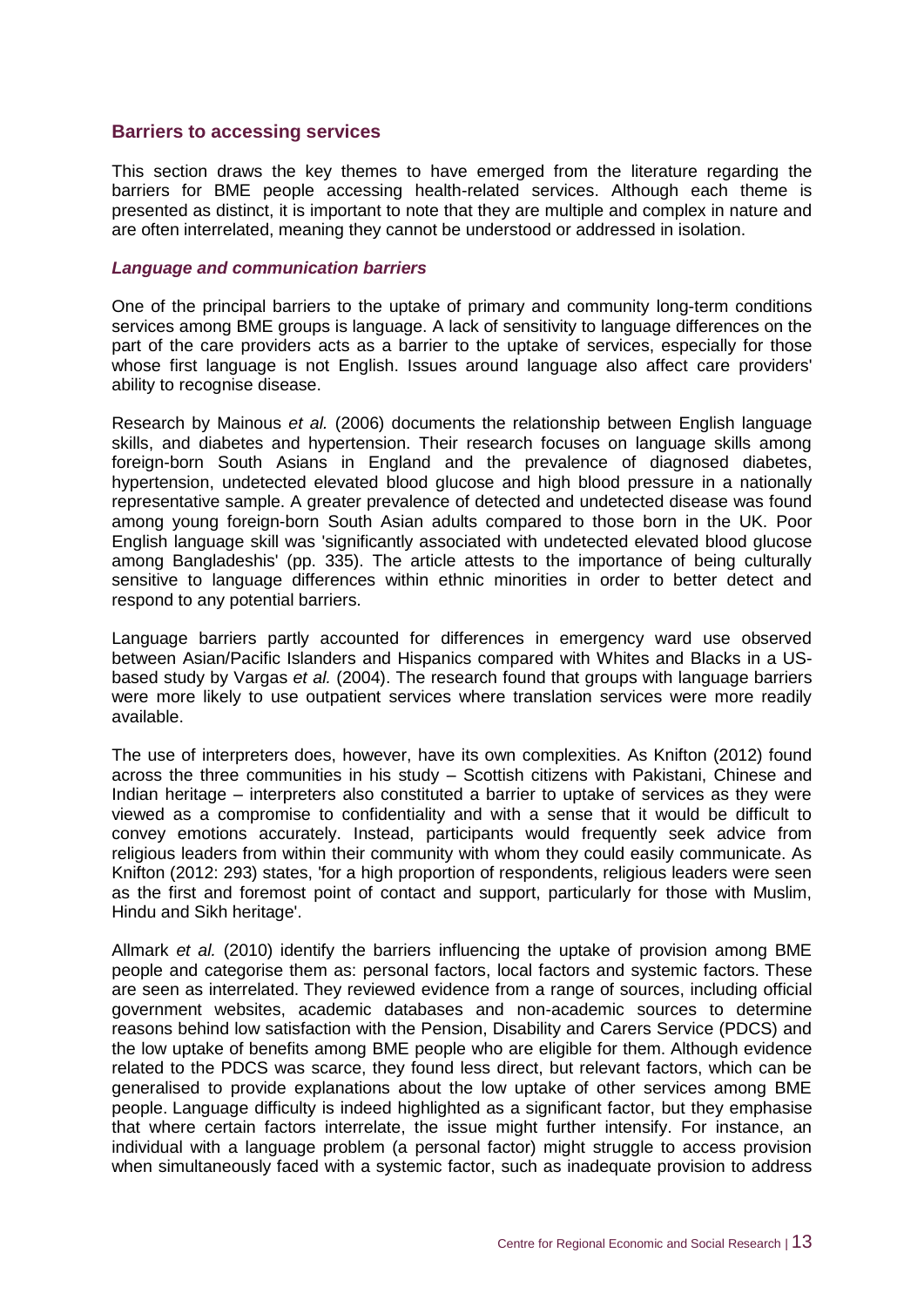#### <span id="page-19-0"></span>**Barriers to accessing services**

This section draws the key themes to have emerged from the literature regarding the barriers for BME people accessing health-related services. Although each theme is presented as distinct, it is important to note that they are multiple and complex in nature and are often interrelated, meaning they cannot be understood or addressed in isolation.

#### *Language and communication barriers*

One of the principal barriers to the uptake of primary and community long-term conditions services among BME groups is language. A lack of sensitivity to language differences on the part of the care providers acts as a barrier to the uptake of services, especially for those whose first language is not English. Issues around language also affect care providers' ability to recognise disease.

Research by Mainous *et al.* (2006) documents the relationship between English language skills, and diabetes and hypertension. Their research focuses on language skills among foreign-born South Asians in England and the prevalence of diagnosed diabetes, hypertension, undetected elevated blood glucose and high blood pressure in a nationally representative sample. A greater prevalence of detected and undetected disease was found among young foreign-born South Asian adults compared to those born in the UK. Poor English language skill was 'significantly associated with undetected elevated blood glucose among Bangladeshis' (pp. 335). The article attests to the importance of being culturally sensitive to language differences within ethnic minorities in order to better detect and respond to any potential barriers.

Language barriers partly accounted for differences in emergency ward use observed between Asian/Pacific Islanders and Hispanics compared with Whites and Blacks in a USbased study by Vargas *et al.* (2004). The research found that groups with language barriers were more likely to use outpatient services where translation services were more readily available.

The use of interpreters does, however, have its own complexities. As Knifton (2012) found across the three communities in his study – Scottish citizens with Pakistani, Chinese and Indian heritage – interpreters also constituted a barrier to uptake of services as they were viewed as a compromise to confidentiality and with a sense that it would be difficult to convey emotions accurately. Instead, participants would frequently seek advice from religious leaders from within their community with whom they could easily communicate. As Knifton (2012: 293) states, 'for a high proportion of respondents, religious leaders were seen as the first and foremost point of contact and support, particularly for those with Muslim, Hindu and Sikh heritage'.

Allmark *et al.* (2010) identify the barriers influencing the uptake of provision among BME people and categorise them as: personal factors, local factors and systemic factors. These are seen as interrelated. They reviewed evidence from a range of sources, including official government websites, academic databases and non-academic sources to determine reasons behind low satisfaction with the Pension, Disability and Carers Service (PDCS) and the low uptake of benefits among BME people who are eligible for them. Although evidence related to the PDCS was scarce, they found less direct, but relevant factors, which can be generalised to provide explanations about the low uptake of other services among BME people. Language difficulty is indeed highlighted as a significant factor, but they emphasise that where certain factors interrelate, the issue might further intensify. For instance, an individual with a language problem (a personal factor) might struggle to access provision when simultaneously faced with a systemic factor, such as inadequate provision to address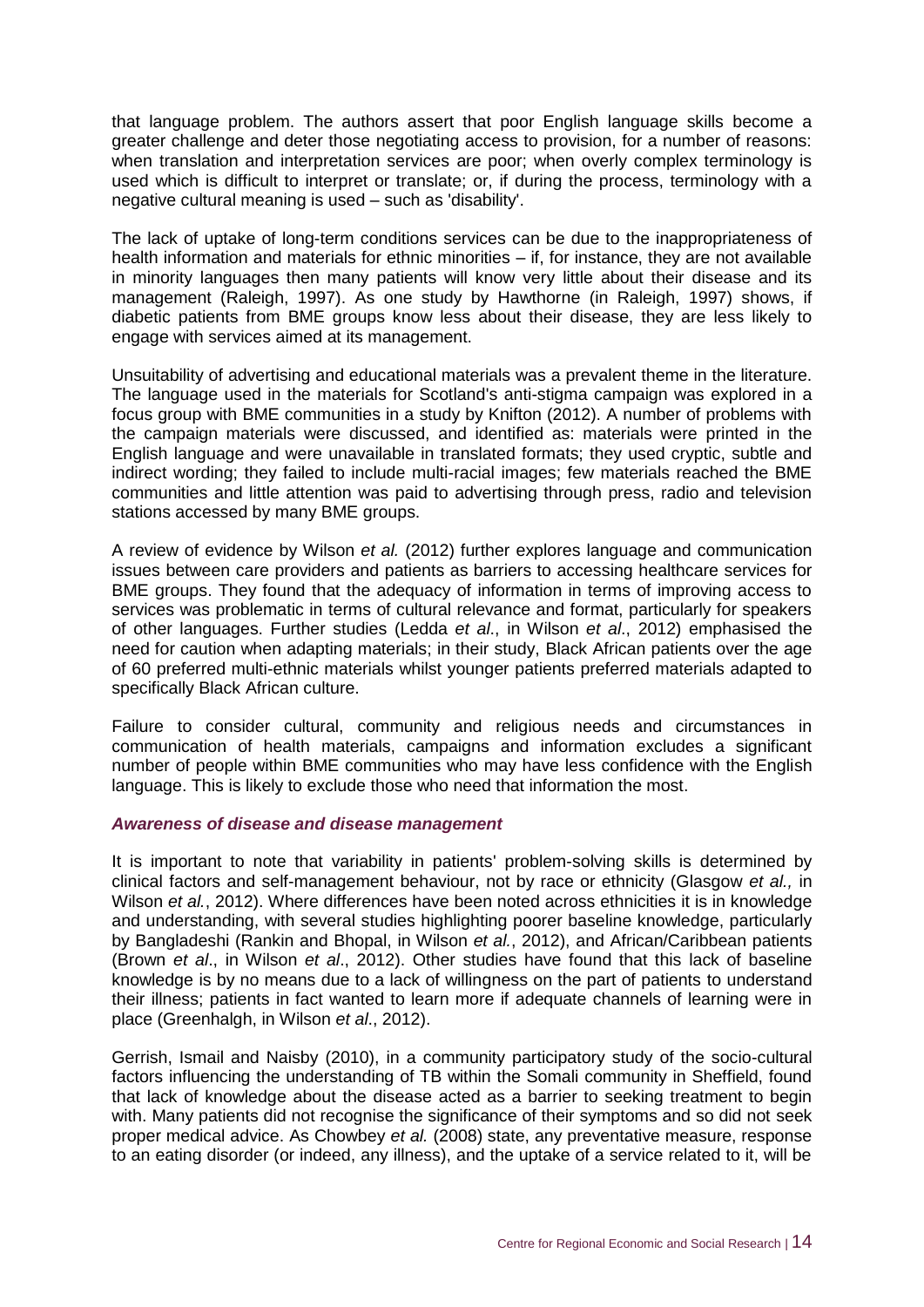that language problem. The authors assert that poor English language skills become a greater challenge and deter those negotiating access to provision, for a number of reasons: when translation and interpretation services are poor; when overly complex terminology is used which is difficult to interpret or translate; or, if during the process, terminology with a negative cultural meaning is used – such as 'disability'.

The lack of uptake of long-term conditions services can be due to the inappropriateness of health information and materials for ethnic minorities – if, for instance, they are not available in minority languages then many patients will know very little about their disease and its management (Raleigh, 1997). As one study by Hawthorne (in Raleigh, 1997) shows, if diabetic patients from BME groups know less about their disease, they are less likely to engage with services aimed at its management.

Unsuitability of advertising and educational materials was a prevalent theme in the literature. The language used in the materials for Scotland's anti-stigma campaign was explored in a focus group with BME communities in a study by Knifton (2012). A number of problems with the campaign materials were discussed, and identified as: materials were printed in the English language and were unavailable in translated formats; they used cryptic, subtle and indirect wording; they failed to include multi-racial images; few materials reached the BME communities and little attention was paid to advertising through press, radio and television stations accessed by many BME groups.

A review of evidence by Wilson *et al.* (2012) further explores language and communication issues between care providers and patients as barriers to accessing healthcare services for BME groups. They found that the adequacy of information in terms of improving access to services was problematic in terms of cultural relevance and format, particularly for speakers of other languages. Further studies (Ledda *et al*., in Wilson *et al*., 2012) emphasised the need for caution when adapting materials; in their study, Black African patients over the age of 60 preferred multi-ethnic materials whilst younger patients preferred materials adapted to specifically Black African culture.

Failure to consider cultural, community and religious needs and circumstances in communication of health materials, campaigns and information excludes a significant number of people within BME communities who may have less confidence with the English language. This is likely to exclude those who need that information the most.

#### *Awareness of disease and disease management*

It is important to note that variability in patients' problem-solving skills is determined by clinical factors and self-management behaviour, not by race or ethnicity (Glasgow *et al.,* in Wilson *et al.*, 2012). Where differences have been noted across ethnicities it is in knowledge and understanding, with several studies highlighting poorer baseline knowledge, particularly by Bangladeshi (Rankin and Bhopal, in Wilson *et al.*, 2012), and African/Caribbean patients (Brown *et al*., in Wilson *et al*., 2012). Other studies have found that this lack of baseline knowledge is by no means due to a lack of willingness on the part of patients to understand their illness; patients in fact wanted to learn more if adequate channels of learning were in place (Greenhalgh, in Wilson *et al*., 2012).

Gerrish, Ismail and Naisby (2010), in a community participatory study of the socio-cultural factors influencing the understanding of TB within the Somali community in Sheffield, found that lack of knowledge about the disease acted as a barrier to seeking treatment to begin with. Many patients did not recognise the significance of their symptoms and so did not seek proper medical advice. As Chowbey *et al.* (2008) state, any preventative measure, response to an eating disorder (or indeed, any illness), and the uptake of a service related to it, will be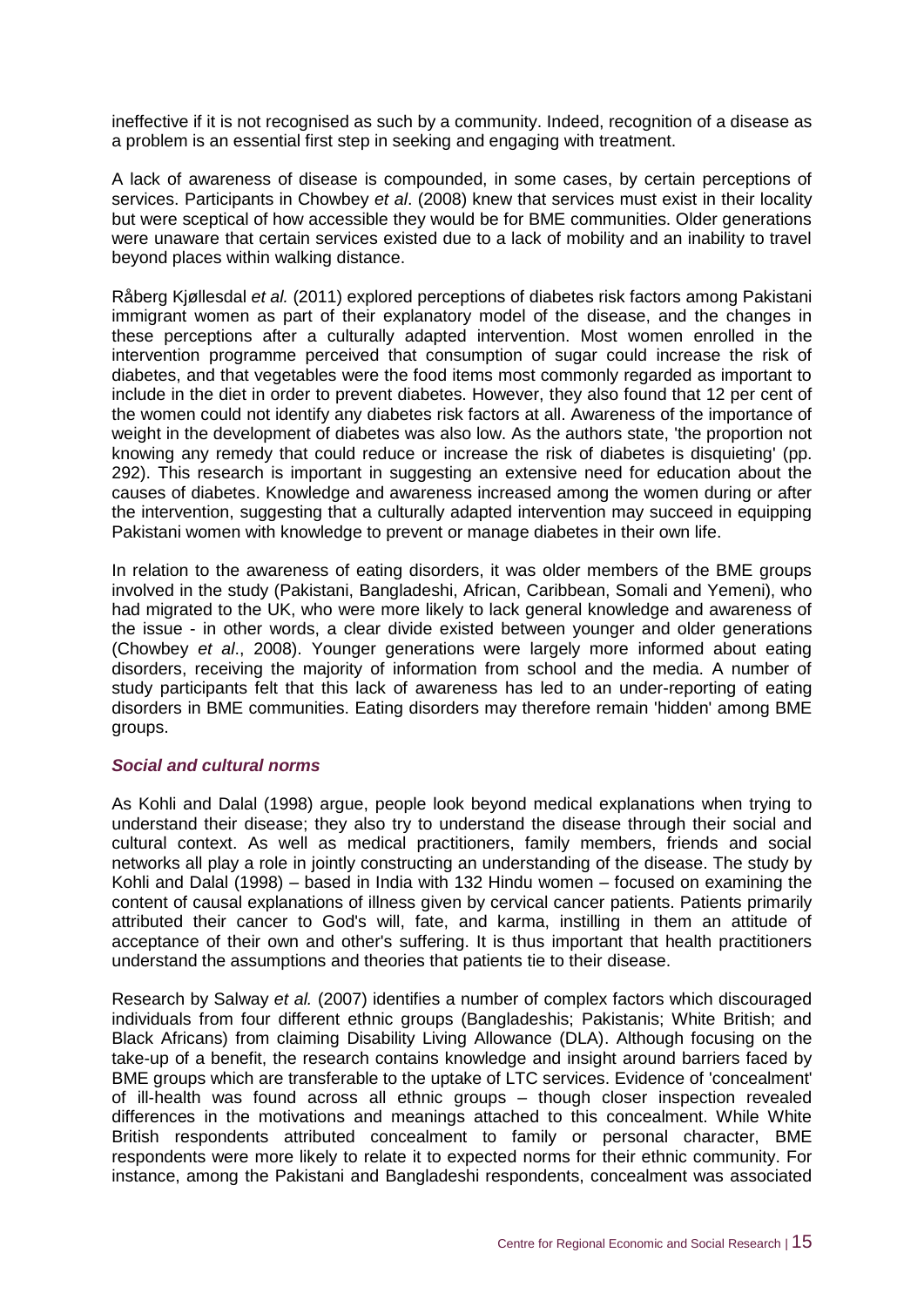ineffective if it is not recognised as such by a community. Indeed, recognition of a disease as a problem is an essential first step in seeking and engaging with treatment.

A lack of awareness of disease is compounded, in some cases, by certain perceptions of services. Participants in Chowbey *et al*. (2008) knew that services must exist in their locality but were sceptical of how accessible they would be for BME communities. Older generations were unaware that certain services existed due to a lack of mobility and an inability to travel beyond places within walking distance.

Råberg Kjøllesdal *et al.* (2011) explored perceptions of diabetes risk factors among Pakistani immigrant women as part of their explanatory model of the disease, and the changes in these perceptions after a culturally adapted intervention. Most women enrolled in the intervention programme perceived that consumption of sugar could increase the risk of diabetes, and that vegetables were the food items most commonly regarded as important to include in the diet in order to prevent diabetes. However, they also found that 12 per cent of the women could not identify any diabetes risk factors at all. Awareness of the importance of weight in the development of diabetes was also low. As the authors state, 'the proportion not knowing any remedy that could reduce or increase the risk of diabetes is disquieting' (pp. 292). This research is important in suggesting an extensive need for education about the causes of diabetes. Knowledge and awareness increased among the women during or after the intervention, suggesting that a culturally adapted intervention may succeed in equipping Pakistani women with knowledge to prevent or manage diabetes in their own life.

In relation to the awareness of eating disorders, it was older members of the BME groups involved in the study (Pakistani, Bangladeshi, African, Caribbean, Somali and Yemeni), who had migrated to the UK, who were more likely to lack general knowledge and awareness of the issue - in other words, a clear divide existed between younger and older generations (Chowbey *et al*., 2008). Younger generations were largely more informed about eating disorders, receiving the majority of information from school and the media. A number of study participants felt that this lack of awareness has led to an under-reporting of eating disorders in BME communities. Eating disorders may therefore remain 'hidden' among BME groups.

#### *Social and cultural norms*

As Kohli and Dalal (1998) argue, people look beyond medical explanations when trying to understand their disease; they also try to understand the disease through their social and cultural context. As well as medical practitioners, family members, friends and social networks all play a role in jointly constructing an understanding of the disease. The study by Kohli and Dalal (1998) – based in India with 132 Hindu women – focused on examining the content of causal explanations of illness given by cervical cancer patients. Patients primarily attributed their cancer to God's will, fate, and karma, instilling in them an attitude of acceptance of their own and other's suffering. It is thus important that health practitioners understand the assumptions and theories that patients tie to their disease.

Research by Salway *et al.* (2007) identifies a number of complex factors which discouraged individuals from four different ethnic groups (Bangladeshis; Pakistanis; White British; and Black Africans) from claiming Disability Living Allowance (DLA). Although focusing on the take-up of a benefit, the research contains knowledge and insight around barriers faced by BME groups which are transferable to the uptake of LTC services. Evidence of 'concealment' of ill-health was found across all ethnic groups – though closer inspection revealed differences in the motivations and meanings attached to this concealment. While White British respondents attributed concealment to family or personal character, BME respondents were more likely to relate it to expected norms for their ethnic community. For instance, among the Pakistani and Bangladeshi respondents, concealment was associated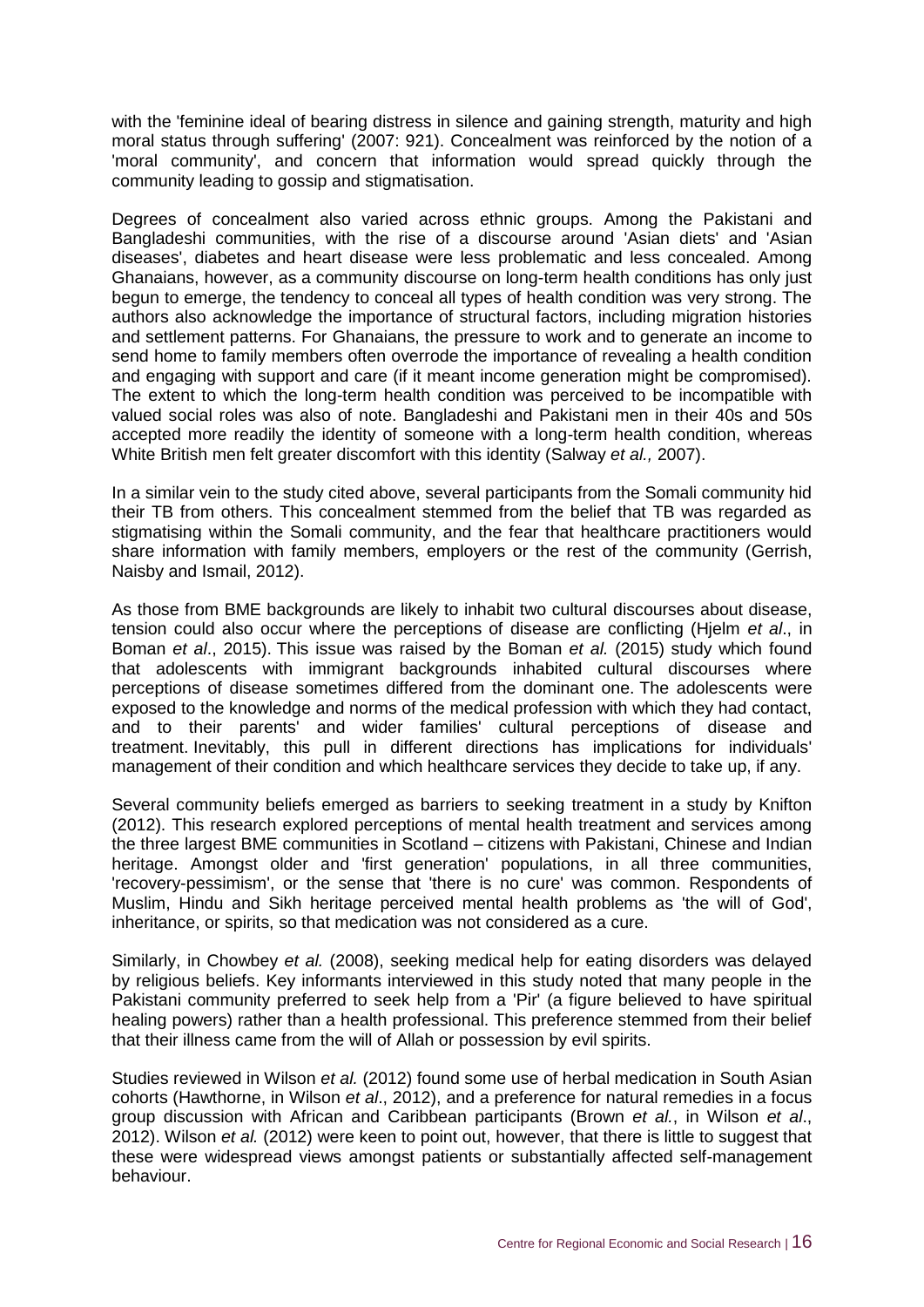with the 'feminine ideal of bearing distress in silence and gaining strength, maturity and high moral status through suffering' (2007: 921). Concealment was reinforced by the notion of a 'moral community', and concern that information would spread quickly through the community leading to gossip and stigmatisation.

Degrees of concealment also varied across ethnic groups. Among the Pakistani and Bangladeshi communities, with the rise of a discourse around 'Asian diets' and 'Asian diseases', diabetes and heart disease were less problematic and less concealed. Among Ghanaians, however, as a community discourse on long-term health conditions has only just begun to emerge, the tendency to conceal all types of health condition was very strong. The authors also acknowledge the importance of structural factors, including migration histories and settlement patterns. For Ghanaians, the pressure to work and to generate an income to send home to family members often overrode the importance of revealing a health condition and engaging with support and care (if it meant income generation might be compromised). The extent to which the long-term health condition was perceived to be incompatible with valued social roles was also of note. Bangladeshi and Pakistani men in their 40s and 50s accepted more readily the identity of someone with a long-term health condition, whereas White British men felt greater discomfort with this identity (Salway *et al.,* 2007).

In a similar vein to the study cited above, several participants from the Somali community hid their TB from others. This concealment stemmed from the belief that TB was regarded as stigmatising within the Somali community, and the fear that healthcare practitioners would share information with family members, employers or the rest of the community (Gerrish, Naisby and Ismail, 2012).

As those from BME backgrounds are likely to inhabit two cultural discourses about disease, tension could also occur where the perceptions of disease are conflicting (Hjelm *et al*., in Boman *et al*., 2015). This issue was raised by the Boman *et al.* (2015) study which found that adolescents with immigrant backgrounds inhabited cultural discourses where perceptions of disease sometimes differed from the dominant one. The adolescents were exposed to the knowledge and norms of the medical profession with which they had contact, and to their parents' and wider families' cultural perceptions of disease and treatment. Inevitably, this pull in different directions has implications for individuals' management of their condition and which healthcare services they decide to take up, if any.

Several community beliefs emerged as barriers to seeking treatment in a study by Knifton (2012). This research explored perceptions of mental health treatment and services among the three largest BME communities in Scotland – citizens with Pakistani, Chinese and Indian heritage. Amongst older and 'first generation' populations, in all three communities, 'recovery-pessimism', or the sense that 'there is no cure' was common. Respondents of Muslim, Hindu and Sikh heritage perceived mental health problems as 'the will of God', inheritance, or spirits, so that medication was not considered as a cure.

Similarly, in Chowbey *et al.* (2008), seeking medical help for eating disorders was delayed by religious beliefs. Key informants interviewed in this study noted that many people in the Pakistani community preferred to seek help from a 'Pir' (a figure believed to have spiritual healing powers) rather than a health professional. This preference stemmed from their belief that their illness came from the will of Allah or possession by evil spirits.

Studies reviewed in Wilson *et al.* (2012) found some use of herbal medication in South Asian cohorts (Hawthorne, in Wilson *et al*., 2012), and a preference for natural remedies in a focus group discussion with African and Caribbean participants (Brown *et al.*, in Wilson *et al*., 2012). Wilson *et al.* (2012) were keen to point out, however, that there is little to suggest that these were widespread views amongst patients or substantially affected self-management behaviour.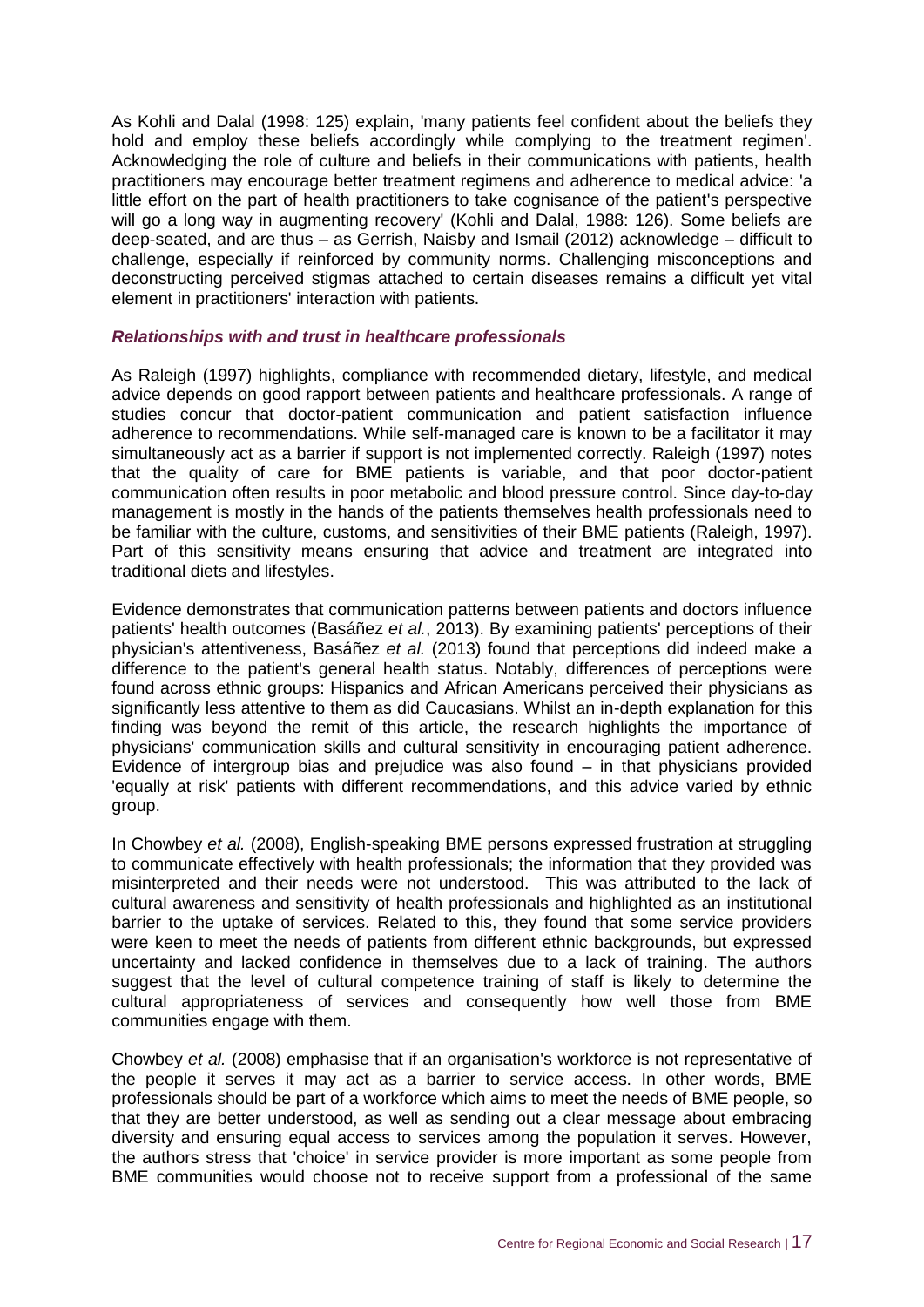As Kohli and Dalal (1998: 125) explain, 'many patients feel confident about the beliefs they hold and employ these beliefs accordingly while complying to the treatment regimen'. Acknowledging the role of culture and beliefs in their communications with patients, health practitioners may encourage better treatment regimens and adherence to medical advice: 'a little effort on the part of health practitioners to take cognisance of the patient's perspective will go a long way in augmenting recovery' (Kohli and Dalal, 1988: 126). Some beliefs are deep-seated, and are thus – as Gerrish, Naisby and Ismail (2012) acknowledge – difficult to challenge, especially if reinforced by community norms. Challenging misconceptions and deconstructing perceived stigmas attached to certain diseases remains a difficult yet vital element in practitioners' interaction with patients.

#### *Relationships with and trust in healthcare professionals*

As Raleigh (1997) highlights, compliance with recommended dietary, lifestyle, and medical advice depends on good rapport between patients and healthcare professionals. A range of studies concur that doctor-patient communication and patient satisfaction influence adherence to recommendations. While self-managed care is known to be a facilitator it may simultaneously act as a barrier if support is not implemented correctly. Raleigh (1997) notes that the quality of care for BME patients is variable, and that poor doctor-patient communication often results in poor metabolic and blood pressure control. Since day-to-day management is mostly in the hands of the patients themselves health professionals need to be familiar with the culture, customs, and sensitivities of their BME patients (Raleigh, 1997). Part of this sensitivity means ensuring that advice and treatment are integrated into traditional diets and lifestyles.

Evidence demonstrates that communication patterns between patients and doctors influence patients' health outcomes (Basáñez *et al.*, 2013). By examining patients' perceptions of their physician's attentiveness, Basáñez *et al.* (2013) found that perceptions did indeed make a difference to the patient's general health status. Notably, differences of perceptions were found across ethnic groups: Hispanics and African Americans perceived their physicians as significantly less attentive to them as did Caucasians. Whilst an in-depth explanation for this finding was beyond the remit of this article, the research highlights the importance of physicians' communication skills and cultural sensitivity in encouraging patient adherence. Evidence of intergroup bias and prejudice was also found – in that physicians provided 'equally at risk' patients with different recommendations, and this advice varied by ethnic group.

In Chowbey *et al.* (2008), English-speaking BME persons expressed frustration at struggling to communicate effectively with health professionals; the information that they provided was misinterpreted and their needs were not understood. This was attributed to the lack of cultural awareness and sensitivity of health professionals and highlighted as an institutional barrier to the uptake of services. Related to this, they found that some service providers were keen to meet the needs of patients from different ethnic backgrounds, but expressed uncertainty and lacked confidence in themselves due to a lack of training. The authors suggest that the level of cultural competence training of staff is likely to determine the cultural appropriateness of services and consequently how well those from BME communities engage with them.

Chowbey *et al.* (2008) emphasise that if an organisation's workforce is not representative of the people it serves it may act as a barrier to service access. In other words, BME professionals should be part of a workforce which aims to meet the needs of BME people, so that they are better understood, as well as sending out a clear message about embracing diversity and ensuring equal access to services among the population it serves. However, the authors stress that 'choice' in service provider is more important as some people from BME communities would choose not to receive support from a professional of the same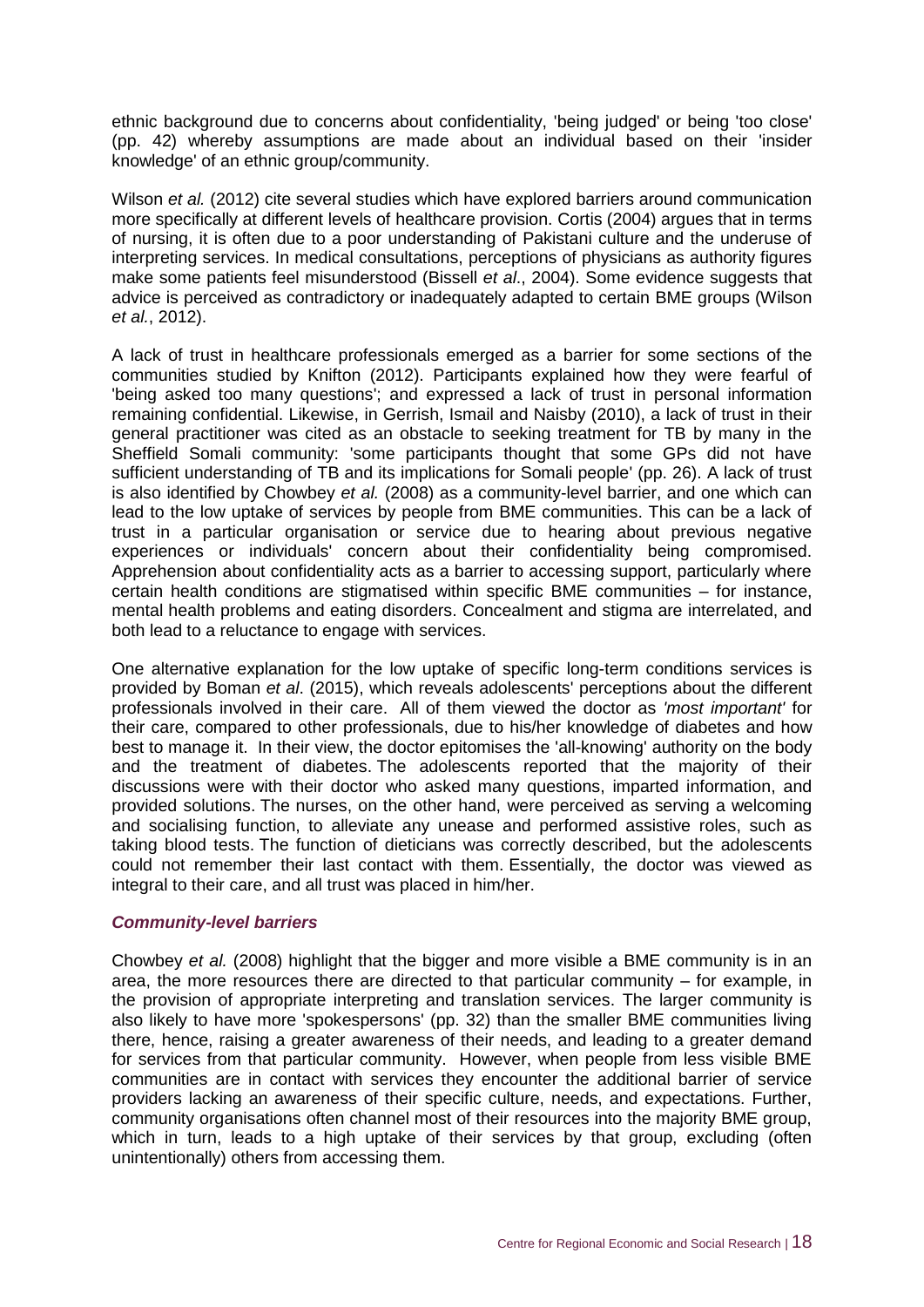ethnic background due to concerns about confidentiality, 'being judged' or being 'too close' (pp. 42) whereby assumptions are made about an individual based on their 'insider knowledge' of an ethnic group/community.

Wilson *et al.* (2012) cite several studies which have explored barriers around communication more specifically at different levels of healthcare provision. Cortis (2004) argues that in terms of nursing, it is often due to a poor understanding of Pakistani culture and the underuse of interpreting services. In medical consultations, perceptions of physicians as authority figures make some patients feel misunderstood (Bissell *et al*., 2004). Some evidence suggests that advice is perceived as contradictory or inadequately adapted to certain BME groups (Wilson *et al.*, 2012).

A lack of trust in healthcare professionals emerged as a barrier for some sections of the communities studied by Knifton (2012). Participants explained how they were fearful of 'being asked too many questions'; and expressed a lack of trust in personal information remaining confidential. Likewise, in Gerrish, Ismail and Naisby (2010), a lack of trust in their general practitioner was cited as an obstacle to seeking treatment for TB by many in the Sheffield Somali community: 'some participants thought that some GPs did not have sufficient understanding of TB and its implications for Somali people' (pp. 26). A lack of trust is also identified by Chowbey *et al.* (2008) as a community-level barrier, and one which can lead to the low uptake of services by people from BME communities. This can be a lack of trust in a particular organisation or service due to hearing about previous negative experiences or individuals' concern about their confidentiality being compromised. Apprehension about confidentiality acts as a barrier to accessing support, particularly where certain health conditions are stigmatised within specific BME communities – for instance, mental health problems and eating disorders. Concealment and stigma are interrelated, and both lead to a reluctance to engage with services.

One alternative explanation for the low uptake of specific long-term conditions services is provided by Boman *et al*. (2015), which reveals adolescents' perceptions about the different professionals involved in their care. All of them viewed the doctor as *'most important'* for their care, compared to other professionals, due to his/her knowledge of diabetes and how best to manage it. In their view, the doctor epitomises the 'all-knowing' authority on the body and the treatment of diabetes. The adolescents reported that the majority of their discussions were with their doctor who asked many questions, imparted information, and provided solutions. The nurses, on the other hand, were perceived as serving a welcoming and socialising function, to alleviate any unease and performed assistive roles, such as taking blood tests. The function of dieticians was correctly described, but the adolescents could not remember their last contact with them. Essentially, the doctor was viewed as integral to their care, and all trust was placed in him/her.

#### *Community-level barriers*

Chowbey *et al.* (2008) highlight that the bigger and more visible a BME community is in an area, the more resources there are directed to that particular community – for example, in the provision of appropriate interpreting and translation services. The larger community is also likely to have more 'spokespersons' (pp. 32) than the smaller BME communities living there, hence, raising a greater awareness of their needs, and leading to a greater demand for services from that particular community. However, when people from less visible BME communities are in contact with services they encounter the additional barrier of service providers lacking an awareness of their specific culture, needs, and expectations. Further, community organisations often channel most of their resources into the majority BME group, which in turn, leads to a high uptake of their services by that group, excluding (often unintentionally) others from accessing them.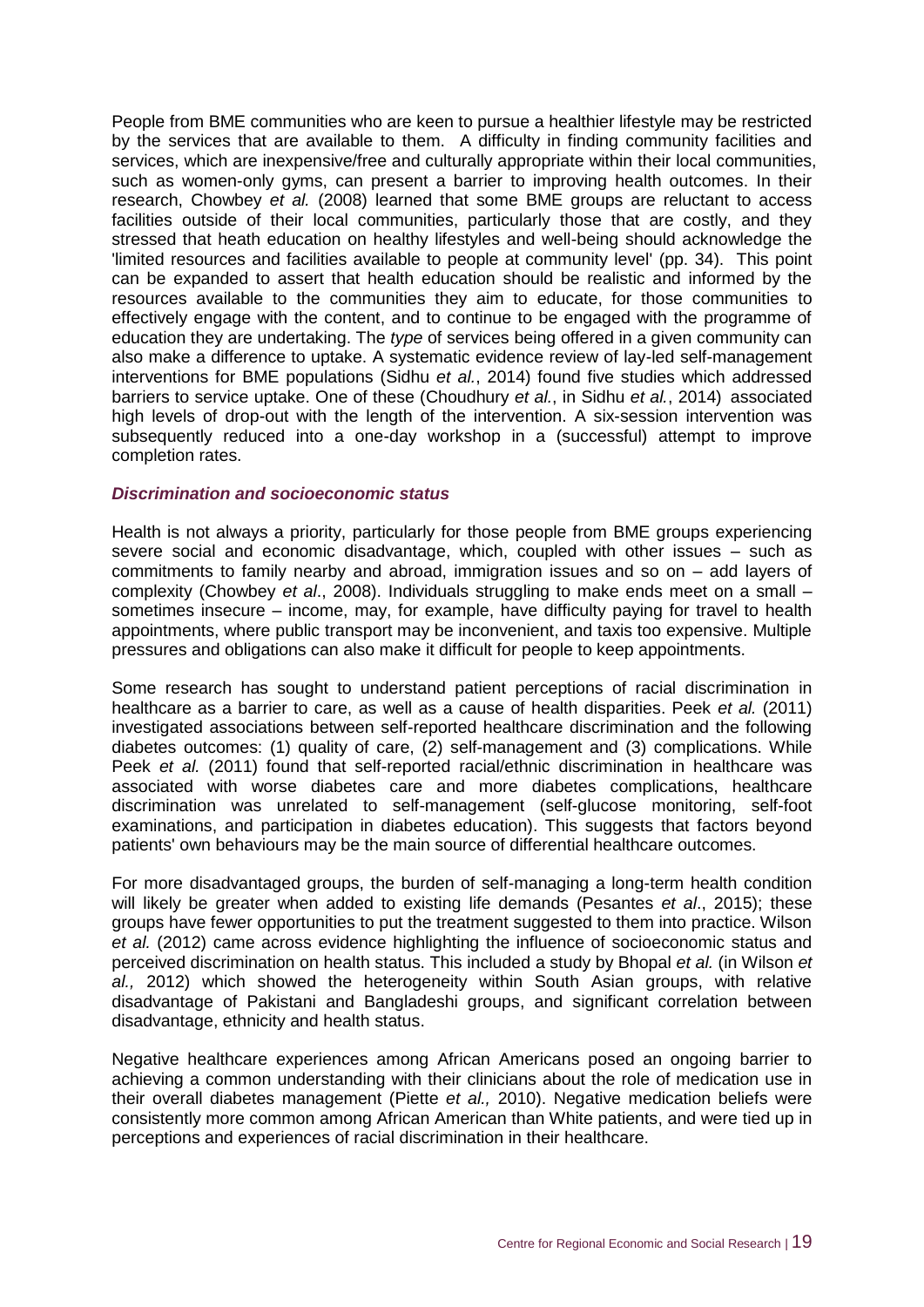People from BME communities who are keen to pursue a healthier lifestyle may be restricted by the services that are available to them. A difficulty in finding community facilities and services, which are inexpensive/free and culturally appropriate within their local communities, such as women-only gyms, can present a barrier to improving health outcomes. In their research, Chowbey *et al.* (2008) learned that some BME groups are reluctant to access facilities outside of their local communities, particularly those that are costly, and they stressed that heath education on healthy lifestyles and well-being should acknowledge the 'limited resources and facilities available to people at community level' (pp. 34). This point can be expanded to assert that health education should be realistic and informed by the resources available to the communities they aim to educate, for those communities to effectively engage with the content, and to continue to be engaged with the programme of education they are undertaking. The *type* of services being offered in a given community can also make a difference to uptake. A systematic evidence review of lay-led self-management interventions for BME populations (Sidhu *et al.*, 2014) found five studies which addressed barriers to service uptake. One of these (Choudhury *et al.*, in Sidhu *et al.*, 2014) associated high levels of drop-out with the length of the intervention. A six-session intervention was subsequently reduced into a one-day workshop in a (successful) attempt to improve completion rates.

#### *Discrimination and socioeconomic status*

Health is not always a priority, particularly for those people from BME groups experiencing severe social and economic disadvantage, which, coupled with other issues – such as commitments to family nearby and abroad, immigration issues and so on – add layers of complexity (Chowbey *et al*., 2008). Individuals struggling to make ends meet on a small – sometimes insecure – income, may, for example, have difficulty paying for travel to health appointments, where public transport may be inconvenient, and taxis too expensive. Multiple pressures and obligations can also make it difficult for people to keep appointments.

Some research has sought to understand patient perceptions of racial discrimination in healthcare as a barrier to care, as well as a cause of health disparities. Peek *et al.* (2011) investigated associations between self-reported healthcare discrimination and the following diabetes outcomes: (1) quality of care, (2) self-management and (3) complications. While Peek *et al.* (2011) found that self-reported racial/ethnic discrimination in healthcare was associated with worse diabetes care and more diabetes complications, healthcare discrimination was unrelated to self-management (self-glucose monitoring, self-foot examinations, and participation in diabetes education). This suggests that factors beyond patients' own behaviours may be the main source of differential healthcare outcomes.

For more disadvantaged groups, the burden of self-managing a long-term health condition will likely be greater when added to existing life demands (Pesantes *et al*., 2015); these groups have fewer opportunities to put the treatment suggested to them into practice. Wilson *et al.* (2012) came across evidence highlighting the influence of socioeconomic status and perceived discrimination on health status. This included a study by Bhopal *et al.* (in Wilson *et al.,* 2012) which showed the heterogeneity within South Asian groups, with relative disadvantage of Pakistani and Bangladeshi groups, and significant correlation between disadvantage, ethnicity and health status.

Negative healthcare experiences among African Americans posed an ongoing barrier to achieving a common understanding with their clinicians about the role of medication use in their overall diabetes management (Piette *et al.,* 2010). Negative medication beliefs were consistently more common among African American than White patients, and were tied up in perceptions and experiences of racial discrimination in their healthcare.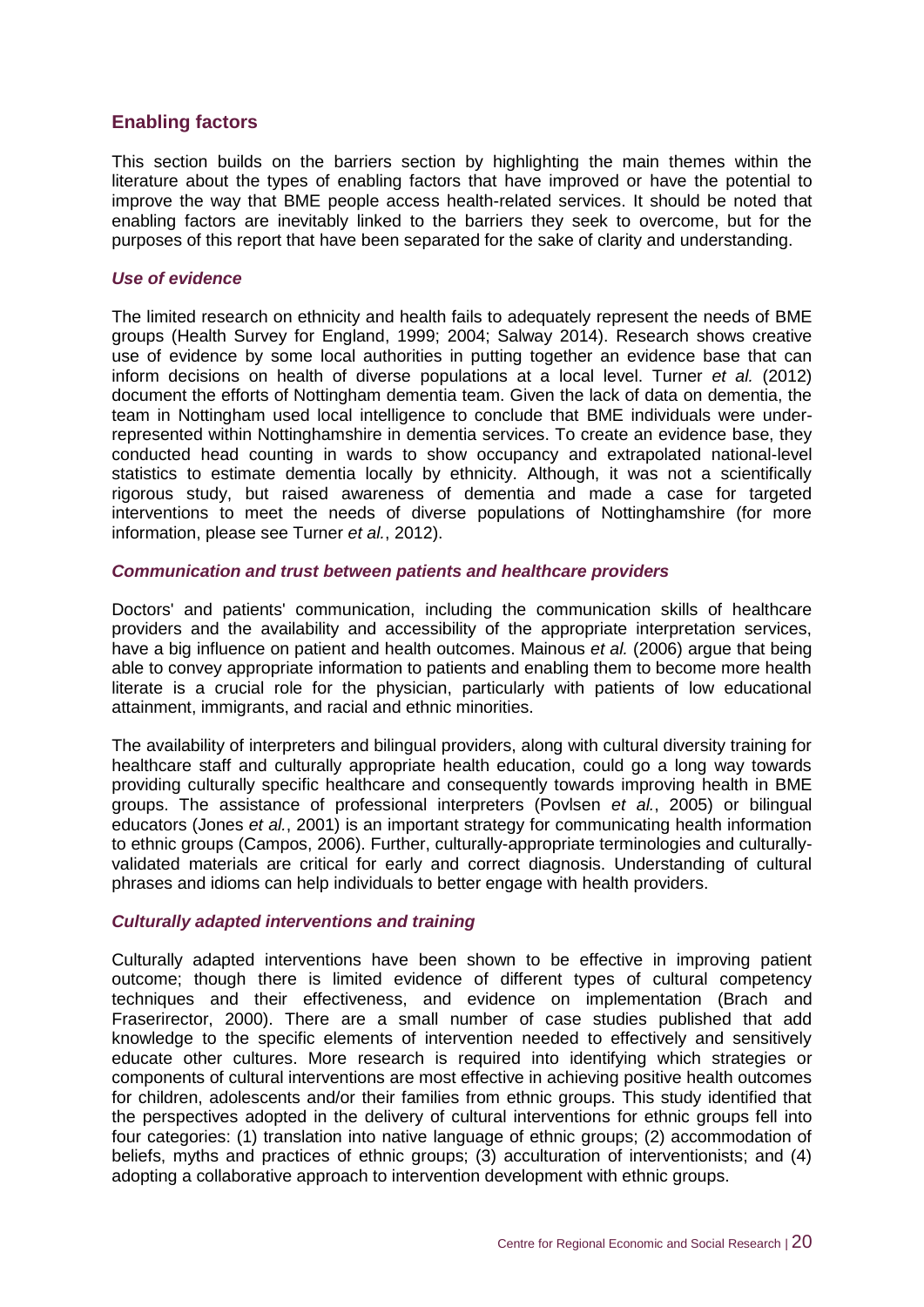#### <span id="page-26-0"></span>**Enabling factors**

This section builds on the barriers section by highlighting the main themes within the literature about the types of enabling factors that have improved or have the potential to improve the way that BME people access health-related services. It should be noted that enabling factors are inevitably linked to the barriers they seek to overcome, but for the purposes of this report that have been separated for the sake of clarity and understanding.

#### *Use of evidence*

The limited research on ethnicity and health fails to adequately represent the needs of BME groups (Health Survey for England, 1999; 2004; Salway 2014). Research shows creative use of evidence by some local authorities in putting together an evidence base that can inform decisions on health of diverse populations at a local level. Turner *et al.* (2012) document the efforts of Nottingham dementia team. Given the lack of data on dementia, the team in Nottingham used local intelligence to conclude that BME individuals were underrepresented within Nottinghamshire in dementia services. To create an evidence base, they conducted head counting in wards to show occupancy and extrapolated national-level statistics to estimate dementia locally by ethnicity. Although, it was not a scientifically rigorous study, but raised awareness of dementia and made a case for targeted interventions to meet the needs of diverse populations of Nottinghamshire (for more information, please see Turner *et al.*, 2012).

#### *Communication and trust between patients and healthcare providers*

Doctors' and patients' communication, including the communication skills of healthcare providers and the availability and accessibility of the appropriate interpretation services, have a big influence on patient and health outcomes. Mainous *et al.* (2006) argue that being able to convey appropriate information to patients and enabling them to become more health literate is a crucial role for the physician, particularly with patients of low educational attainment, immigrants, and racial and ethnic minorities.

The availability of interpreters and bilingual providers, along with cultural diversity training for healthcare staff and culturally appropriate health education, could go a long way towards providing culturally specific healthcare and consequently towards improving health in BME groups. The assistance of professional interpreters (Povlsen *et al.*, 2005) or bilingual educators (Jones *et al.*, 2001) is an important strategy for communicating health information to ethnic groups (Campos, 2006). Further, culturally-appropriate terminologies and culturallyvalidated materials are critical for early and correct diagnosis. Understanding of cultural phrases and idioms can help individuals to better engage with health providers.

#### *Culturally adapted interventions and training*

Culturally adapted interventions have been shown to be effective in improving patient outcome; though there is limited evidence of different types of cultural competency techniques and their effectiveness, and evidence on implementation (Brach and Fraserirector, 2000). There are a small number of case studies published that add knowledge to the specific elements of intervention needed to effectively and sensitively educate other cultures. More research is required into identifying which strategies or components of cultural interventions are most effective in achieving positive health outcomes for children, adolescents and/or their families from ethnic groups. This study identified that the perspectives adopted in the delivery of cultural interventions for ethnic groups fell into four categories: (1) translation into native language of ethnic groups; (2) accommodation of beliefs, myths and practices of ethnic groups; (3) acculturation of interventionists; and (4) adopting a collaborative approach to intervention development with ethnic groups.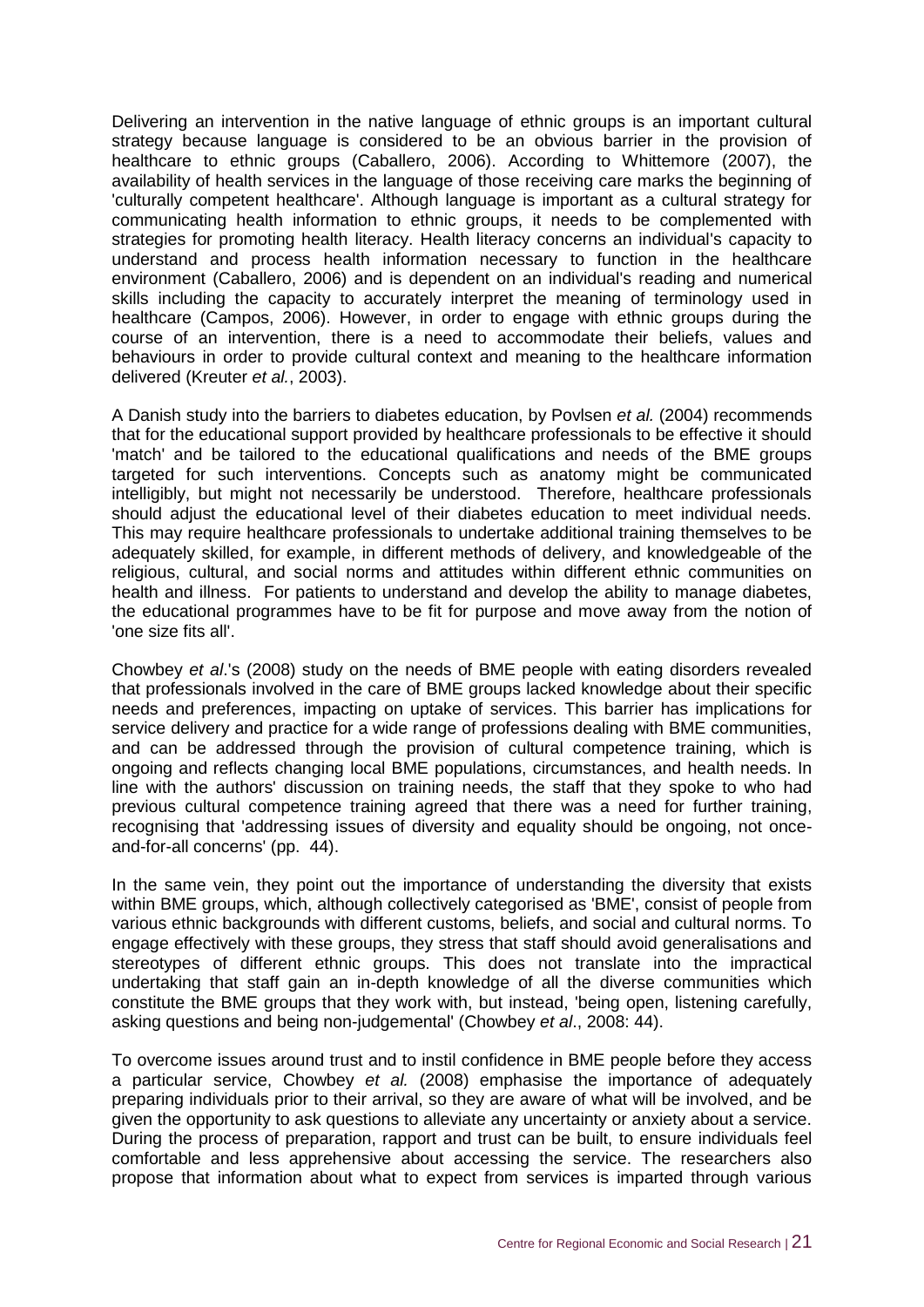Delivering an intervention in the native language of ethnic groups is an important cultural strategy because language is considered to be an obvious barrier in the provision of healthcare to ethnic groups (Caballero, 2006). According to Whittemore (2007), the availability of health services in the language of those receiving care marks the beginning of 'culturally competent healthcare'. Although language is important as a cultural strategy for communicating health information to ethnic groups, it needs to be complemented with strategies for promoting health literacy. Health literacy concerns an individual's capacity to understand and process health information necessary to function in the healthcare environment (Caballero, 2006) and is dependent on an individual's reading and numerical skills including the capacity to accurately interpret the meaning of terminology used in healthcare (Campos, 2006). However, in order to engage with ethnic groups during the course of an intervention, there is a need to accommodate their beliefs, values and behaviours in order to provide cultural context and meaning to the healthcare information delivered (Kreuter *et al.*, 2003).

A Danish study into the barriers to diabetes education, by Povlsen *et al.* (2004) recommends that for the educational support provided by healthcare professionals to be effective it should 'match' and be tailored to the educational qualifications and needs of the BME groups targeted for such interventions. Concepts such as anatomy might be communicated intelligibly, but might not necessarily be understood. Therefore, healthcare professionals should adjust the educational level of their diabetes education to meet individual needs. This may require healthcare professionals to undertake additional training themselves to be adequately skilled, for example, in different methods of delivery, and knowledgeable of the religious, cultural, and social norms and attitudes within different ethnic communities on health and illness. For patients to understand and develop the ability to manage diabetes, the educational programmes have to be fit for purpose and move away from the notion of 'one size fits all'.

Chowbey *et al*.'s (2008) study on the needs of BME people with eating disorders revealed that professionals involved in the care of BME groups lacked knowledge about their specific needs and preferences, impacting on uptake of services. This barrier has implications for service delivery and practice for a wide range of professions dealing with BME communities, and can be addressed through the provision of cultural competence training, which is ongoing and reflects changing local BME populations, circumstances, and health needs. In line with the authors' discussion on training needs, the staff that they spoke to who had previous cultural competence training agreed that there was a need for further training, recognising that 'addressing issues of diversity and equality should be ongoing, not onceand-for-all concerns' (pp. 44).

In the same vein, they point out the importance of understanding the diversity that exists within BME groups, which, although collectively categorised as 'BME', consist of people from various ethnic backgrounds with different customs, beliefs, and social and cultural norms. To engage effectively with these groups, they stress that staff should avoid generalisations and stereotypes of different ethnic groups. This does not translate into the impractical undertaking that staff gain an in-depth knowledge of all the diverse communities which constitute the BME groups that they work with, but instead, 'being open, listening carefully, asking questions and being non-judgemental' (Chowbey *et al*., 2008: 44).

To overcome issues around trust and to instil confidence in BME people before they access a particular service, Chowbey *et al.* (2008) emphasise the importance of adequately preparing individuals prior to their arrival, so they are aware of what will be involved, and be given the opportunity to ask questions to alleviate any uncertainty or anxiety about a service. During the process of preparation, rapport and trust can be built, to ensure individuals feel comfortable and less apprehensive about accessing the service. The researchers also propose that information about what to expect from services is imparted through various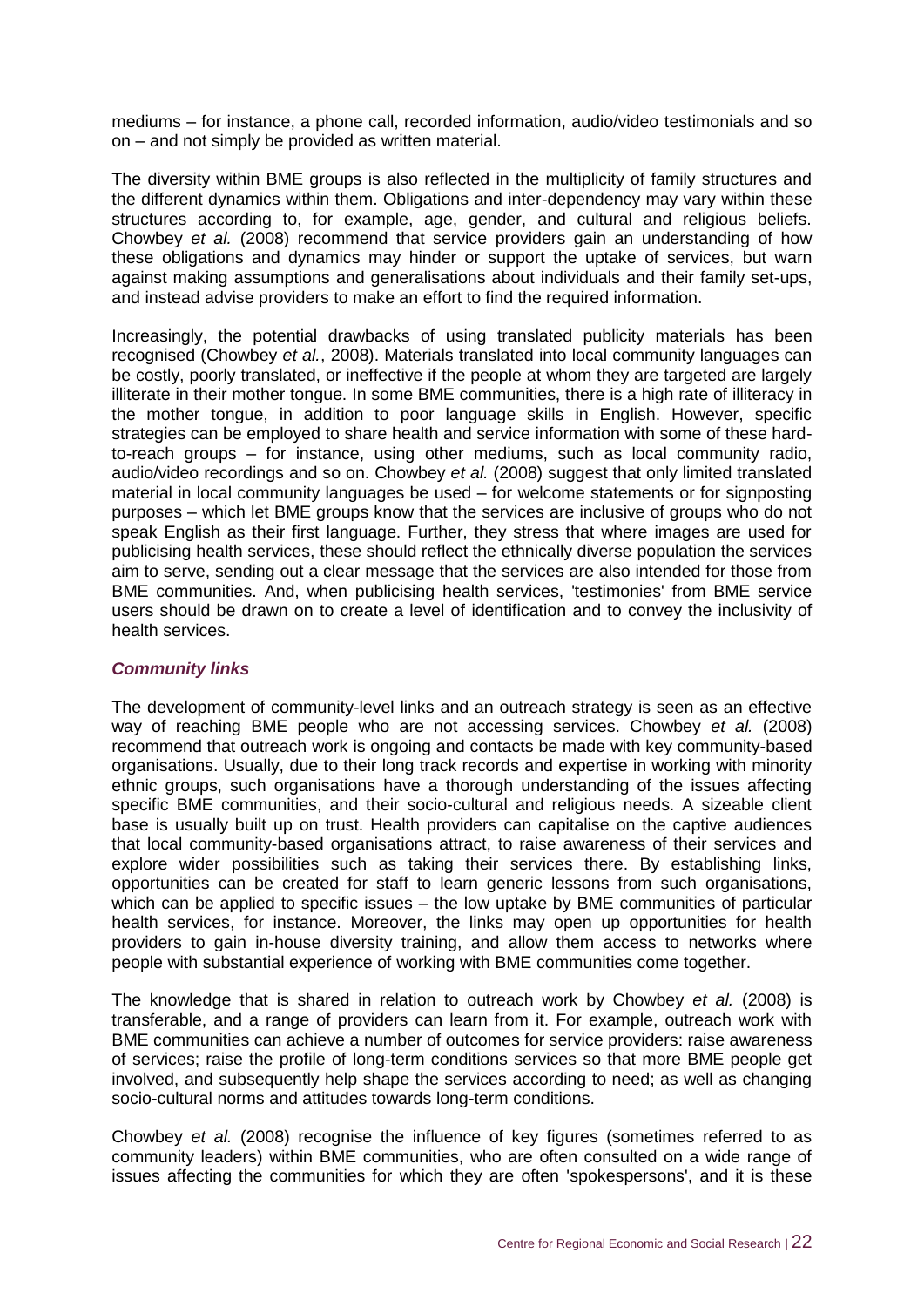mediums – for instance, a phone call, recorded information, audio/video testimonials and so on – and not simply be provided as written material.

The diversity within BME groups is also reflected in the multiplicity of family structures and the different dynamics within them. Obligations and inter-dependency may vary within these structures according to, for example, age, gender, and cultural and religious beliefs. Chowbey *et al.* (2008) recommend that service providers gain an understanding of how these obligations and dynamics may hinder or support the uptake of services, but warn against making assumptions and generalisations about individuals and their family set-ups, and instead advise providers to make an effort to find the required information.

Increasingly, the potential drawbacks of using translated publicity materials has been recognised (Chowbey *et al.*, 2008). Materials translated into local community languages can be costly, poorly translated, or ineffective if the people at whom they are targeted are largely illiterate in their mother tongue. In some BME communities, there is a high rate of illiteracy in the mother tongue, in addition to poor language skills in English. However, specific strategies can be employed to share health and service information with some of these hardto-reach groups – for instance, using other mediums, such as local community radio, audio/video recordings and so on. Chowbey *et al.* (2008) suggest that only limited translated material in local community languages be used – for welcome statements or for signposting purposes – which let BME groups know that the services are inclusive of groups who do not speak English as their first language. Further, they stress that where images are used for publicising health services, these should reflect the ethnically diverse population the services aim to serve, sending out a clear message that the services are also intended for those from BME communities. And, when publicising health services, 'testimonies' from BME service users should be drawn on to create a level of identification and to convey the inclusivity of health services.

#### *Community links*

The development of community-level links and an outreach strategy is seen as an effective way of reaching BME people who are not accessing services. Chowbey *et al.* (2008) recommend that outreach work is ongoing and contacts be made with key community-based organisations. Usually, due to their long track records and expertise in working with minority ethnic groups, such organisations have a thorough understanding of the issues affecting specific BME communities, and their socio-cultural and religious needs. A sizeable client base is usually built up on trust. Health providers can capitalise on the captive audiences that local community-based organisations attract, to raise awareness of their services and explore wider possibilities such as taking their services there. By establishing links, opportunities can be created for staff to learn generic lessons from such organisations, which can be applied to specific issues – the low uptake by BME communities of particular health services, for instance. Moreover, the links may open up opportunities for health providers to gain in-house diversity training, and allow them access to networks where people with substantial experience of working with BME communities come together.

The knowledge that is shared in relation to outreach work by Chowbey *et al.* (2008) is transferable, and a range of providers can learn from it. For example, outreach work with BME communities can achieve a number of outcomes for service providers: raise awareness of services; raise the profile of long-term conditions services so that more BME people get involved, and subsequently help shape the services according to need; as well as changing socio-cultural norms and attitudes towards long-term conditions.

Chowbey *et al.* (2008) recognise the influence of key figures (sometimes referred to as community leaders) within BME communities, who are often consulted on a wide range of issues affecting the communities for which they are often 'spokespersons', and it is these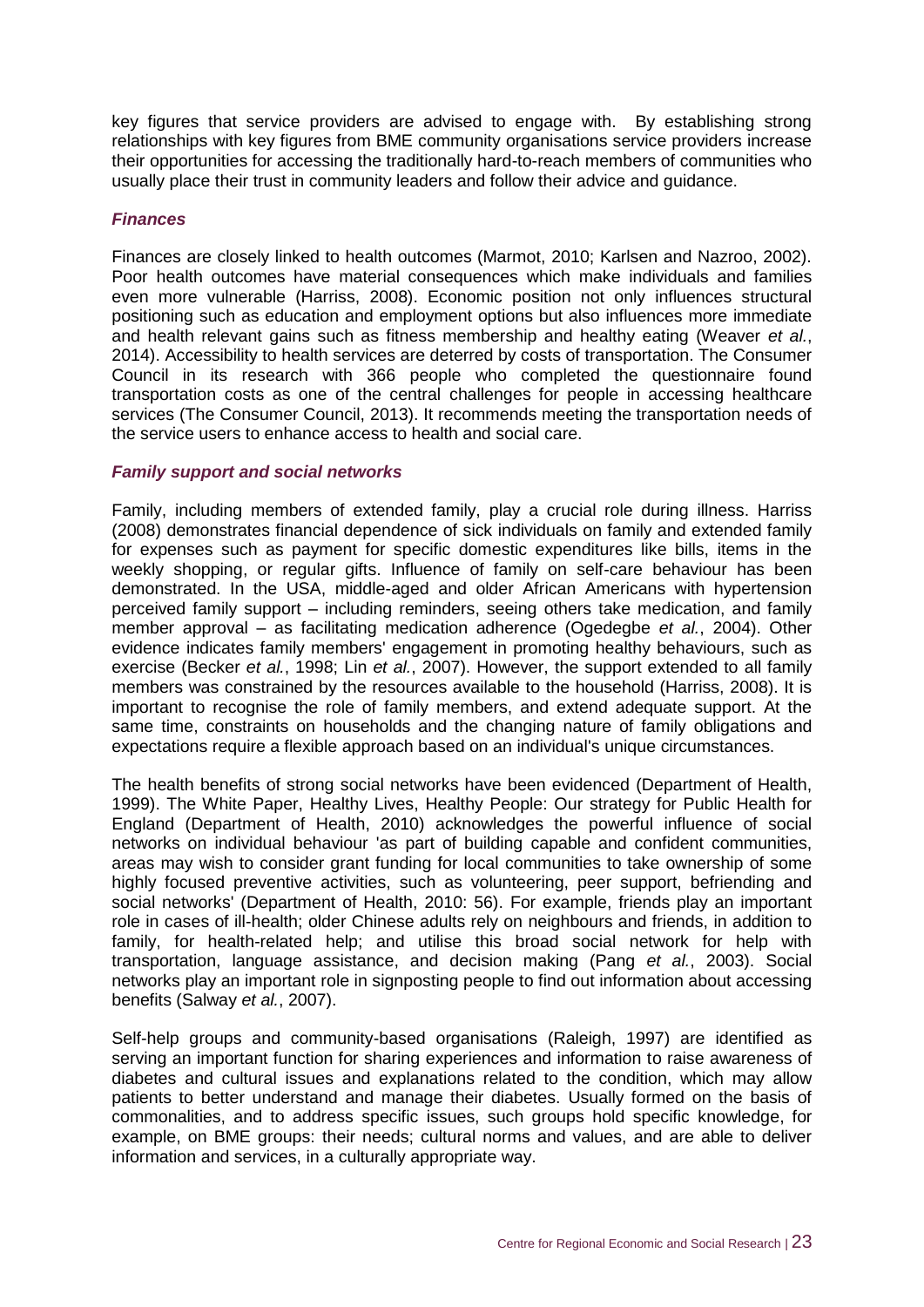key figures that service providers are advised to engage with. By establishing strong relationships with key figures from BME community organisations service providers increase their opportunities for accessing the traditionally hard-to-reach members of communities who usually place their trust in community leaders and follow their advice and guidance.

#### *Finances*

Finances are closely linked to health outcomes (Marmot, 2010; Karlsen and Nazroo, 2002). Poor health outcomes have material consequences which make individuals and families even more vulnerable (Harriss, 2008). Economic position not only influences structural positioning such as education and employment options but also influences more immediate and health relevant gains such as fitness membership and healthy eating (Weaver *et al.*, 2014). Accessibility to health services are deterred by costs of transportation. The Consumer Council in its research with 366 people who completed the questionnaire found transportation costs as one of the central challenges for people in accessing healthcare services (The Consumer Council, 2013). It recommends meeting the transportation needs of the service users to enhance access to health and social care.

#### *Family support and social networks*

Family, including members of extended family, play a crucial role during illness. Harriss (2008) demonstrates financial dependence of sick individuals on family and extended family for expenses such as payment for specific domestic expenditures like bills, items in the weekly shopping, or regular gifts. Influence of family on self-care behaviour has been demonstrated. In the USA, middle-aged and older African Americans with hypertension perceived family support – including reminders, seeing others take medication, and family member approval – as facilitating medication adherence (Ogedegbe *et al.*, 2004). Other evidence indicates family members' engagement in promoting healthy behaviours, such as exercise (Becker *et al.*, 1998; Lin *et al.*, 2007). However, the support extended to all family members was constrained by the resources available to the household (Harriss, 2008). It is important to recognise the role of family members, and extend adequate support. At the same time, constraints on households and the changing nature of family obligations and expectations require a flexible approach based on an individual's unique circumstances.

The health benefits of strong social networks have been evidenced (Department of Health, 1999). The White Paper, Healthy Lives, Healthy People: Our strategy for Public Health for England (Department of Health, 2010) acknowledges the powerful influence of social networks on individual behaviour 'as part of building capable and confident communities, areas may wish to consider grant funding for local communities to take ownership of some highly focused preventive activities, such as volunteering, peer support, befriending and social networks' (Department of Health, 2010: 56). For example, friends play an important role in cases of ill-health; older Chinese adults rely on neighbours and friends, in addition to family, for health-related help; and utilise this broad social network for help with transportation, language assistance, and decision making (Pang *et al.*, 2003). Social networks play an important role in signposting people to find out information about accessing benefits (Salway *et al.*, 2007).

Self-help groups and community-based organisations (Raleigh, 1997) are identified as serving an important function for sharing experiences and information to raise awareness of diabetes and cultural issues and explanations related to the condition, which may allow patients to better understand and manage their diabetes. Usually formed on the basis of commonalities, and to address specific issues, such groups hold specific knowledge, for example, on BME groups: their needs; cultural norms and values, and are able to deliver information and services, in a culturally appropriate way.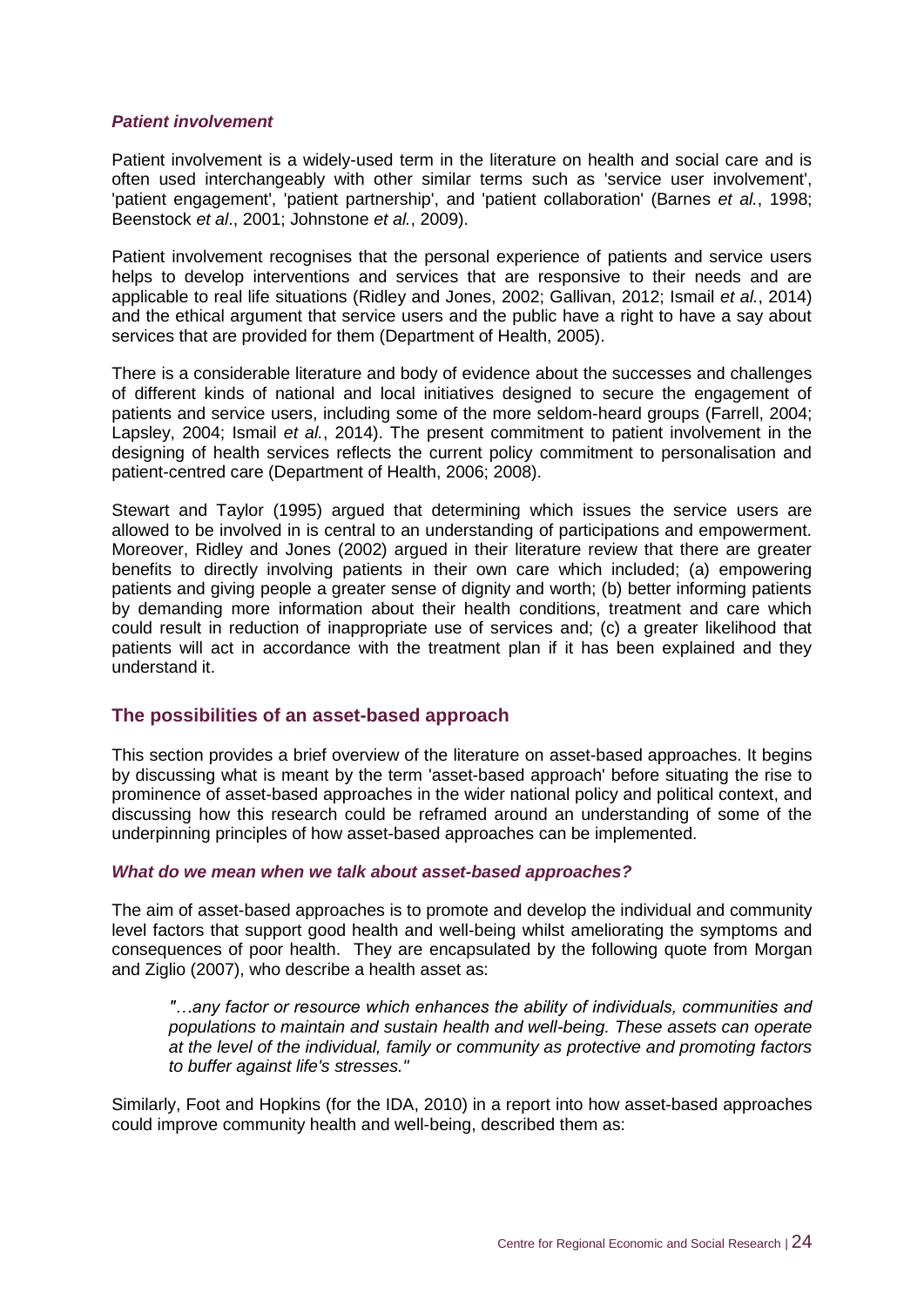#### *Patient involvement*

Patient involvement is a widely-used term in the literature on health and social care and is often used interchangeably with other similar terms such as 'service user involvement', 'patient engagement', 'patient partnership', and 'patient collaboration' (Barnes *et al.*, 1998; Beenstock *et al*., 2001; Johnstone *et al.*, 2009).

Patient involvement recognises that the personal experience of patients and service users helps to develop interventions and services that are responsive to their needs and are applicable to real life situations (Ridley and Jones, 2002; Gallivan, 2012; Ismail *et al.*, 2014) and the ethical argument that service users and the public have a right to have a say about services that are provided for them (Department of Health, 2005).

There is a considerable literature and body of evidence about the successes and challenges of different kinds of national and local initiatives designed to secure the engagement of patients and service users, including some of the more seldom-heard groups (Farrell, 2004; Lapsley, 2004; Ismail *et al.*, 2014). The present commitment to patient involvement in the designing of health services reflects the current policy commitment to personalisation and patient-centred care (Department of Health, 2006; 2008).

Stewart and Taylor (1995) argued that determining which issues the service users are allowed to be involved in is central to an understanding of participations and empowerment. Moreover, Ridley and Jones (2002) argued in their literature review that there are greater benefits to directly involving patients in their own care which included; (a) empowering patients and giving people a greater sense of dignity and worth; (b) better informing patients by demanding more information about their health conditions, treatment and care which could result in reduction of inappropriate use of services and; (c) a greater likelihood that patients will act in accordance with the treatment plan if it has been explained and they understand it.

#### <span id="page-30-0"></span>**The possibilities of an asset-based approach**

This section provides a brief overview of the literature on asset-based approaches. It begins by discussing what is meant by the term 'asset-based approach' before situating the rise to prominence of asset-based approaches in the wider national policy and political context, and discussing how this research could be reframed around an understanding of some of the underpinning principles of how asset-based approaches can be implemented.

#### *What do we mean when we talk about asset-based approaches?*

The aim of asset-based approaches is to promote and develop the individual and community level factors that support good health and well-being whilst ameliorating the symptoms and consequences of poor health. They are encapsulated by the following quote from Morgan and Ziglio (2007), who describe a health asset as:

*"…any factor or resource which enhances the ability of individuals, communities and populations to maintain and sustain health and well-being. These assets can operate at the level of the individual, family or community as protective and promoting factors to buffer against life's stresses."*

Similarly, Foot and Hopkins (for the IDA, 2010) in a report into how asset-based approaches could improve community health and well-being, described them as: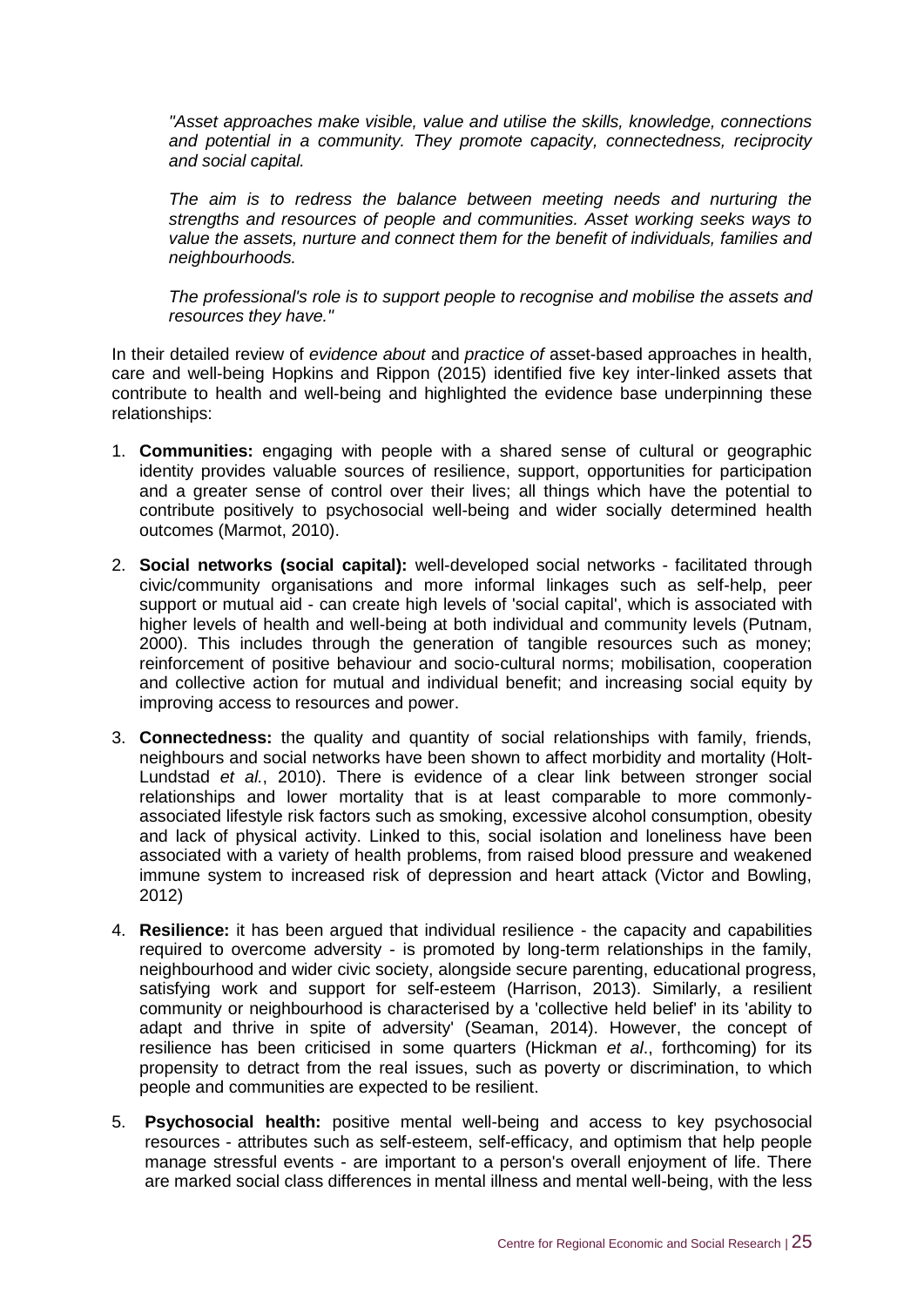*"Asset approaches make visible, value and utilise the skills, knowledge, connections and potential in a community. They promote capacity, connectedness, reciprocity and social capital.*

*The aim is to redress the balance between meeting needs and nurturing the strengths and resources of people and communities. Asset working seeks ways to value the assets, nurture and connect them for the benefit of individuals, families and neighbourhoods.*

*The professional's role is to support people to recognise and mobilise the assets and resources they have."*

In their detailed review of *evidence about* and *practice of* asset-based approaches in health, care and well-being Hopkins and Rippon (2015) identified five key inter-linked assets that contribute to health and well-being and highlighted the evidence base underpinning these relationships:

- 1. **Communities:** engaging with people with a shared sense of cultural or geographic identity provides valuable sources of resilience, support, opportunities for participation and a greater sense of control over their lives; all things which have the potential to contribute positively to psychosocial well-being and wider socially determined health outcomes (Marmot, 2010).
- 2. **Social networks (social capital):** well-developed social networks facilitated through civic/community organisations and more informal linkages such as self-help, peer support or mutual aid - can create high levels of 'social capital', which is associated with higher levels of health and well-being at both individual and community levels (Putnam, 2000). This includes through the generation of tangible resources such as money; reinforcement of positive behaviour and socio-cultural norms; mobilisation, cooperation and collective action for mutual and individual benefit; and increasing social equity by improving access to resources and power.
- 3. **Connectedness:** the quality and quantity of social relationships with family, friends, neighbours and social networks have been shown to affect morbidity and mortality (Holt-Lundstad *et al.*, 2010). There is evidence of a clear link between stronger social relationships and lower mortality that is at least comparable to more commonlyassociated lifestyle risk factors such as smoking, excessive alcohol consumption, obesity and lack of physical activity. Linked to this, social isolation and loneliness have been associated with a variety of health problems, from raised blood pressure and weakened immune system to increased risk of depression and heart attack (Victor and Bowling, 2012)
- 4. **Resilience:** it has been argued that individual resilience the capacity and capabilities required to overcome adversity - is promoted by long-term relationships in the family, neighbourhood and wider civic society, alongside secure parenting, educational progress, satisfying work and support for self-esteem (Harrison, 2013). Similarly, a resilient community or neighbourhood is characterised by a 'collective held belief' in its 'ability to adapt and thrive in spite of adversity' (Seaman, 2014). However, the concept of resilience has been criticised in some quarters (Hickman *et al*., forthcoming) for its propensity to detract from the real issues, such as poverty or discrimination, to which people and communities are expected to be resilient.
- 5. **Psychosocial health:** positive mental well-being and access to key psychosocial resources - attributes such as self-esteem, self-efficacy, and optimism that help people manage stressful events - are important to a person's overall enjoyment of life. There are marked social class differences in mental illness and mental well-being, with the less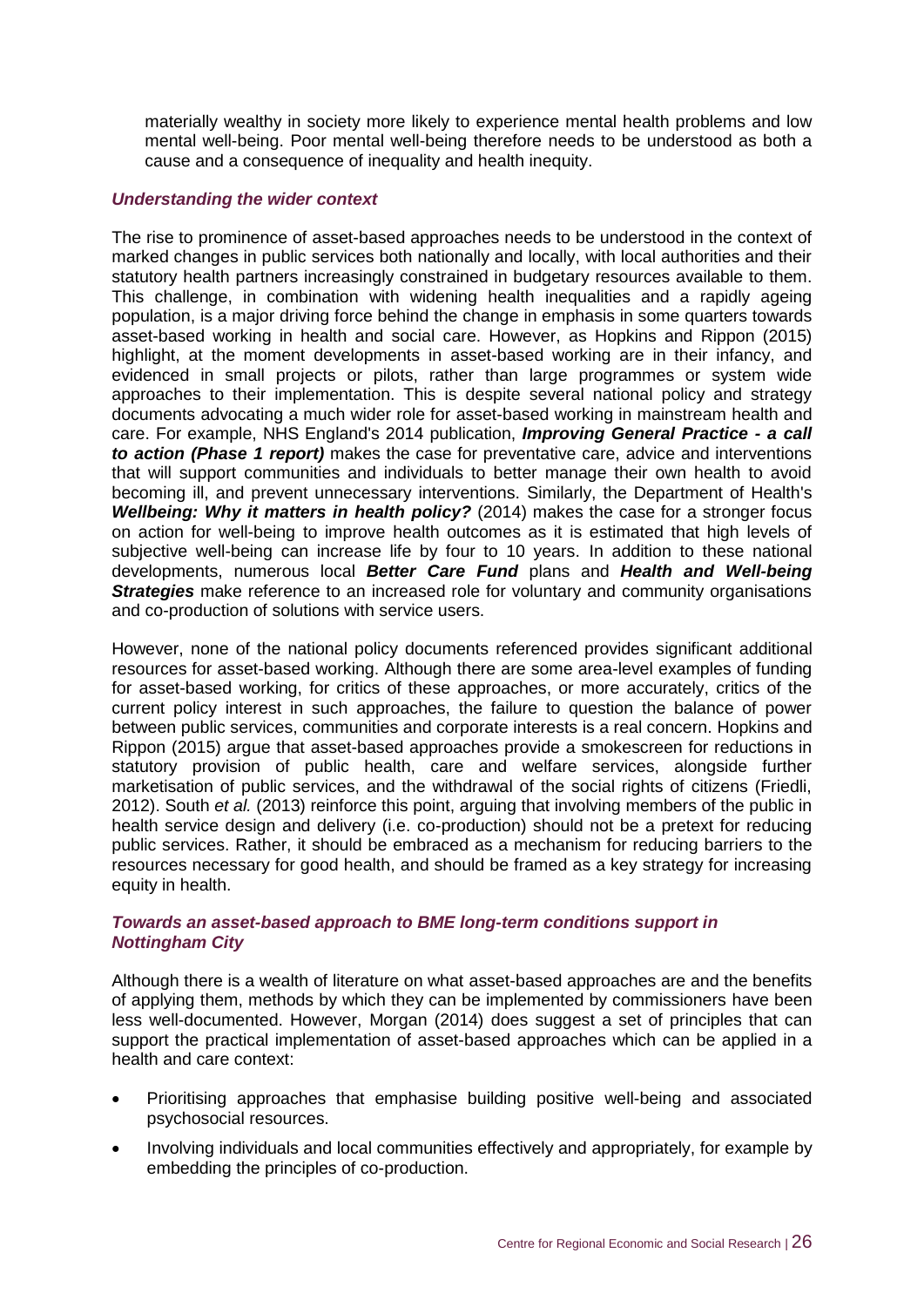materially wealthy in society more likely to experience mental health problems and low mental well-being. Poor mental well-being therefore needs to be understood as both a cause and a consequence of inequality and health inequity.

#### *Understanding the wider context*

The rise to prominence of asset-based approaches needs to be understood in the context of marked changes in public services both nationally and locally, with local authorities and their statutory health partners increasingly constrained in budgetary resources available to them. This challenge, in combination with widening health inequalities and a rapidly ageing population, is a major driving force behind the change in emphasis in some quarters towards asset-based working in health and social care. However, as Hopkins and Rippon (2015) highlight, at the moment developments in asset-based working are in their infancy, and evidenced in small projects or pilots, rather than large programmes or system wide approaches to their implementation. This is despite several national policy and strategy documents advocating a much wider role for asset-based working in mainstream health and care. For example, NHS England's 2014 publication, *Improving General Practice - a call to action (Phase 1 report)* makes the case for preventative care, advice and interventions that will support communities and individuals to better manage their own health to avoid becoming ill, and prevent unnecessary interventions. Similarly, the Department of Health's *Wellbeing: Why it matters in health policy?* (2014) makes the case for a stronger focus on action for well-being to improve health outcomes as it is estimated that high levels of subjective well-being can increase life by four to 10 years. In addition to these national developments, numerous local *Better Care Fund* plans and *Health and Well-being Strategies* make reference to an increased role for voluntary and community organisations and co-production of solutions with service users.

However, none of the national policy documents referenced provides significant additional resources for asset-based working. Although there are some area-level examples of funding for asset-based working, for critics of these approaches, or more accurately, critics of the current policy interest in such approaches, the failure to question the balance of power between public services, communities and corporate interests is a real concern. Hopkins and Rippon (2015) argue that asset-based approaches provide a smokescreen for reductions in statutory provision of public health, care and welfare services, alongside further marketisation of public services, and the withdrawal of the social rights of citizens (Friedli, 2012). South *et al.* (2013) reinforce this point, arguing that involving members of the public in health service design and delivery (i.e. co-production) should not be a pretext for reducing public services. Rather, it should be embraced as a mechanism for reducing barriers to the resources necessary for good health, and should be framed as a key strategy for increasing equity in health.

#### *Towards an asset-based approach to BME long-term conditions support in Nottingham City*

Although there is a wealth of literature on what asset-based approaches are and the benefits of applying them, methods by which they can be implemented by commissioners have been less well-documented. However, Morgan (2014) does suggest a set of principles that can support the practical implementation of asset-based approaches which can be applied in a health and care context:

- Prioritising approaches that emphasise building positive well-being and associated psychosocial resources.
- Involving individuals and local communities effectively and appropriately, for example by embedding the principles of co-production.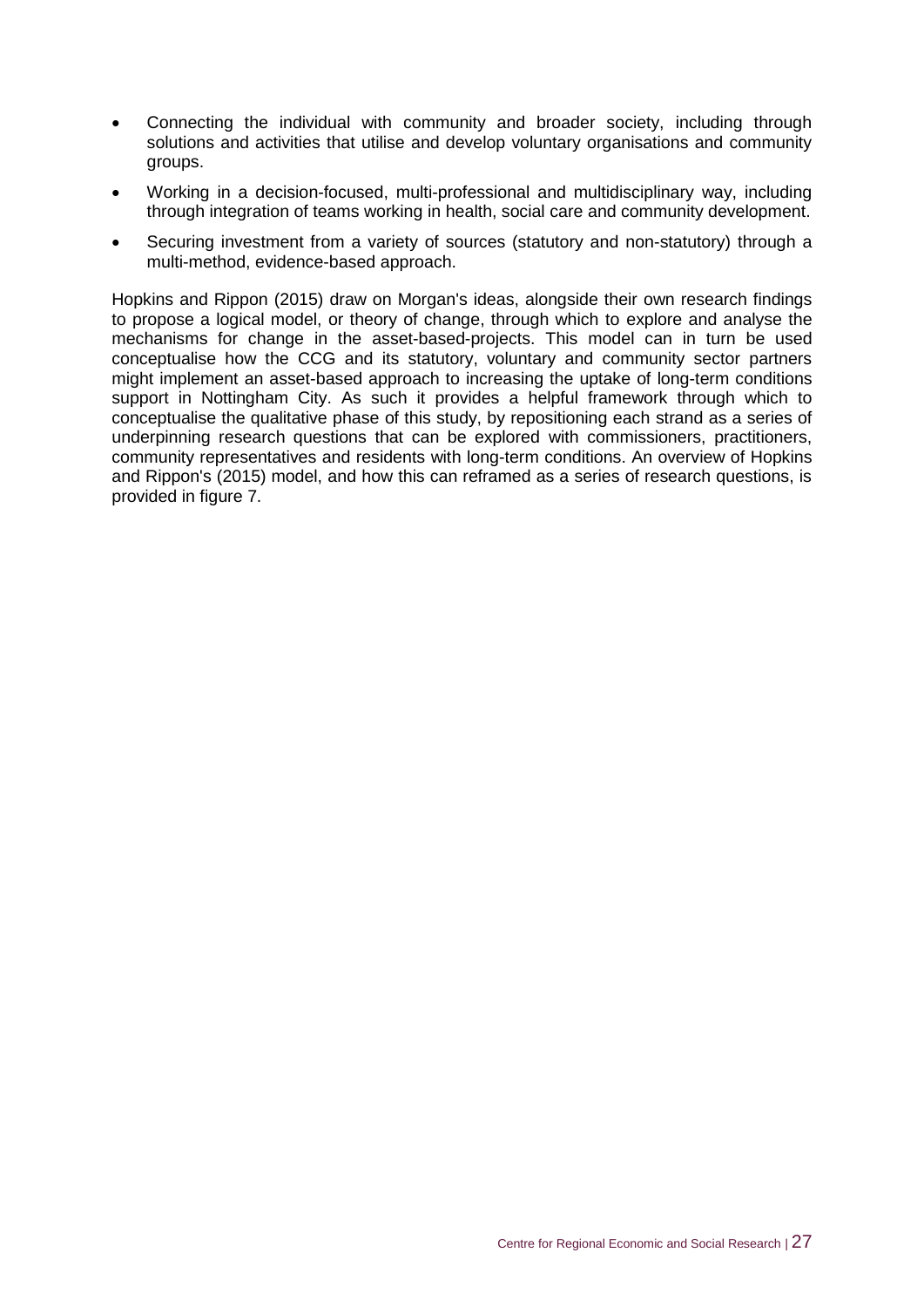- Connecting the individual with community and broader society, including through solutions and activities that utilise and develop voluntary organisations and community groups.
- Working in a decision-focused, multi-professional and multidisciplinary way, including through integration of teams working in health, social care and community development.
- Securing investment from a variety of sources (statutory and non-statutory) through a multi-method, evidence-based approach.

Hopkins and Rippon (2015) draw on Morgan's ideas, alongside their own research findings to propose a logical model, or theory of change, through which to explore and analyse the mechanisms for change in the asset-based-projects. This model can in turn be used conceptualise how the CCG and its statutory, voluntary and community sector partners might implement an asset-based approach to increasing the uptake of long-term conditions support in Nottingham City. As such it provides a helpful framework through which to conceptualise the qualitative phase of this study, by repositioning each strand as a series of underpinning research questions that can be explored with commissioners, practitioners, community representatives and residents with long-term conditions. An overview of Hopkins and Rippon's (2015) model, and how this can reframed as a series of research questions, is provided in figure 7.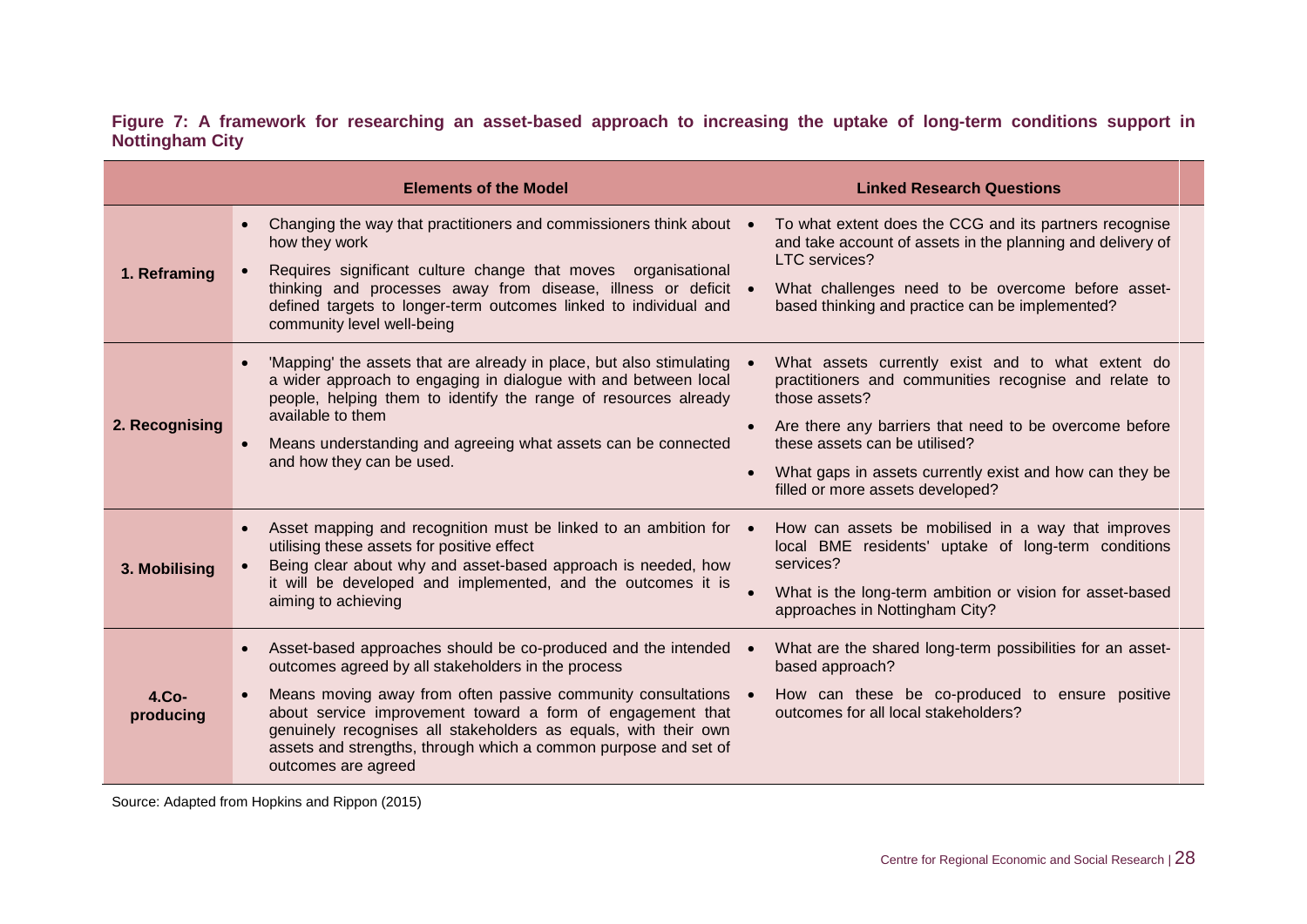|                        |  |  | Figure 7: A framework for researching an asset-based approach to increasing the uptake of long-term conditions support in |  |  |  |  |  |
|------------------------|--|--|---------------------------------------------------------------------------------------------------------------------------|--|--|--|--|--|
| <b>Nottingham City</b> |  |  |                                                                                                                           |  |  |  |  |  |

|                      | <b>Elements of the Model</b>                                                                                                                                                                                                                                                                                                                                                                                                                 | <b>Linked Research Questions</b>                                                                                                                                                                                                                                                                                      |
|----------------------|----------------------------------------------------------------------------------------------------------------------------------------------------------------------------------------------------------------------------------------------------------------------------------------------------------------------------------------------------------------------------------------------------------------------------------------------|-----------------------------------------------------------------------------------------------------------------------------------------------------------------------------------------------------------------------------------------------------------------------------------------------------------------------|
| 1. Reframing         | Changing the way that practitioners and commissioners think about ●<br>$\bullet$<br>how they work<br>Requires significant culture change that moves organisational<br>thinking and processes away from disease, illness or deficit .<br>defined targets to longer-term outcomes linked to individual and<br>community level well-being                                                                                                       | To what extent does the CCG and its partners recognise<br>and take account of assets in the planning and delivery of<br>LTC services?<br>What challenges need to be overcome before asset-<br>based thinking and practice can be implemented?                                                                         |
| 2. Recognising       | 'Mapping' the assets that are already in place, but also stimulating .<br>$\bullet$<br>a wider approach to engaging in dialogue with and between local<br>people, helping them to identify the range of resources already<br>available to them<br>Means understanding and agreeing what assets can be connected<br>and how they can be used.                                                                                                 | What assets currently exist and to what extent do<br>practitioners and communities recognise and relate to<br>those assets?<br>Are there any barriers that need to be overcome before<br>these assets can be utilised?<br>What gaps in assets currently exist and how can they be<br>filled or more assets developed? |
| 3. Mobilising        | Asset mapping and recognition must be linked to an ambition for •<br>$\bullet$<br>utilising these assets for positive effect<br>Being clear about why and asset-based approach is needed, how<br>it will be developed and implemented, and the outcomes it is<br>aiming to achieving                                                                                                                                                         | How can assets be mobilised in a way that improves<br>local BME residents' uptake of long-term conditions<br>services?<br>What is the long-term ambition or vision for asset-based<br>approaches in Nottingham City?                                                                                                  |
| $4.Co-$<br>producing | Asset-based approaches should be co-produced and the intended .<br>$\bullet$<br>outcomes agreed by all stakeholders in the process<br>Means moving away from often passive community consultations .<br>$\bullet$<br>about service improvement toward a form of engagement that<br>genuinely recognises all stakeholders as equals, with their own<br>assets and strengths, through which a common purpose and set of<br>outcomes are agreed | What are the shared long-term possibilities for an asset-<br>based approach?<br>How can these be co-produced to ensure positive<br>outcomes for all local stakeholders?                                                                                                                                               |

Source: Adapted from Hopkins and Rippon (2015)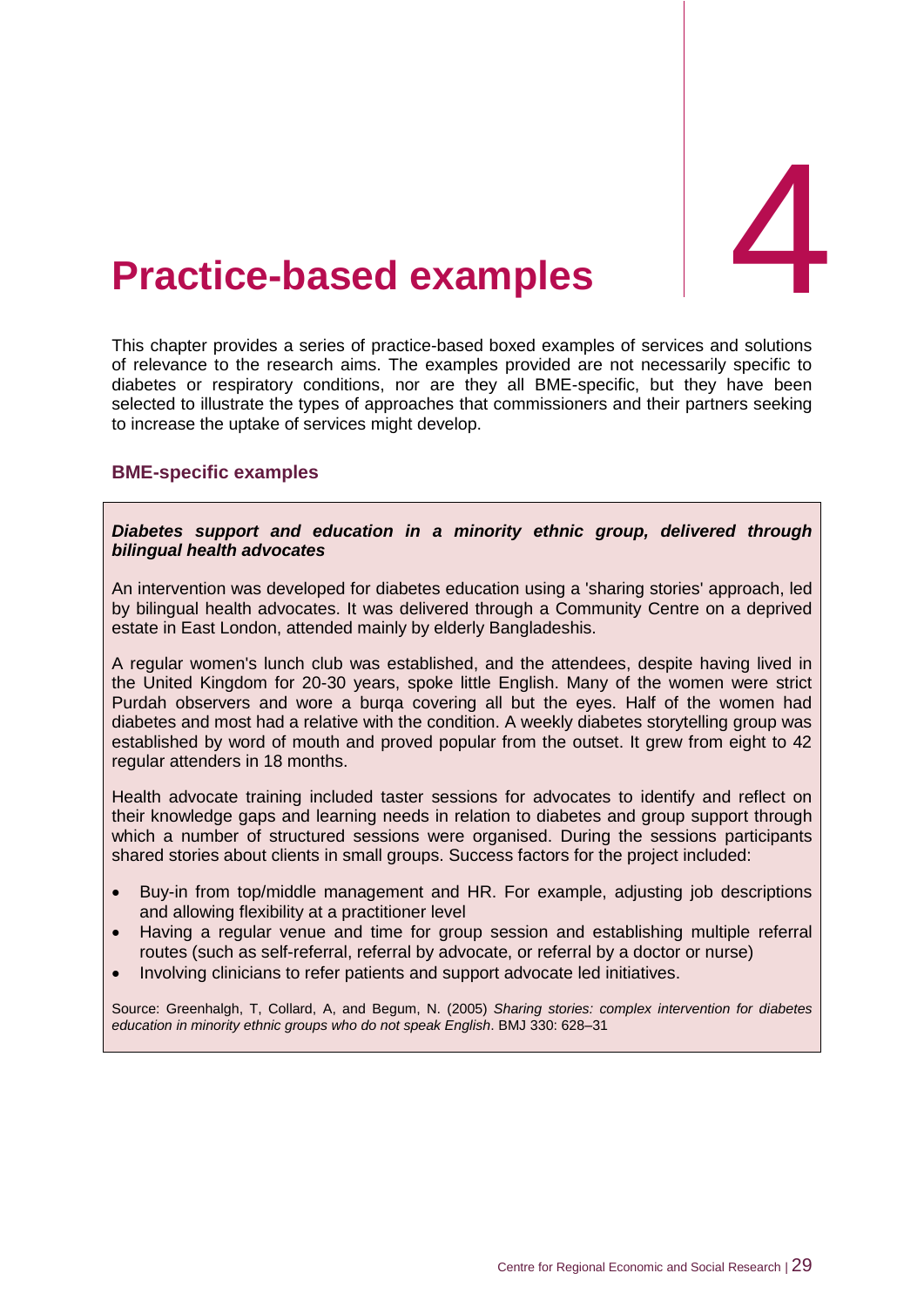## <span id="page-35-0"></span>4. **Practice-based examples** 4

This chapter provides a series of practice-based boxed examples of services and solutions of relevance to the research aims. The examples provided are not necessarily specific to diabetes or respiratory conditions, nor are they all BME-specific, but they have been selected to illustrate the types of approaches that commissioners and their partners seeking to increase the uptake of services might develop.

#### <span id="page-35-1"></span>**BME-specific examples**

*Diabetes support and education in a minority ethnic group, delivered through bilingual health advocates* 

An intervention was developed for diabetes education using a 'sharing stories' approach, led by bilingual health advocates. It was delivered through a Community Centre on a deprived estate in East London, attended mainly by elderly Bangladeshis.

A regular women's lunch club was established, and the attendees, despite having lived in the United Kingdom for 20-30 years, spoke little English. Many of the women were strict Purdah observers and wore a burqa covering all but the eyes. Half of the women had diabetes and most had a relative with the condition. A weekly diabetes storytelling group was established by word of mouth and proved popular from the outset. It grew from eight to 42 regular attenders in 18 months.

Health advocate training included taster sessions for advocates to identify and reflect on their knowledge gaps and learning needs in relation to diabetes and group support through which a number of structured sessions were organised. During the sessions participants shared stories about clients in small groups. Success factors for the project included:

- Buy-in from top/middle management and HR. For example, adjusting job descriptions and allowing flexibility at a practitioner level
- Having a regular venue and time for group session and establishing multiple referral routes (such as self-referral, referral by advocate, or referral by a doctor or nurse)
- Involving clinicians to refer patients and support advocate led initiatives.

Source: Greenhalgh, T, Collard, A, and Begum, N. (2005) *Sharing stories: complex intervention for diabetes education in minority ethnic groups who do not speak English*. BMJ 330: 628–31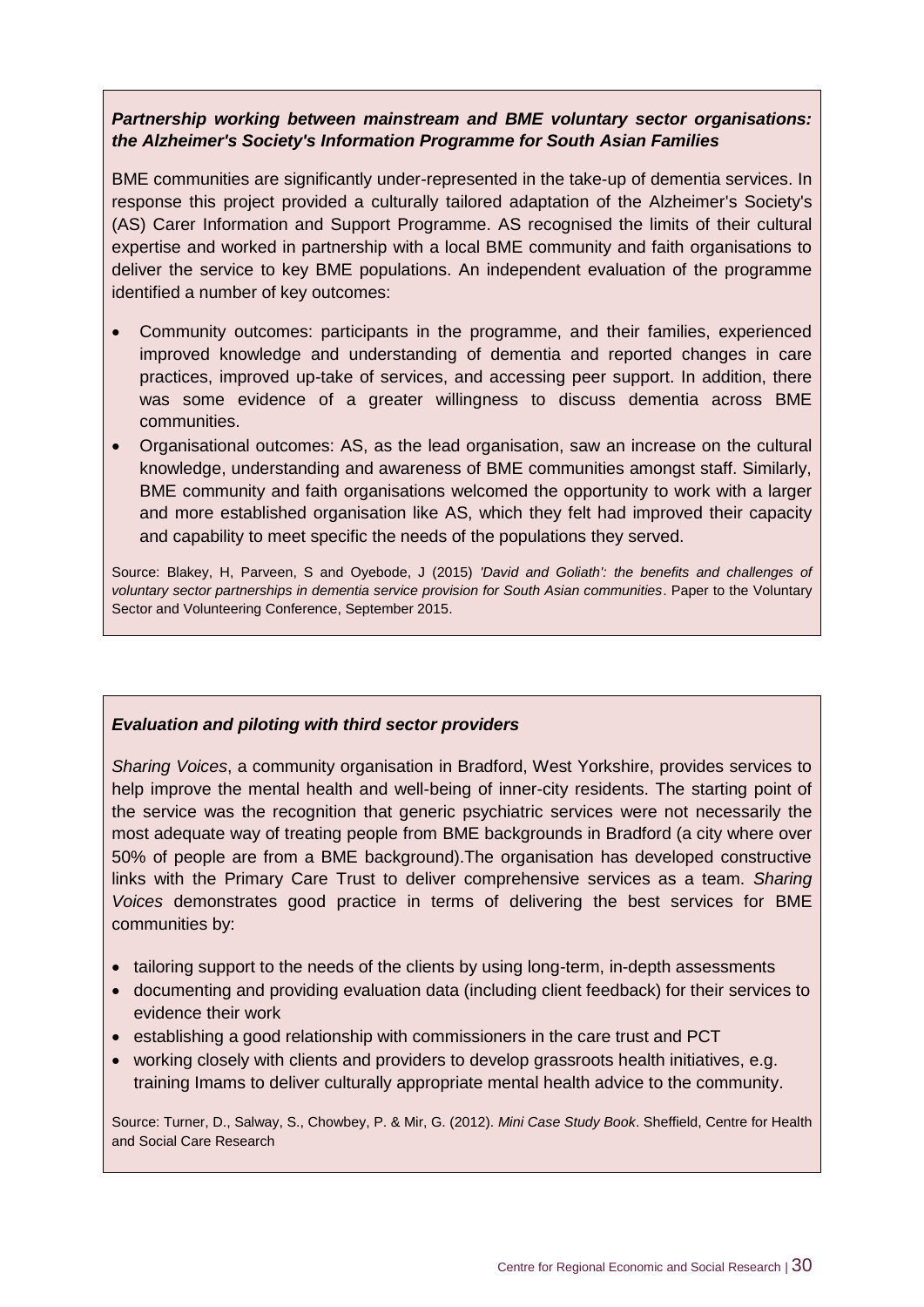#### *Partnership working between mainstream and BME voluntary sector organisations: the Alzheimer's Society's Information Programme for South Asian Families*

BME communities are significantly under-represented in the take-up of dementia services. In response this project provided a culturally tailored adaptation of the Alzheimer's Society's (AS) Carer Information and Support Programme. AS recognised the limits of their cultural expertise and worked in partnership with a local BME community and faith organisations to deliver the service to key BME populations. An independent evaluation of the programme identified a number of key outcomes:

- Community outcomes: participants in the programme, and their families, experienced improved knowledge and understanding of dementia and reported changes in care practices, improved up-take of services, and accessing peer support. In addition, there was some evidence of a greater willingness to discuss dementia across BME communities.
- Organisational outcomes: AS, as the lead organisation, saw an increase on the cultural knowledge, understanding and awareness of BME communities amongst staff. Similarly, BME community and faith organisations welcomed the opportunity to work with a larger and more established organisation like AS, which they felt had improved their capacity and capability to meet specific the needs of the populations they served.

Source: Blakey, H, Parveen, S and Oyebode, J (2015) *'David and Goliath': the benefits and challenges of voluntary sector partnerships in dementia service provision for South Asian communities*. Paper to the Voluntary Sector and Volunteering Conference, September 2015.

#### *Evaluation and piloting with third sector providers*

*Sharing Voices*, a community organisation in Bradford, West Yorkshire, provides services to help improve the mental health and well-being of inner-city residents. The starting point of the service was the recognition that generic psychiatric services were not necessarily the most adequate way of treating people from BME backgrounds in Bradford (a city where over 50% of people are from a BME background).The organisation has developed constructive links with the Primary Care Trust to deliver comprehensive services as a team. *Sharing Voices* demonstrates good practice in terms of delivering the best services for BME communities by:

- tailoring support to the needs of the clients by using long-term, in-depth assessments
- documenting and providing evaluation data (including client feedback) for their services to evidence their work
- establishing a good relationship with commissioners in the care trust and PCT
- working closely with clients and providers to develop grassroots health initiatives, e.g. training Imams to deliver culturally appropriate mental health advice to the community.

Source: Turner, D., Salway, S., Chowbey, P. & Mir, G. (2012). *Mini Case Study Book*. Sheffield, Centre for Health and Social Care Research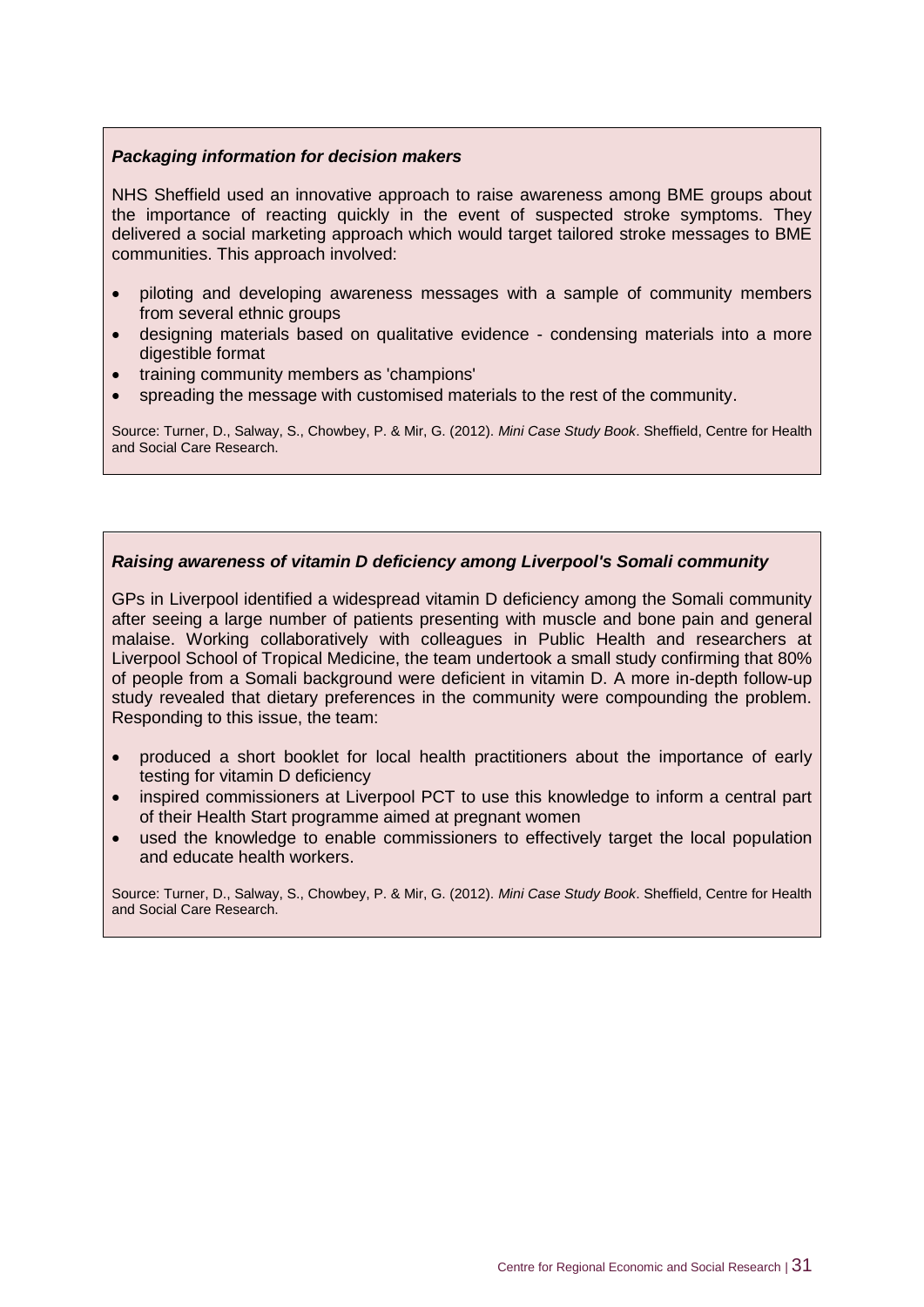#### *Packaging information for decision makers*

NHS Sheffield used an innovative approach to raise awareness among BME groups about the importance of reacting quickly in the event of suspected stroke symptoms. They delivered a social marketing approach which would target tailored stroke messages to BME communities. This approach involved:

- piloting and developing awareness messages with a sample of community members from several ethnic groups
- designing materials based on qualitative evidence condensing materials into a more digestible format
- training community members as 'champions'
- spreading the message with customised materials to the rest of the community.

Source: Turner, D., Salway, S., Chowbey, P. & Mir, G. (2012). *Mini Case Study Book*. Sheffield, Centre for Health and Social Care Research.

#### *Raising awareness of vitamin D deficiency among Liverpool's Somali community*

GPs in Liverpool identified a widespread vitamin D deficiency among the Somali community after seeing a large number of patients presenting with muscle and bone pain and general malaise. Working collaboratively with colleagues in Public Health and researchers at Liverpool School of Tropical Medicine, the team undertook a small study confirming that 80% of people from a Somali background were deficient in vitamin D. A more in-depth follow-up study revealed that dietary preferences in the community were compounding the problem. Responding to this issue, the team:

- produced a short booklet for local health practitioners about the importance of early testing for vitamin D deficiency
- inspired commissioners at Liverpool PCT to use this knowledge to inform a central part of their Health Start programme aimed at pregnant women
- used the knowledge to enable commissioners to effectively target the local population and educate health workers.

Source: Turner, D., Salway, S., Chowbey, P. & Mir, G. (2012). *Mini Case Study Book*. Sheffield, Centre for Health and Social Care Research.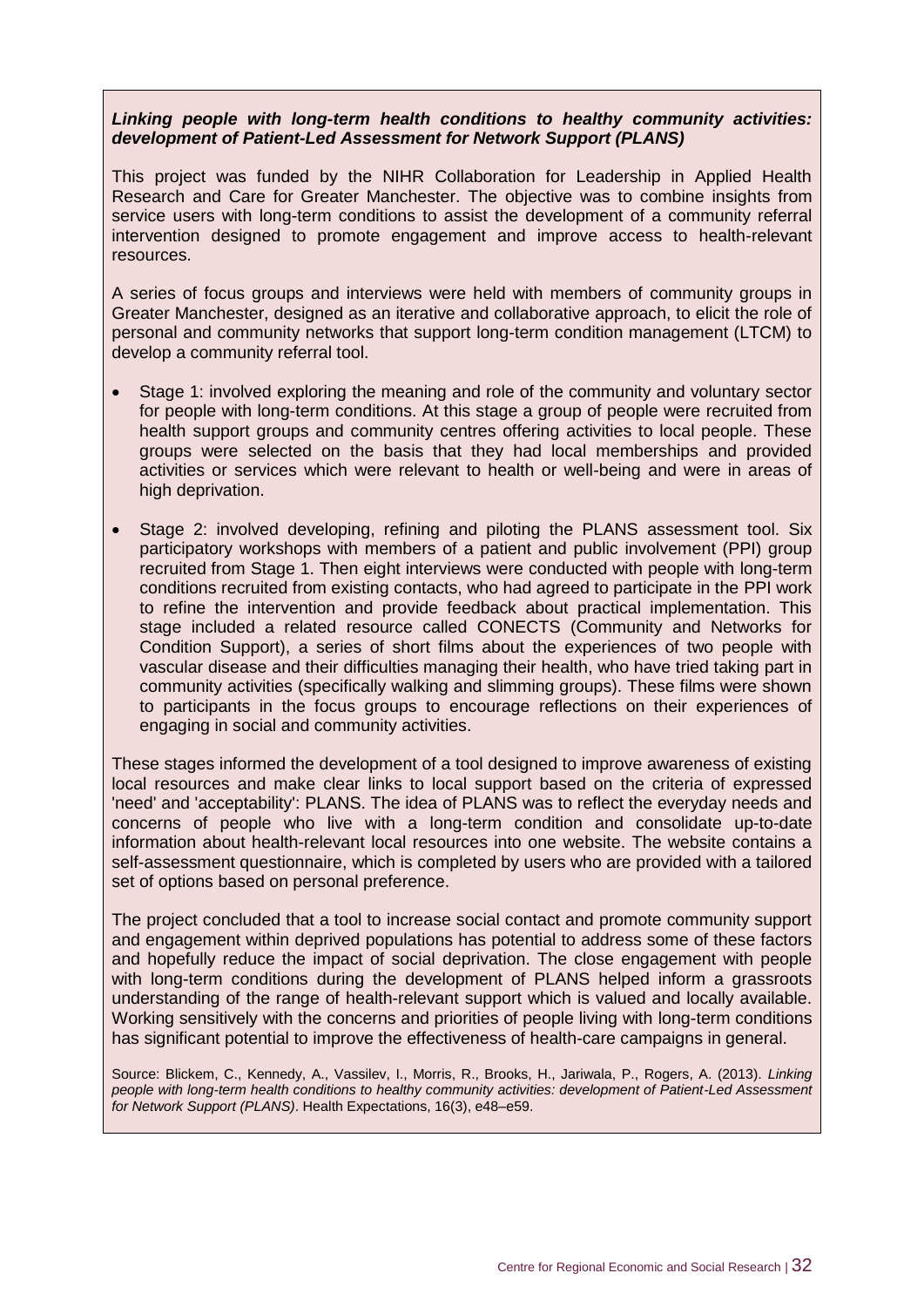#### *Linking people with long-term health conditions to healthy community activities: development of Patient-Led Assessment for Network Support (PLANS)*

This project was funded by the NIHR Collaboration for Leadership in Applied Health Research and Care for Greater Manchester. The objective was to combine insights from service users with long-term conditions to assist the development of a community referral intervention designed to promote engagement and improve access to health-relevant resources.

A series of focus groups and interviews were held with members of community groups in Greater Manchester, designed as an iterative and collaborative approach, to elicit the role of personal and community networks that support long-term condition management (LTCM) to develop a community referral tool.

- Stage 1: involved exploring the meaning and role of the community and voluntary sector for people with long-term conditions. At this stage a group of people were recruited from health support groups and community centres offering activities to local people. These groups were selected on the basis that they had local memberships and provided activities or services which were relevant to health or well-being and were in areas of high deprivation.
- Stage 2: involved developing, refining and piloting the PLANS assessment tool. Six participatory workshops with members of a patient and public involvement (PPI) group recruited from Stage 1. Then eight interviews were conducted with people with long-term conditions recruited from existing contacts, who had agreed to participate in the PPI work to refine the intervention and provide feedback about practical implementation. This stage included a related resource called CONECTS (Community and Networks for Condition Support), a series of short films about the experiences of two people with vascular disease and their difficulties managing their health, who have tried taking part in community activities (specifically walking and slimming groups). These films were shown to participants in the focus groups to encourage reflections on their experiences of engaging in social and community activities.

These stages informed the development of a tool designed to improve awareness of existing local resources and make clear links to local support based on the criteria of expressed 'need' and 'acceptability': PLANS. The idea of PLANS was to reflect the everyday needs and concerns of people who live with a long-term condition and consolidate up-to-date information about health-relevant local resources into one website. The website contains a self-assessment questionnaire, which is completed by users who are provided with a tailored set of options based on personal preference.

The project concluded that a tool to increase social contact and promote community support and engagement within deprived populations has potential to address some of these factors and hopefully reduce the impact of social deprivation. The close engagement with people with long-term conditions during the development of PLANS helped inform a grassroots understanding of the range of health-relevant support which is valued and locally available. Working sensitively with the concerns and priorities of people living with long-term conditions has significant potential to improve the effectiveness of health-care campaigns in general.

Source: Blickem, C., Kennedy, A., Vassilev, I., Morris, R., Brooks, H., Jariwala, P., Rogers, A. (2013). *Linking people with long-term health conditions to healthy community activities: development of Patient-Led Assessment for Network Support (PLANS)*. Health Expectations, 16(3), e48–e59.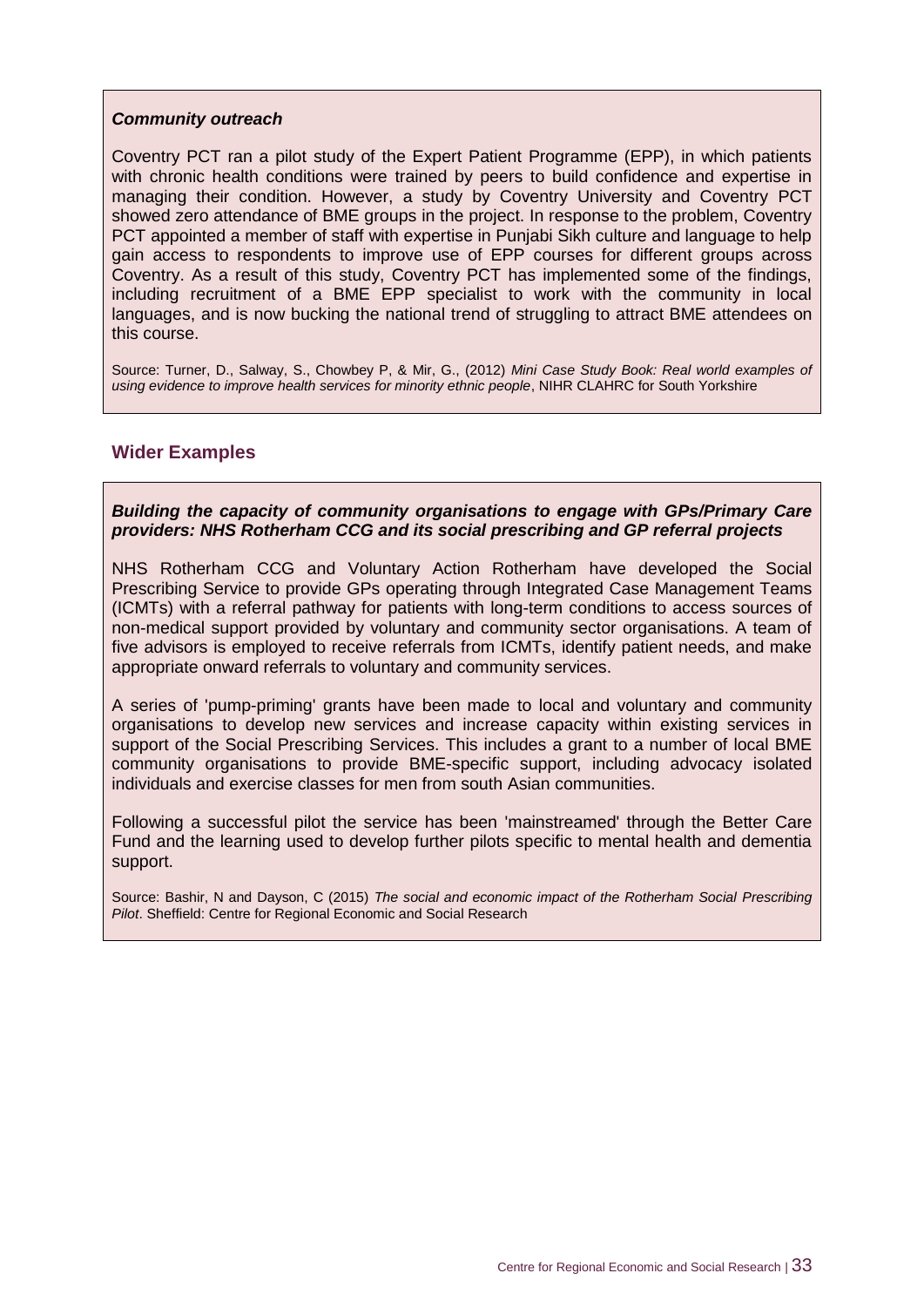#### *Community outreach*

Coventry PCT ran a pilot study of the Expert Patient Programme (EPP), in which patients with chronic health conditions were trained by peers to build confidence and expertise in managing their condition. However, a study by Coventry University and Coventry PCT showed zero attendance of BME groups in the project. In response to the problem, Coventry PCT appointed a member of staff with expertise in Punjabi Sikh culture and language to help gain access to respondents to improve use of EPP courses for different groups across Coventry. As a result of this study, Coventry PCT has implemented some of the findings, including recruitment of a BME EPP specialist to work with the community in local languages, and is now bucking the national trend of struggling to attract BME attendees on this course.

Source: Turner, D., Salway, S., Chowbey P, & Mir, G., (2012) *Mini Case Study Book: Real world examples of using evidence to improve health services for minority ethnic people*, NIHR CLAHRC for South Yorkshire

#### <span id="page-39-0"></span>**Wider Examples**

*Building the capacity of community organisations to engage with GPs/Primary Care providers: NHS Rotherham CCG and its social prescribing and GP referral projects*

NHS Rotherham CCG and Voluntary Action Rotherham have developed the Social Prescribing Service to provide GPs operating through Integrated Case Management Teams (ICMTs) with a referral pathway for patients with long-term conditions to access sources of non-medical support provided by voluntary and community sector organisations. A team of five advisors is employed to receive referrals from ICMTs, identify patient needs, and make appropriate onward referrals to voluntary and community services.

A series of 'pump-priming' grants have been made to local and voluntary and community organisations to develop new services and increase capacity within existing services in support of the Social Prescribing Services. This includes a grant to a number of local BME community organisations to provide BME-specific support, including advocacy isolated individuals and exercise classes for men from south Asian communities.

Following a successful pilot the service has been 'mainstreamed' through the Better Care Fund and the learning used to develop further pilots specific to mental health and dementia support.

Source: Bashir, N and Dayson, C (2015) *The social and economic impact of the Rotherham Social Prescribing Pilot*. Sheffield: Centre for Regional Economic and Social Research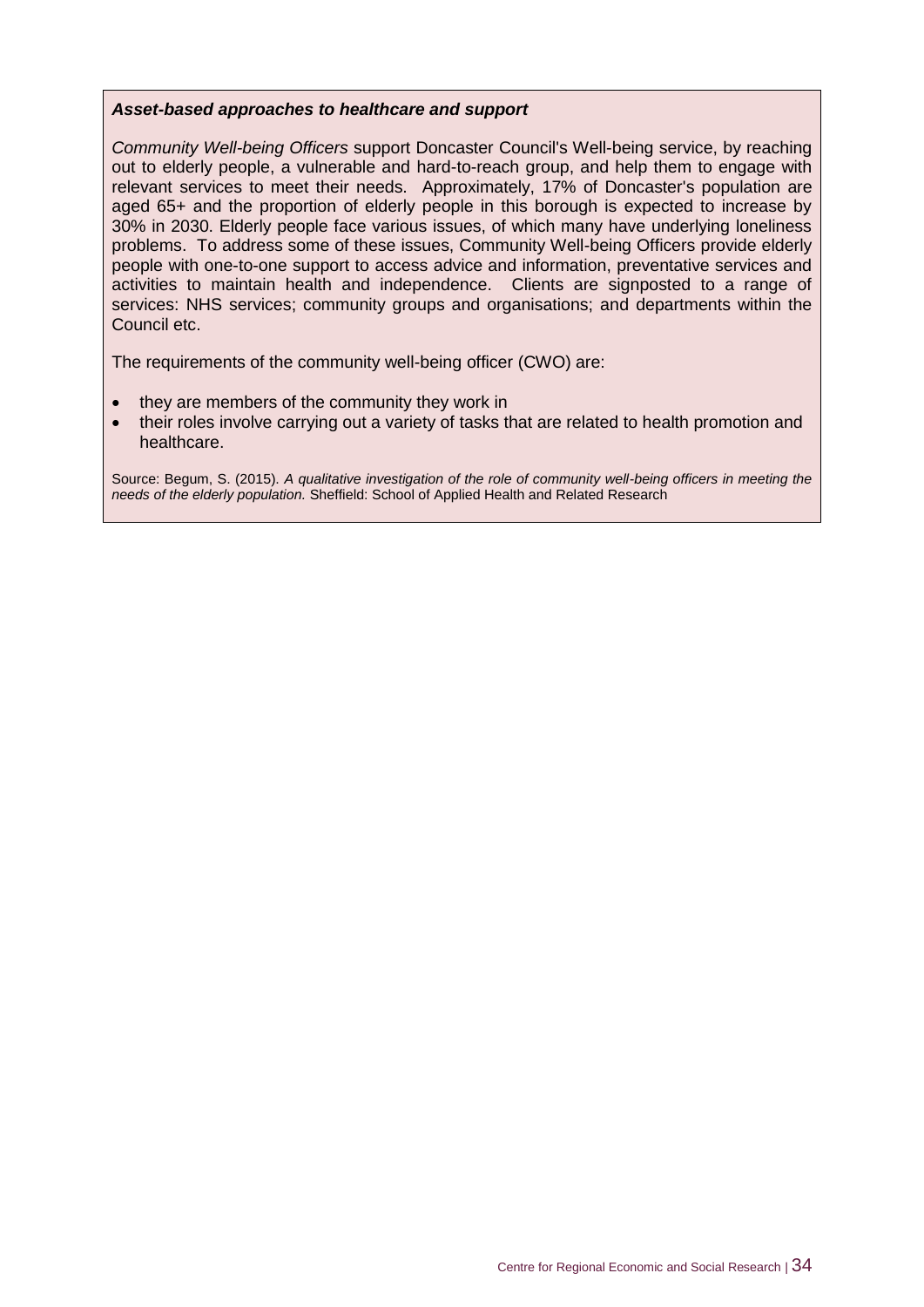#### *Asset-based approaches to healthcare and support*

*Community Well-being Officers* support Doncaster Council's Well-being service, by reaching out to elderly people, a vulnerable and hard-to-reach group, and help them to engage with relevant services to meet their needs. Approximately, 17% of Doncaster's population are aged 65+ and the proportion of elderly people in this borough is expected to increase by 30% in 2030. Elderly people face various issues, of which many have underlying loneliness problems. To address some of these issues, Community Well-being Officers provide elderly people with one-to-one support to access advice and information, preventative services and activities to maintain health and independence. Clients are signposted to a range of services: NHS services; community groups and organisations; and departments within the Council etc.

The requirements of the community well-being officer (CWO) are:

- they are members of the community they work in
- their roles involve carrying out a variety of tasks that are related to health promotion and healthcare.

Source: Begum, S. (2015). *A qualitative investigation of the role of community well-being officers in meeting the needs of the elderly population.* Sheffield: School of Applied Health and Related Research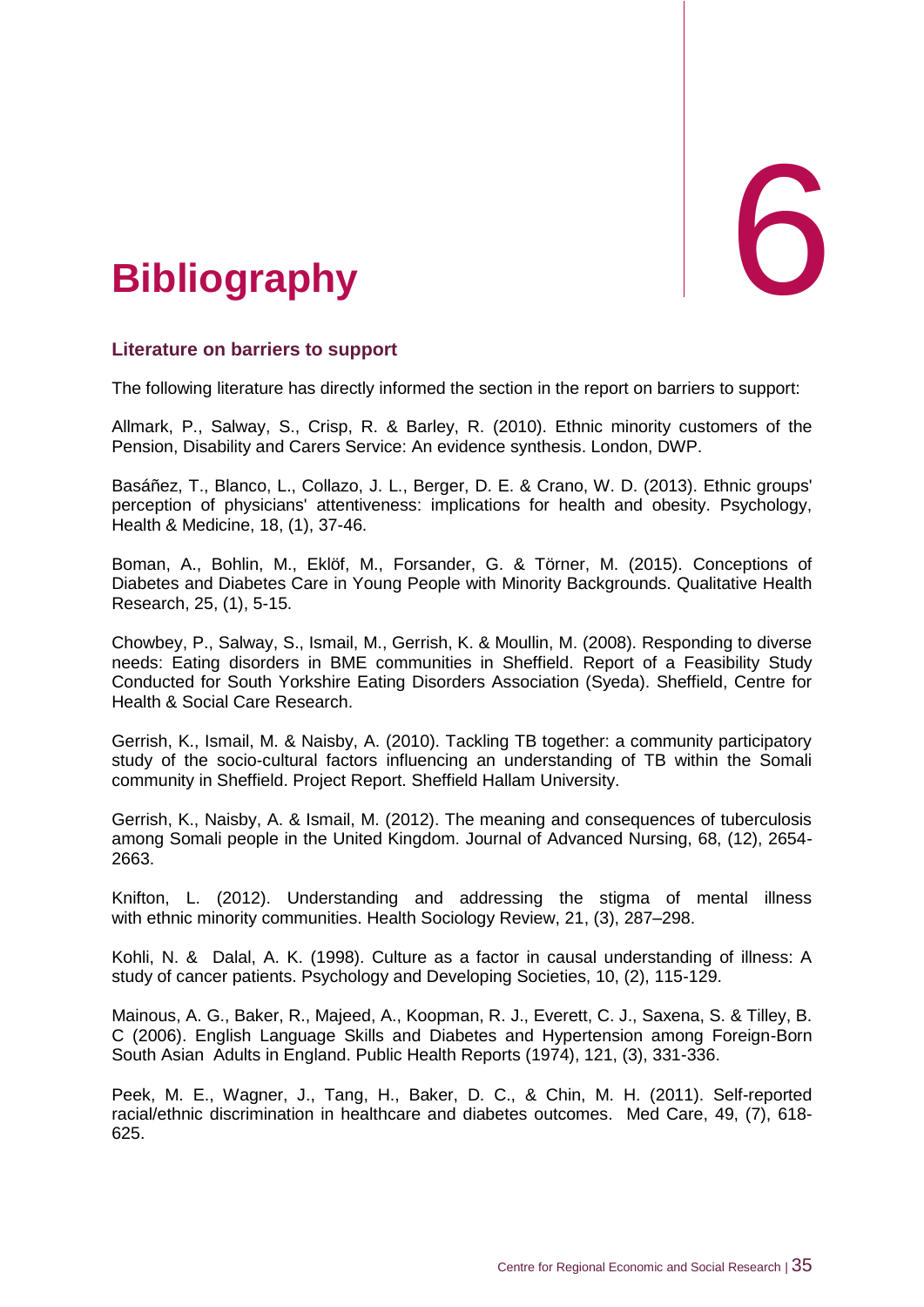<span id="page-41-0"></span>

#### <span id="page-41-1"></span>**Literature on barriers to support**

The following literature has directly informed the section in the report on barriers to support:

Allmark, P., Salway, S., Crisp, R. & Barley, R. (2010). Ethnic minority customers of the Pension, Disability and Carers Service: An evidence synthesis. London, DWP.

Basáñez, T., Blanco, L., Collazo, J. L., Berger, D. E. & Crano, W. D. (2013). Ethnic groups' perception of physicians' attentiveness: implications for health and obesity. Psychology, Health & Medicine, 18, (1), 37-46.

Boman, A., Bohlin, M., Eklöf, M., Forsander, G. & Törner, M. (2015). Conceptions of Diabetes and Diabetes Care in Young People with Minority Backgrounds. Qualitative Health Research, 25, (1), 5-15.

Chowbey, P., Salway, S., Ismail, M., Gerrish, K. & Moullin, M. (2008). Responding to diverse needs: Eating disorders in BME communities in Sheffield. Report of a Feasibility Study Conducted for South Yorkshire Eating Disorders Association (Syeda). Sheffield, Centre for Health & Social Care Research.

Gerrish, K., Ismail, M. & Naisby, A. (2010). Tackling TB together: a community participatory study of the socio-cultural factors influencing an understanding of TB within the Somali community in Sheffield. Project Report. Sheffield Hallam University.

Gerrish, K., Naisby, A. & Ismail, M. (2012). The meaning and consequences of tuberculosis among Somali people in the United Kingdom. Journal of Advanced Nursing, 68, (12), 2654- 2663.

Knifton, L. (2012). Understanding and addressing the stigma of mental illness with ethnic minority communities. Health Sociology Review, 21, (3), 287–298.

Kohli, N. & Dalal, A. K. (1998). Culture as a factor in causal understanding of illness: A study of cancer patients. Psychology and Developing Societies, 10, (2), 115-129.

Mainous, A. G., Baker, R., Majeed, A., Koopman, R. J., Everett, C. J., Saxena, S. & Tilley, B. C (2006). English Language Skills and Diabetes and Hypertension among Foreign-Born South Asian Adults in England. Public Health Reports (1974), 121, (3), 331-336.

Peek, M. E., Wagner, J., Tang, H., Baker, D. C., & Chin, M. H. (2011). Self-reported racial/ethnic discrimination in healthcare and diabetes outcomes. Med Care, 49, (7), 618- 625.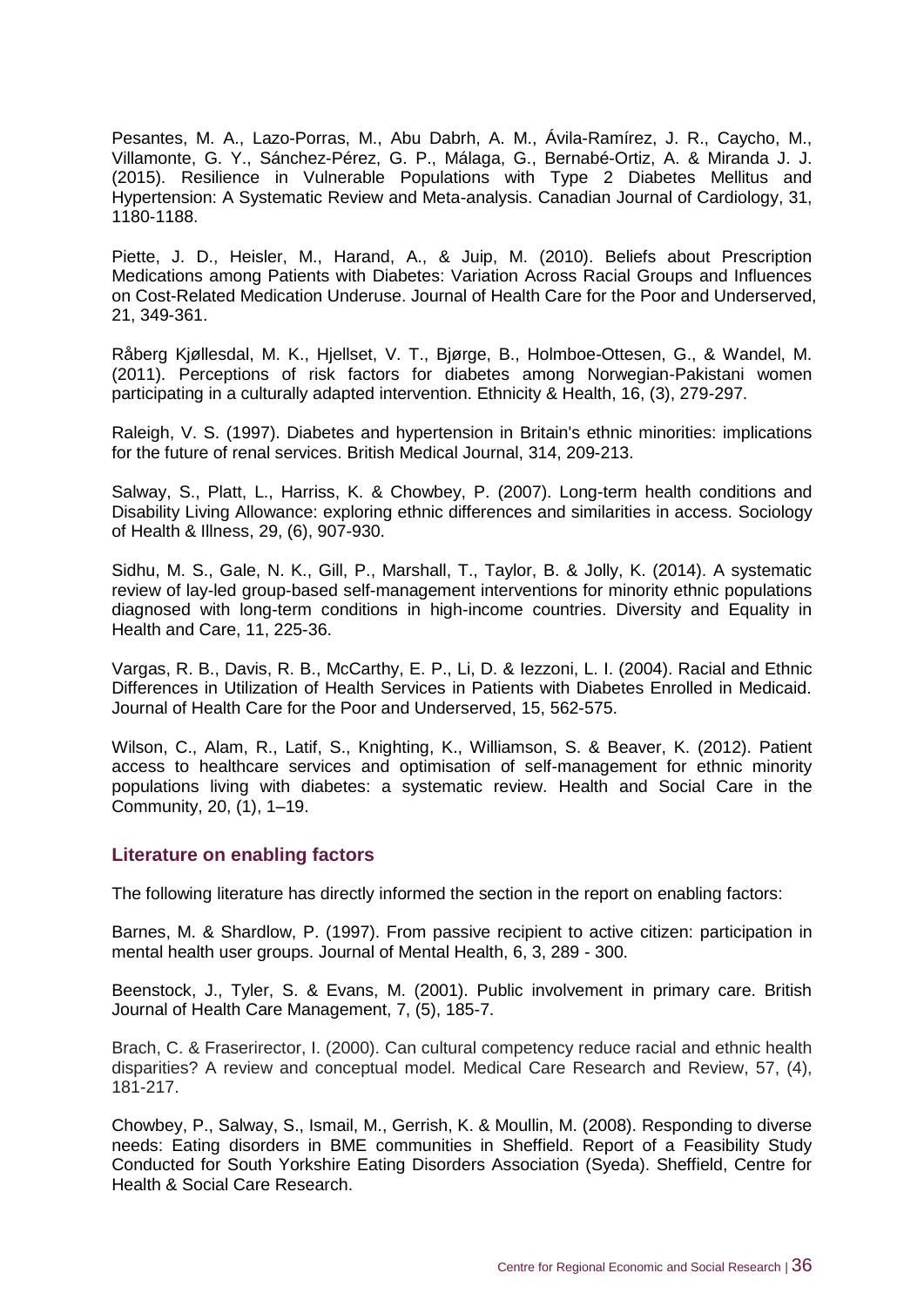Pesantes, M. A., Lazo-Porras, M., Abu Dabrh, A. M., Ávila-Ramírez, J. R., Caycho, M., Villamonte, G. Y., Sánchez-Pérez, G. P., Málaga, G., Bernabé-Ortiz, A. & Miranda J. J. (2015). Resilience in Vulnerable Populations with Type 2 Diabetes Mellitus and Hypertension: A Systematic Review and Meta-analysis. Canadian Journal of Cardiology, 31, 1180-1188.

Piette, J. D., Heisler, M., Harand, A., & Juip, M. (2010). Beliefs about Prescription Medications among Patients with Diabetes: Variation Across Racial Groups and Influences on Cost-Related Medication Underuse. Journal of Health Care for the Poor and Underserved, 21, 349-361.

Råberg Kjøllesdal, M. K., Hjellset, V. T., Bjørge, B., Holmboe-Ottesen, G., & Wandel, M. (2011). Perceptions of risk factors for diabetes among Norwegian-Pakistani women participating in a culturally adapted intervention. Ethnicity & Health, 16, (3), 279-297.

Raleigh, V. S. (1997). Diabetes and hypertension in Britain's ethnic minorities: implications for the future of renal services. British Medical Journal, 314, 209-213.

Salway, S., Platt, L., Harriss, K. & Chowbey, P. (2007). Long-term health conditions and Disability Living Allowance: exploring ethnic differences and similarities in access. Sociology of Health & Illness, 29, (6), 907-930.

Sidhu, M. S., Gale, N. K., Gill, P., Marshall, T., Taylor, B. & Jolly, K. (2014). A systematic review of lay-led group-based self-management interventions for minority ethnic populations diagnosed with long-term conditions in high-income countries. Diversity and Equality in Health and Care, 11, 225-36.

Vargas, R. B., Davis, R. B., McCarthy, E. P., Li, D. & Iezzoni, L. I. (2004). Racial and Ethnic Differences in Utilization of Health Services in Patients with Diabetes Enrolled in Medicaid. Journal of Health Care for the Poor and Underserved, 15, 562-575.

Wilson, C., Alam, R., Latif, S., Knighting, K., Williamson, S. & Beaver, K. (2012). Patient access to healthcare services and optimisation of self-management for ethnic minority populations living with diabetes: a systematic review. Health and Social Care in the Community, 20, (1), 1–19.

#### <span id="page-42-0"></span>**Literature on enabling factors**

The following literature has directly informed the section in the report on enabling factors:

Barnes, M. & Shardlow, P. (1997). From passive recipient to active citizen: participation in mental health user groups. Journal of Mental Health, 6, 3, 289 - 300.

Beenstock, J., Tyler, S. & Evans, M. (2001). Public involvement in primary care. British Journal of Health Care Management, 7, (5), 185-7.

Brach, C. & Fraserirector, I. (2000). Can cultural competency reduce racial and ethnic health disparities? A review and conceptual model. Medical Care Research and Review, 57, (4), 181-217.

Chowbey, P., Salway, S., Ismail, M., Gerrish, K. & Moullin, M. (2008). Responding to diverse needs: Eating disorders in BME communities in Sheffield. Report of a Feasibility Study Conducted for South Yorkshire Eating Disorders Association (Syeda). Sheffield, Centre for Health & Social Care Research.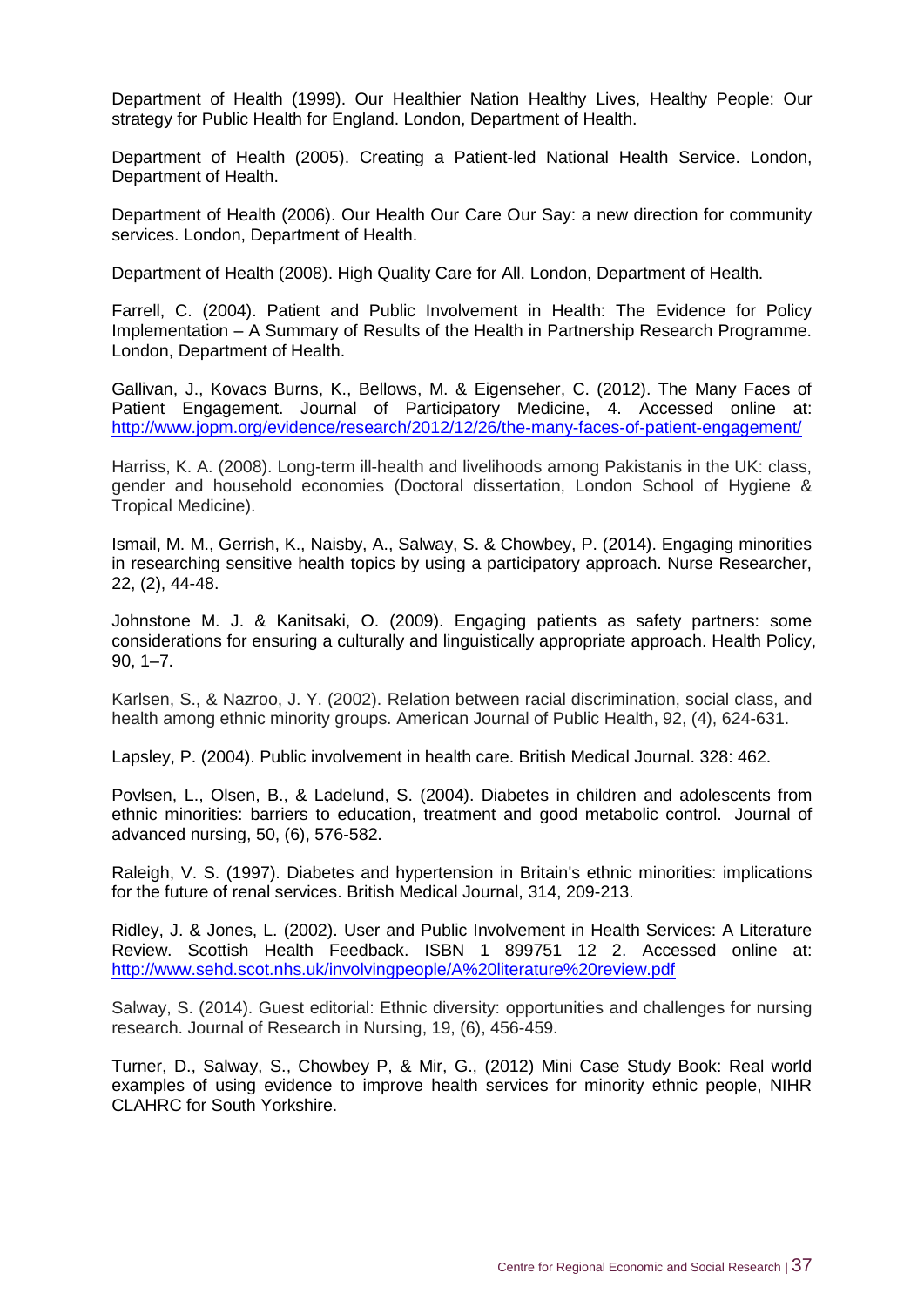Department of Health (1999). Our Healthier Nation Healthy Lives, Healthy People: Our strategy for Public Health for England. London, Department of Health.

Department of Health (2005). Creating a Patient-led National Health Service. London, Department of Health.

Department of Health (2006). Our Health Our Care Our Say: a new direction for community services. London, Department of Health.

Department of Health (2008). High Quality Care for All. London, Department of Health.

Farrell, C. (2004). Patient and Public Involvement in Health: The Evidence for Policy Implementation – A Summary of Results of the Health in Partnership Research Programme. London, Department of Health.

Gallivan, J., Kovacs Burns, K., Bellows, M. & Eigenseher, C. (2012). The Many Faces of Patient Engagement. Journal of Participatory Medicine, 4. Accessed online at: http://www.jopm.org/evidence/research/2012/12/26/the-many-faces-of-patient-engagement/

Harriss, K. A. (2008). Long-term ill-health and livelihoods among Pakistanis in the UK: class, gender and household economies (Doctoral dissertation, London School of Hygiene & Tropical Medicine).

Ismail, M. M., Gerrish, K., Naisby, A., Salway, S. & Chowbey, P. (2014). Engaging minorities in researching sensitive health topics by using a participatory approach. Nurse Researcher, 22, (2), 44-48.

Johnstone M. J. & Kanitsaki, O. (2009). Engaging patients as safety partners: some considerations for ensuring a culturally and linguistically appropriate approach. Health Policy, 90, 1–7.

Karlsen, S., & Nazroo, J. Y. (2002). Relation between racial discrimination, social class, and health among ethnic minority groups. American Journal of Public Health, 92, (4), 624-631.

Lapsley, P. (2004). Public involvement in health care. British Medical Journal. 328: 462.

Povlsen, L., Olsen, B., & Ladelund, S. (2004). Diabetes in children and adolescents from ethnic minorities: barriers to education, treatment and good metabolic control. Journal of advanced nursing, 50, (6), 576-582.

Raleigh, V. S. (1997). Diabetes and hypertension in Britain's ethnic minorities: implications for the future of renal services. British Medical Journal, 314, 209-213.

Ridley, J. & Jones, L. (2002). User and Public Involvement in Health Services: A Literature Review. Scottish Health Feedback. ISBN 1 899751 12 2. Accessed online at: <http://www.sehd.scot.nhs.uk/involvingpeople/A%20literature%20review.pdf>

Salway, S. (2014). Guest editorial: Ethnic diversity: opportunities and challenges for nursing research. Journal of Research in Nursing, 19, (6), 456-459.

Turner, D., Salway, S., Chowbey P, & Mir, G., (2012) Mini Case Study Book: Real world examples of using evidence to improve health services for minority ethnic people, NIHR CLAHRC for South Yorkshire.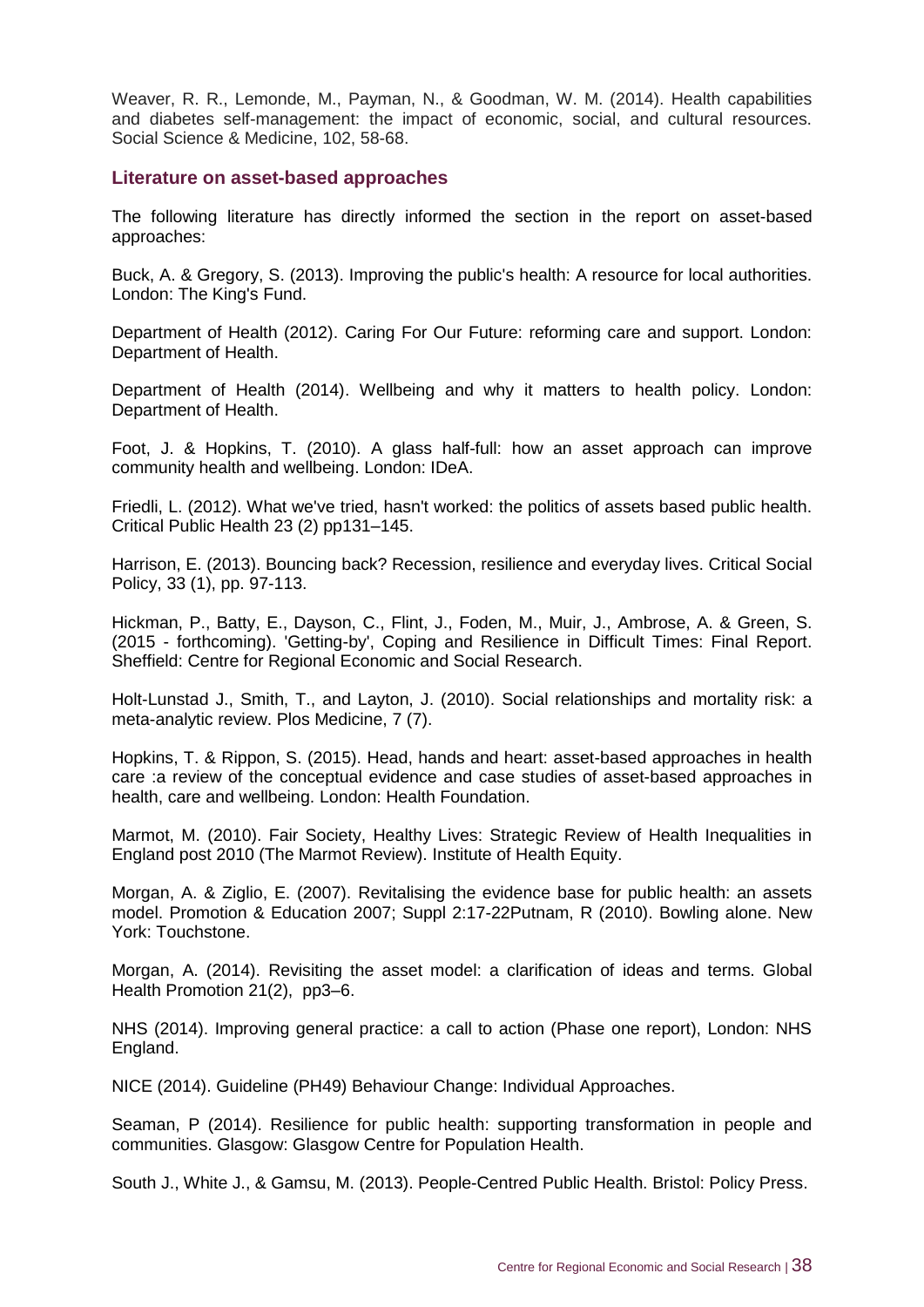Weaver, R. R., Lemonde, M., Payman, N., & Goodman, W. M. (2014). Health capabilities and diabetes self-management: the impact of economic, social, and cultural resources. Social Science & Medicine, 102, 58-68.

#### <span id="page-44-0"></span>**Literature on asset-based approaches**

The following literature has directly informed the section in the report on asset-based approaches:

Buck, A. & Gregory, S. (2013). Improving the public's health: A resource for local authorities. London: The King's Fund.

Department of Health (2012). Caring For Our Future: reforming care and support. London: Department of Health.

Department of Health (2014). Wellbeing and why it matters to health policy. London: Department of Health.

Foot, J. & Hopkins, T. (2010). A glass half-full: how an asset approach can improve community health and wellbeing. London: IDeA.

Friedli, L. (2012). What we've tried, hasn't worked: the politics of assets based public health. Critical Public Health 23 (2) pp131–145.

Harrison, E. (2013). Bouncing back? Recession, resilience and everyday lives. Critical Social Policy, 33 (1), pp. 97-113.

Hickman, P., Batty, E., Dayson, C., Flint, J., Foden, M., Muir, J., Ambrose, A. & Green, S. (2015 - forthcoming). 'Getting-by', Coping and Resilience in Difficult Times: Final Report. Sheffield: Centre for Regional Economic and Social Research.

Holt-Lunstad J., Smith, T., and Layton, J. (2010). Social relationships and mortality risk: a meta-analytic review. Plos Medicine, 7 (7).

Hopkins, T. & Rippon, S. (2015). Head, hands and heart: asset-based approaches in health care :a review of the conceptual evidence and case studies of asset-based approaches in health, care and wellbeing. London: Health Foundation.

Marmot, M. (2010). Fair Society, Healthy Lives: Strategic Review of Health Inequalities in England post 2010 (The Marmot Review). Institute of Health Equity.

Morgan, A. & Ziglio, E. (2007). Revitalising the evidence base for public health: an assets model. Promotion & Education 2007; Suppl 2:17-22Putnam, R (2010). Bowling alone. New York: Touchstone.

Morgan, A. (2014). Revisiting the asset model: a clarification of ideas and terms. Global Health Promotion 21(2), pp3–6.

NHS (2014). Improving general practice: a call to action (Phase one report), London: NHS England.

NICE (2014). Guideline (PH49) Behaviour Change: Individual Approaches.

Seaman, P (2014). Resilience for public health: supporting transformation in people and communities. Glasgow: Glasgow Centre for Population Health.

South J., White J., & Gamsu, M. (2013). People-Centred Public Health. Bristol: Policy Press.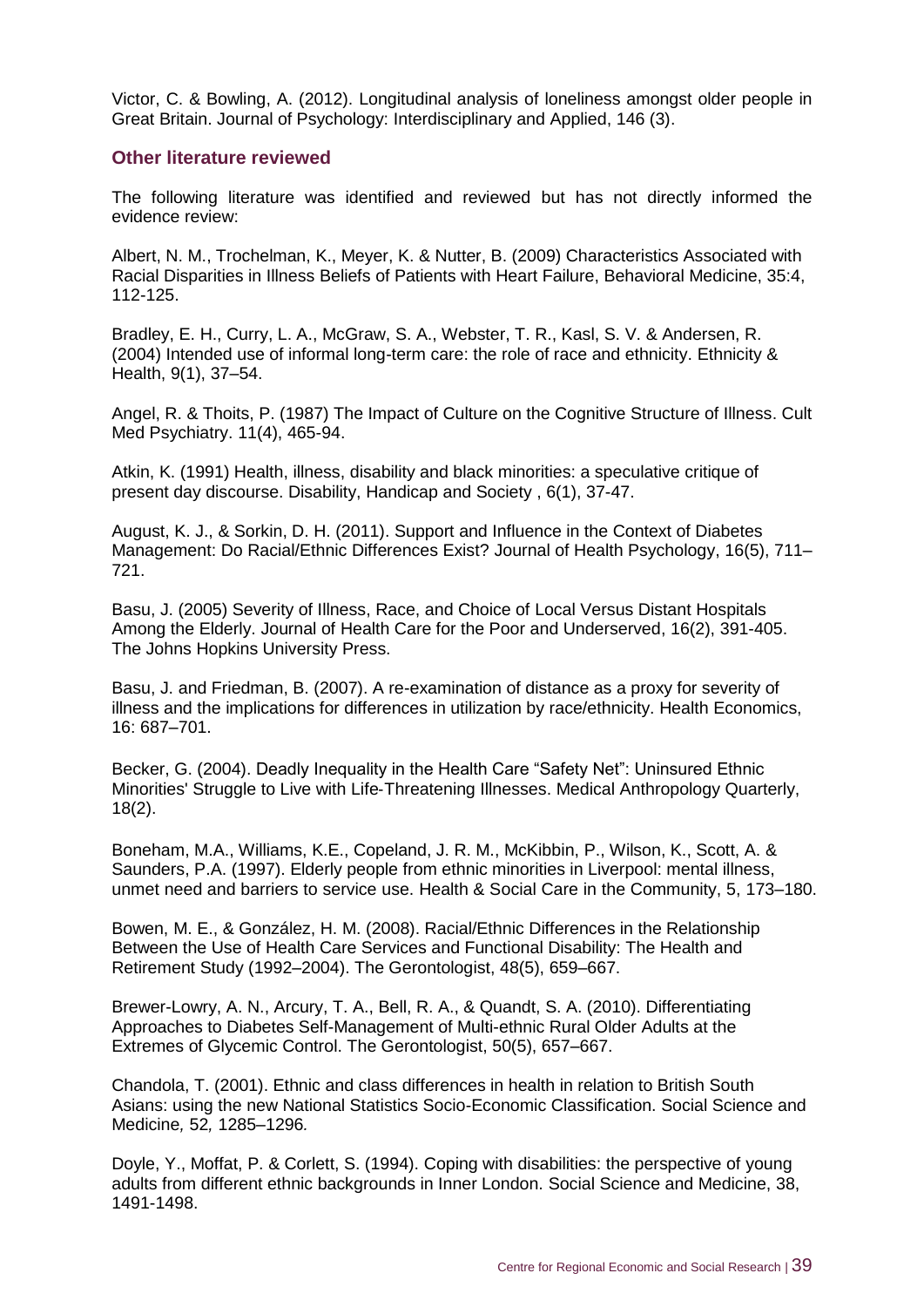Victor, C. & Bowling, A. (2012). Longitudinal analysis of loneliness amongst older people in Great Britain. Journal of Psychology: Interdisciplinary and Applied, 146 (3).

#### <span id="page-45-0"></span>**Other literature reviewed**

The following literature was identified and reviewed but has not directly informed the evidence review:

Albert, N. M., Trochelman, K., Meyer, K. & Nutter, B. (2009) Characteristics Associated with Racial Disparities in Illness Beliefs of Patients with Heart Failure, Behavioral Medicine, 35:4, 112-125.

Bradley, E. H., Curry, L. A., McGraw, S. A., Webster, T. R., Kasl, S. V. & Andersen, R. (2004) Intended use of informal long-term care: the role of race and ethnicity. Ethnicity & Health, 9(1), 37–54.

Angel, R. & Thoits, P. (1987) The Impact of Culture on the Cognitive Structure of Illness. Cult Med Psychiatry. 11(4), 465-94.

Atkin, K. (1991) Health, illness, disability and black minorities: a speculative critique of present day discourse. Disability, Handicap and Society , 6(1), 37-47.

August, K. J., & Sorkin, D. H. (2011). Support and Influence in the Context of Diabetes Management: Do Racial/Ethnic Differences Exist? Journal of Health Psychology, 16(5), 711– 721.

Basu, J. (2005) Severity of Illness, Race, and Choice of Local Versus Distant Hospitals Among the Elderly. Journal of Health Care for the Poor and Underserved, 16(2), 391-405. The Johns Hopkins University Press.

Basu, J. and Friedman, B. (2007). A re-examination of distance as a proxy for severity of illness and the implications for differences in utilization by race/ethnicity. Health Economics, 16: 687–701.

Becker, G. (2004). Deadly Inequality in the Health Care "Safety Net": Uninsured Ethnic Minorities' Struggle to Live with Life‐Threatening Illnesses. Medical Anthropology Quarterly, 18(2).

Boneham, M.A., Williams, K.E., Copeland, J. R. M., McKibbin, P., Wilson, K., Scott, A. & Saunders, P.A. (1997). Elderly people from ethnic minorities in Liverpool: mental illness, unmet need and barriers to service use. Health & Social Care in the Community, 5, 173–180.

Bowen, M. E., & González, H. M. (2008). Racial/Ethnic Differences in the Relationship Between the Use of Health Care Services and Functional Disability: The Health and Retirement Study (1992–2004). The Gerontologist, 48(5), 659–667.

Brewer-Lowry, A. N., Arcury, T. A., Bell, R. A., & Quandt, S. A. (2010). Differentiating Approaches to Diabetes Self-Management of Multi-ethnic Rural Older Adults at the Extremes of Glycemic Control. The Gerontologist, 50(5), 657–667.

Chandola, T. (2001). Ethnic and class differences in health in relation to British South Asians: using the new National Statistics Socio-Economic Classification. Social Science and Medicine*,* 52*,* 1285*–*1296*.*

Doyle, Y., Moffat, P. & Corlett, S. (1994). Coping with disabilities: the perspective of young adults from different ethnic backgrounds in Inner London. Social Science and Medicine, 38, 1491-1498.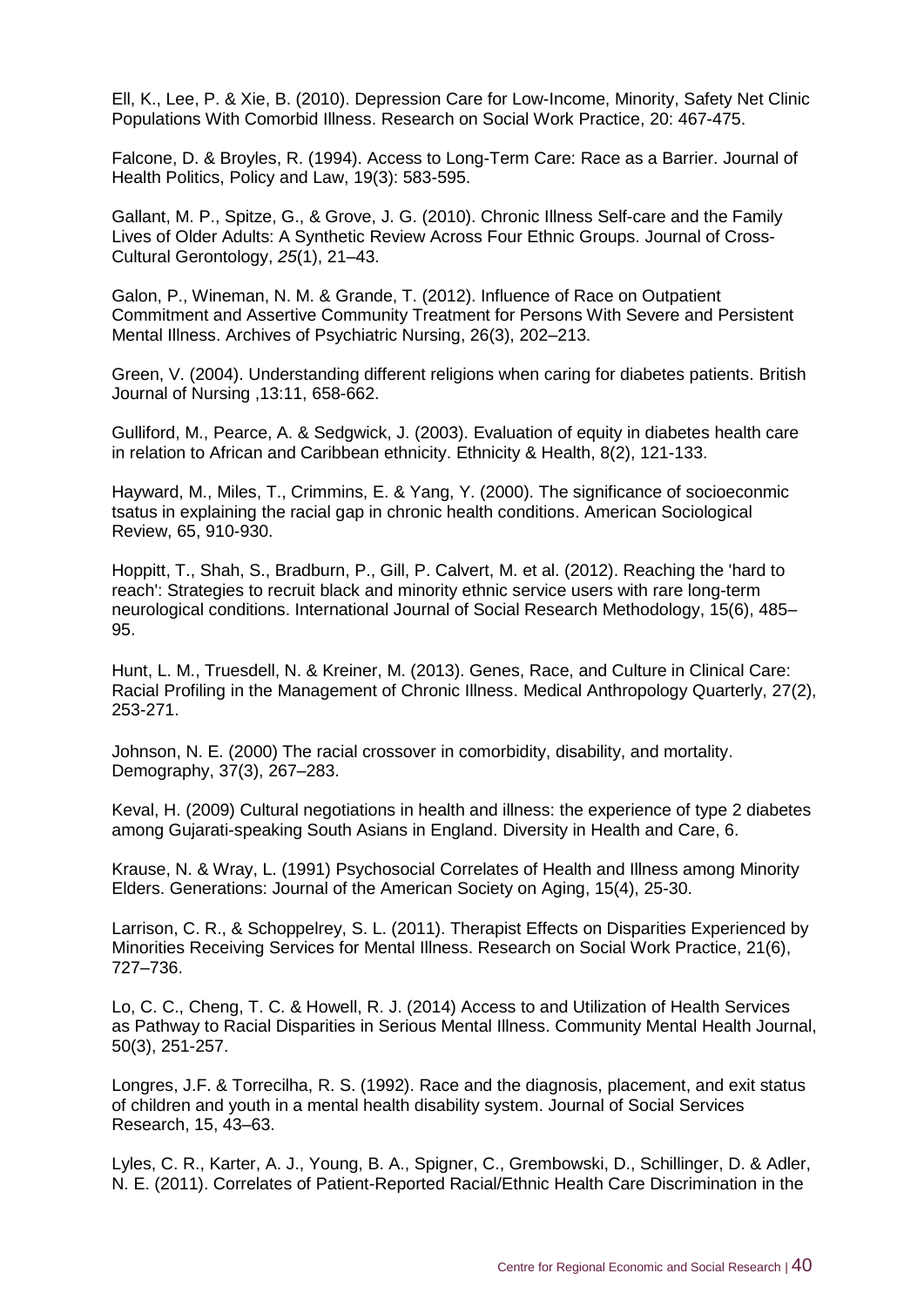Ell, K., Lee, P. & Xie, B. (2010). Depression Care for Low-Income, Minority, Safety Net Clinic Populations With Comorbid Illness. Research on Social Work Practice, 20: 467-475.

Falcone, D. & Broyles, R. (1994). Access to Long-Term Care: Race as a Barrier. Journal of Health Politics, Policy and Law, 19(3): 583-595.

Gallant, M. P., Spitze, G., & Grove, J. G. (2010). Chronic Illness Self-care and the Family Lives of Older Adults: A Synthetic Review Across Four Ethnic Groups. Journal of Cross-Cultural Gerontology, *25*(1), 21–43.

Galon, P., Wineman, N. M. & Grande, T. (2012). Influence of Race on Outpatient Commitment and Assertive Community Treatment for Persons With Severe and Persistent Mental Illness. Archives of Psychiatric Nursing, 26(3), 202–213.

Green, V. (2004). Understanding different religions when caring for diabetes patients. British Journal of Nursing ,13:11, 658-662.

Gulliford, M., Pearce, A. & Sedgwick, J. (2003). Evaluation of equity in diabetes health care in relation to African and Caribbean ethnicity. Ethnicity & Health, 8(2), 121-133.

Hayward, M., Miles, T., Crimmins, E. & Yang, Y. (2000). The significance of socioeconmic tsatus in explaining the racial gap in chronic health conditions. American Sociological Review, 65, 910-930.

Hoppitt, T., Shah, S., Bradburn, P., Gill, P. Calvert, M. et al. (2012). Reaching the 'hard to reach': Strategies to recruit black and minority ethnic service users with rare long-term neurological conditions. International Journal of Social Research Methodology, 15(6), 485– 95.

Hunt, L. M., Truesdell, N. & Kreiner, M. (2013). Genes, Race, and Culture in Clinical Care: Racial Profiling in the Management of Chronic Illness. Medical Anthropology Quarterly, 27(2), 253-271.

Johnson, N. E. (2000) The racial crossover in comorbidity, disability, and mortality. Demography, 37(3), 267–283.

Keval, H. (2009) Cultural negotiations in health and illness: the experience of type 2 diabetes among Gujarati-speaking South Asians in England. Diversity in Health and Care, 6.

Krause, N. & Wray, L. (1991) Psychosocial Correlates of Health and Illness among Minority Elders. Generations: Journal of the American Society on Aging, 15(4), 25-30.

Larrison, C. R., & Schoppelrey, S. L. (2011). Therapist Effects on Disparities Experienced by Minorities Receiving Services for Mental Illness. Research on Social Work Practice, 21(6), 727–736.

Lo, C. C., Cheng, T. C. & Howell, R. J. (2014) Access to and Utilization of Health Services as Pathway to Racial Disparities in Serious Mental Illness. Community Mental Health Journal, 50(3), 251-257.

Longres, J.F. & Torrecilha, R. S. (1992). Race and the diagnosis, placement, and exit status of children and youth in a mental health disability system. Journal of Social Services Research, 15, 43–63.

Lyles, C. R., Karter, A. J., Young, B. A., Spigner, C., Grembowski, D., Schillinger, D. & Adler, N. E. (2011). Correlates of Patient-Reported Racial/Ethnic Health Care Discrimination in the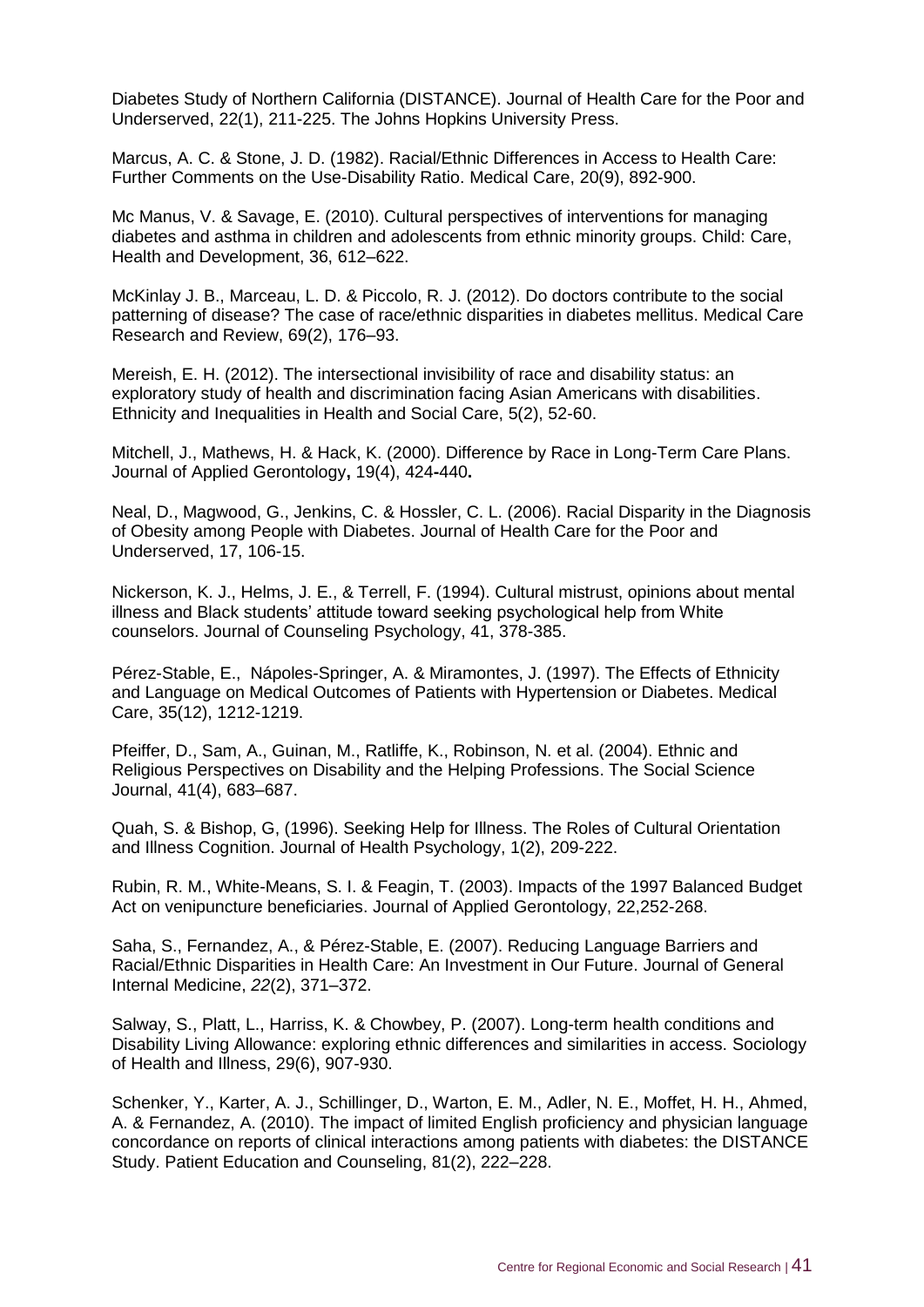Diabetes Study of Northern California (DISTANCE). Journal of Health Care for the Poor and Underserved, 22(1), 211-225. The Johns Hopkins University Press.

Marcus, A. C. & Stone, J. D. (1982). Racial/Ethnic Differences in Access to Health Care: Further Comments on the Use-Disability Ratio. Medical Care, 20(9), 892-900.

Mc Manus, V. & Savage, E. (2010). Cultural perspectives of interventions for managing diabetes and asthma in children and adolescents from ethnic minority groups. Child: Care, Health and Development, 36, 612–622.

McKinlay J. B., Marceau, L. D. & Piccolo, R. J. (2012). Do doctors contribute to the social patterning of disease? The case of race/ethnic disparities in diabetes mellitus. Medical Care Research and Review, 69(2), 176–93.

Mereish, E. H. (2012). The intersectional invisibility of race and disability status: an exploratory study of health and discrimination facing Asian Americans with disabilities. Ethnicity and Inequalities in Health and Social Care, 5(2), 52-60.

Mitchell, J., Mathews, H. & Hack, K. (2000). Difference by Race in Long-Term Care Plans. Journal of Applied Gerontology**,** 19(4), 424**-**440**.**

Neal, D., Magwood, G., Jenkins, C. & Hossler, C. L. (2006). Racial Disparity in the Diagnosis of Obesity among People with Diabetes. Journal of Health Care for the Poor and Underserved, 17, 106-15.

Nickerson, K. J., Helms, J. E., & Terrell, F. (1994). Cultural mistrust, opinions about mental illness and Black students' attitude toward seeking psychological help from White counselors. Journal of Counseling Psychology, 41, 378-385.

Pérez-Stable, E., Nápoles-Springer, A. & Miramontes, J. (1997). The Effects of Ethnicity and Language on Medical Outcomes of Patients with Hypertension or Diabetes. Medical Care, 35(12), 1212-1219.

Pfeiffer, D., Sam, A., Guinan, M., Ratliffe, K., Robinson, N. et al. (2004). Ethnic and Religious Perspectives on Disability and the Helping Professions. The Social Science Journal, 41(4), 683–687.

Quah, S. & Bishop, G, (1996). Seeking Help for Illness. The Roles of Cultural Orientation and Illness Cognition. Journal of Health Psychology, 1(2), 209-222.

Rubin, R. M., White-Means, S. I. & Feagin, T. (2003). Impacts of the 1997 Balanced Budget Act on venipuncture beneficiaries. Journal of Applied Gerontology, 22,252-268.

Saha, S., Fernandez, A., & Pérez-Stable, E. (2007). Reducing Language Barriers and Racial/Ethnic Disparities in Health Care: An Investment in Our Future. Journal of General Internal Medicine, *22*(2), 371–372.

Salway, S., Platt, L., Harriss, K. & Chowbey, P. (2007). Long-term health conditions and Disability Living Allowance: exploring ethnic differences and similarities in access. Sociology of Health and Illness, 29(6), 907-930.

Schenker, Y., Karter, A. J., Schillinger, D., Warton, E. M., Adler, N. E., Moffet, H. H., Ahmed, A. & Fernandez, A. (2010). The impact of limited English proficiency and physician language concordance on reports of clinical interactions among patients with diabetes: the DISTANCE Study. Patient Education and Counseling, 81(2), 222–228.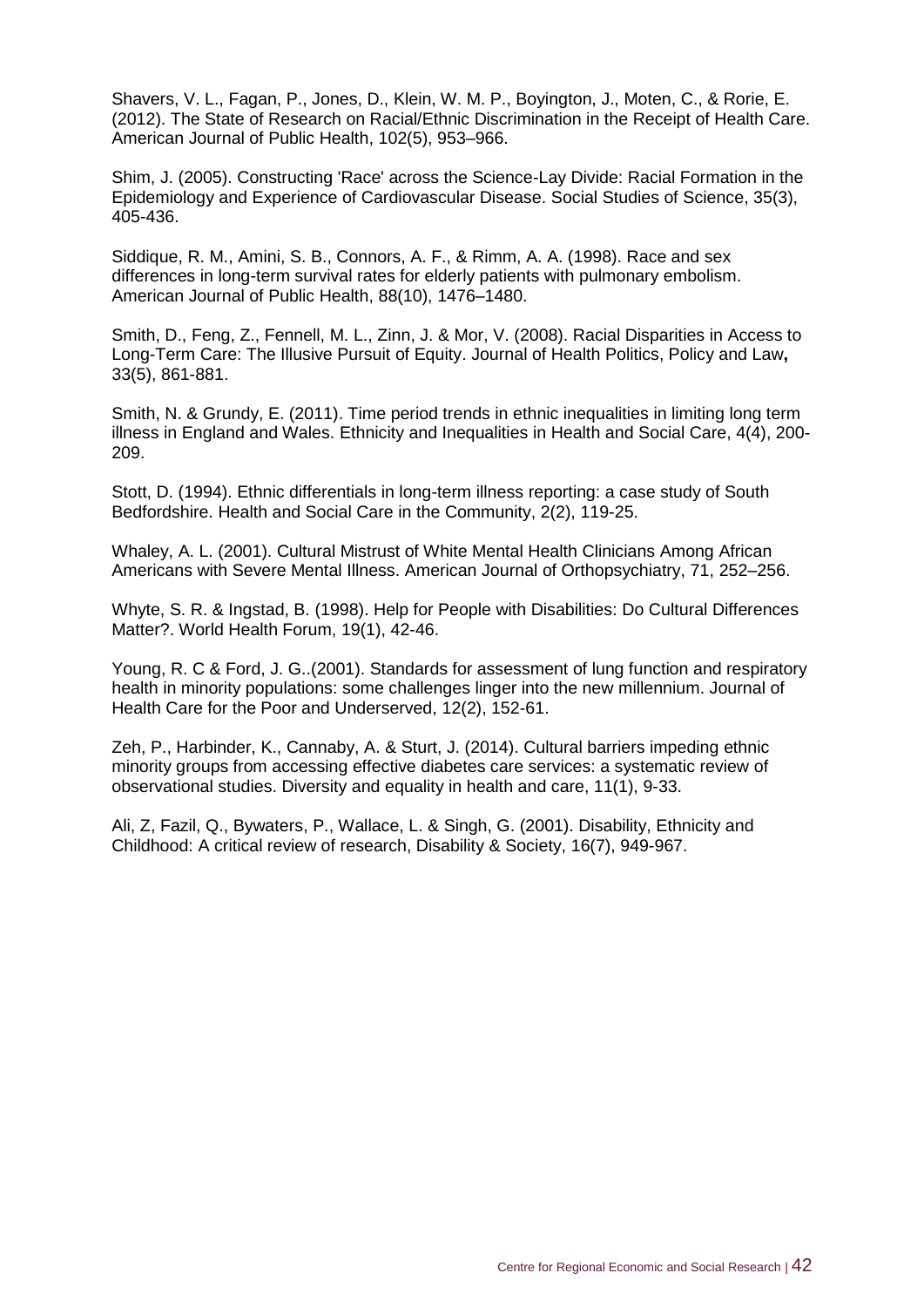Shavers, V. L., Fagan, P., Jones, D., Klein, W. M. P., Boyington, J., Moten, C., & Rorie, E. (2012). The State of Research on Racial/Ethnic Discrimination in the Receipt of Health Care. American Journal of Public Health, 102(5), 953–966.

Shim, J. (2005). Constructing 'Race' across the Science-Lay Divide: Racial Formation in the Epidemiology and Experience of Cardiovascular Disease. Social Studies of Science, 35(3), 405-436.

Siddique, R. M., Amini, S. B., Connors, A. F., & Rimm, A. A. (1998). Race and sex differences in long-term survival rates for elderly patients with pulmonary embolism. American Journal of Public Health, 88(10), 1476–1480.

Smith, D., Feng, Z., Fennell, M. L., Zinn, J. & Mor, V. (2008). Racial Disparities in Access to Long-Term Care: The Illusive Pursuit of Equity. Journal of Health Politics, Policy and Law**,**  33(5), 861-881.

Smith, N. & Grundy, E. (2011). Time period trends in ethnic inequalities in limiting long term illness in England and Wales. Ethnicity and Inequalities in Health and Social Care, 4(4), 200- 209.

Stott, D. (1994). Ethnic differentials in long-term illness reporting: a case study of South Bedfordshire. Health and Social Care in the Community, 2(2), 119-25.

Whaley, A. L. (2001). Cultural Mistrust of White Mental Health Clinicians Among African Americans with Severe Mental Illness. American Journal of Orthopsychiatry, 71, 252–256.

Whyte, S. R. & Ingstad, B. (1998). Help for People with Disabilities: Do Cultural Differences Matter?. World Health Forum, 19(1), 42-46.

Young, R. C & Ford, J. G..(2001). Standards for assessment of lung function and respiratory health in minority populations: some challenges linger into the new millennium. Journal of Health Care for the Poor and Underserved, 12(2), 152-61.

Zeh, P., Harbinder, K., Cannaby, A. & Sturt, J. (2014). Cultural barriers impeding ethnic minority groups from accessing effective diabetes care services: a systematic review of observational studies. Diversity and equality in health and care, 11(1), 9-33.

Ali, Z, Fazil, Q., Bywaters, P., Wallace, L. & Singh, G. (2001). Disability, Ethnicity and Childhood: A critical review of research, Disability & Society, 16(7), 949-967.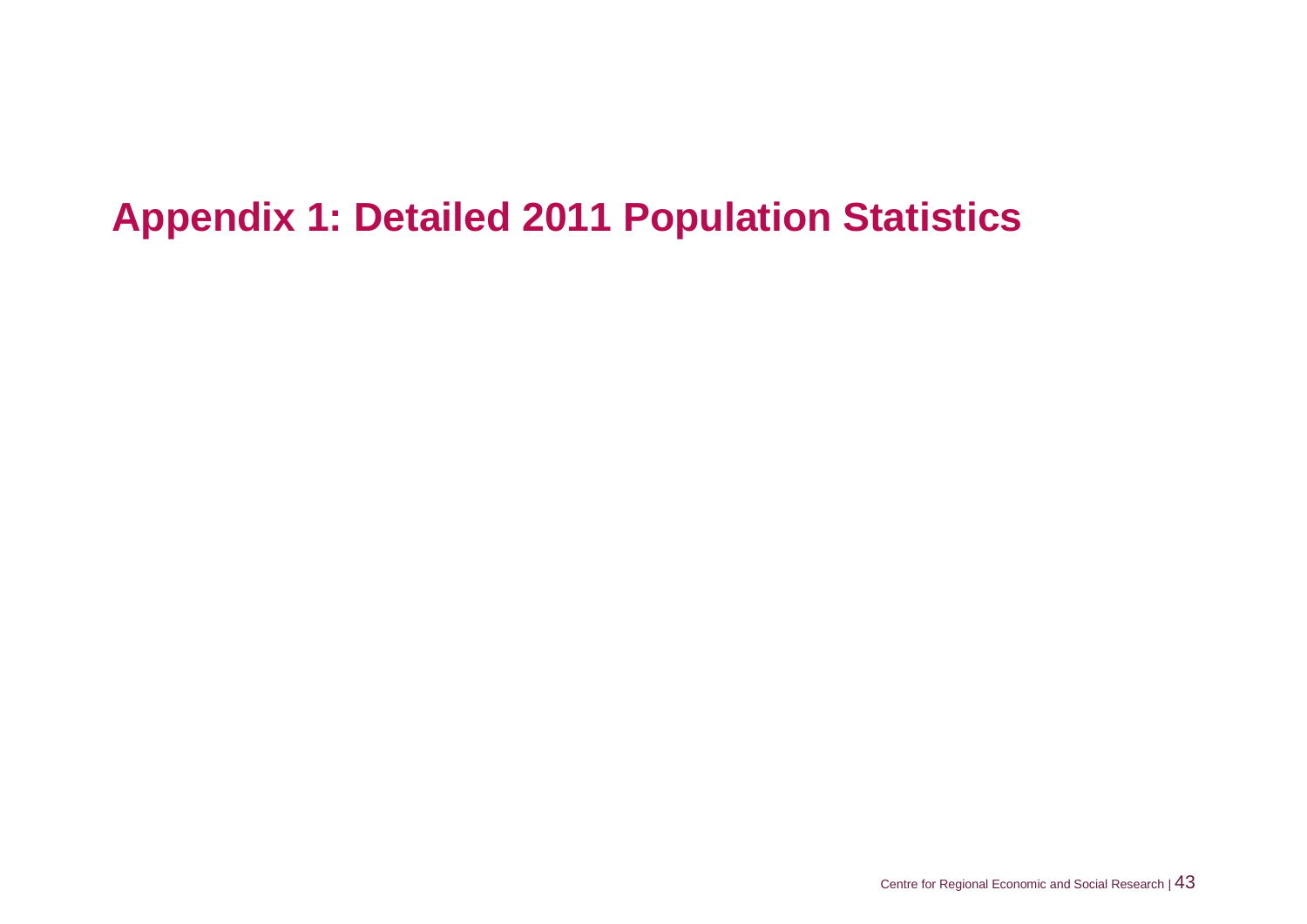# <span id="page-49-0"></span>**Appendix 1: Detailed 2011 Population Statistics**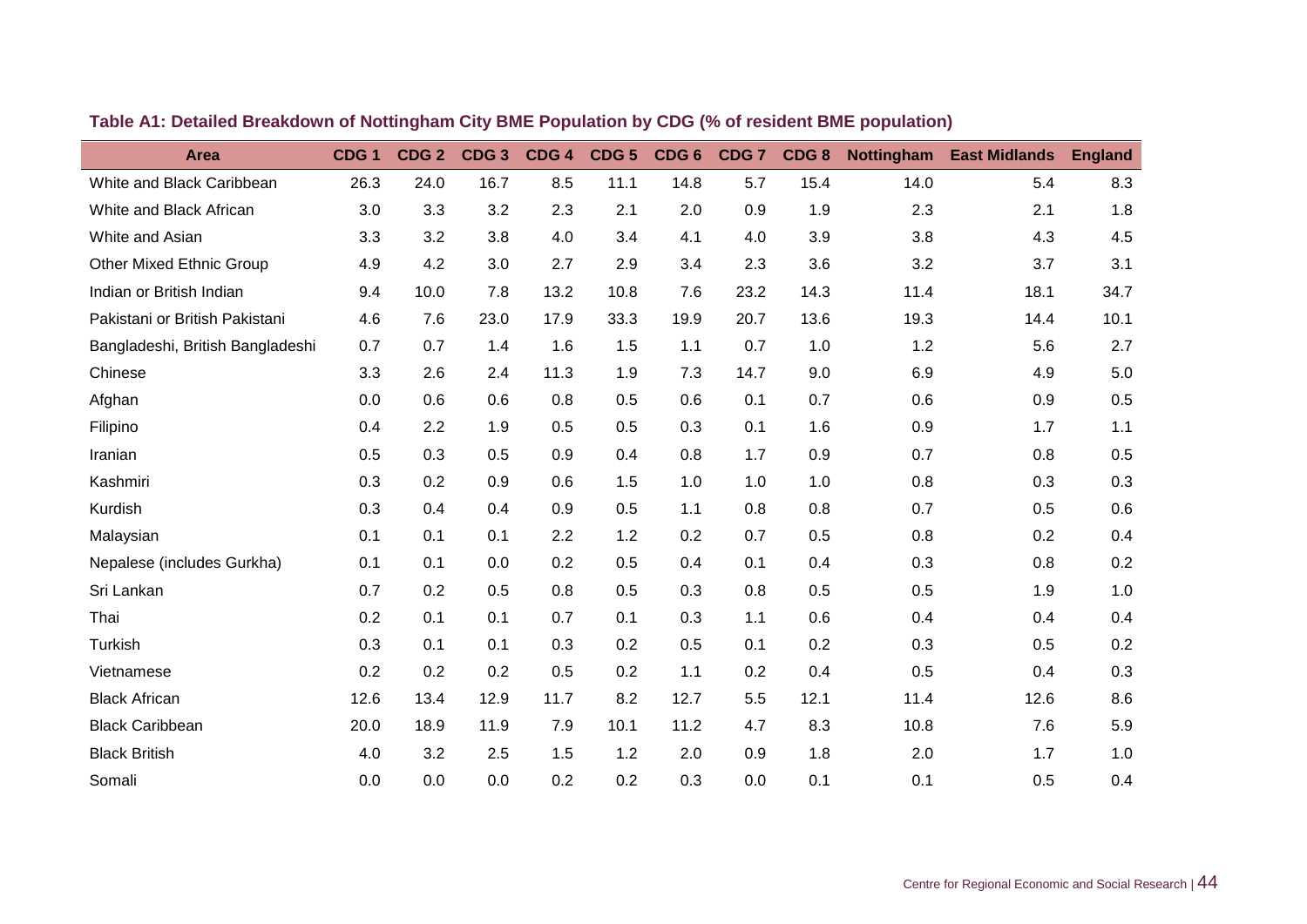| <b>Area</b>                      | CDG <sub>1</sub> | CDG <sub>2</sub> | CDG <sub>3</sub> | CDG <sub>4</sub> | CDG <sub>5</sub> | CDG <sub>6</sub> | CDG <sub>7</sub> | CDG8 | <b>Nottingham</b> | <b>East Midlands</b> | <b>England</b> |
|----------------------------------|------------------|------------------|------------------|------------------|------------------|------------------|------------------|------|-------------------|----------------------|----------------|
| White and Black Caribbean        | 26.3             | 24.0             | 16.7             | 8.5              | 11.1             | 14.8             | 5.7              | 15.4 | 14.0              | 5.4                  | 8.3            |
| White and Black African          | 3.0              | 3.3              | 3.2              | 2.3              | 2.1              | 2.0              | 0.9              | 1.9  | 2.3               | 2.1                  | 1.8            |
| White and Asian                  | 3.3              | 3.2              | 3.8              | 4.0              | 3.4              | 4.1              | 4.0              | 3.9  | 3.8               | 4.3                  | 4.5            |
| <b>Other Mixed Ethnic Group</b>  | 4.9              | 4.2              | 3.0              | 2.7              | 2.9              | 3.4              | 2.3              | 3.6  | 3.2               | 3.7                  | 3.1            |
| Indian or British Indian         | 9.4              | 10.0             | 7.8              | 13.2             | 10.8             | 7.6              | 23.2             | 14.3 | 11.4              | 18.1                 | 34.7           |
| Pakistani or British Pakistani   | 4.6              | 7.6              | 23.0             | 17.9             | 33.3             | 19.9             | 20.7             | 13.6 | 19.3              | 14.4                 | 10.1           |
| Bangladeshi, British Bangladeshi | 0.7              | 0.7              | 1.4              | 1.6              | 1.5              | 1.1              | 0.7              | 1.0  | 1.2               | 5.6                  | 2.7            |
| Chinese                          | 3.3              | 2.6              | 2.4              | 11.3             | 1.9              | 7.3              | 14.7             | 9.0  | 6.9               | 4.9                  | 5.0            |
| Afghan                           | 0.0              | 0.6              | 0.6              | 0.8              | 0.5              | 0.6              | 0.1              | 0.7  | 0.6               | 0.9                  | 0.5            |
| Filipino                         | 0.4              | 2.2              | 1.9              | 0.5              | 0.5              | 0.3              | 0.1              | 1.6  | 0.9               | 1.7                  | 1.1            |
| Iranian                          | 0.5              | 0.3              | 0.5              | 0.9              | 0.4              | 0.8              | 1.7              | 0.9  | 0.7               | 0.8                  | 0.5            |
| Kashmiri                         | 0.3              | 0.2              | 0.9              | 0.6              | 1.5              | 1.0              | 1.0              | 1.0  | 0.8               | 0.3                  | 0.3            |
| Kurdish                          | 0.3              | 0.4              | 0.4              | 0.9              | 0.5              | 1.1              | 0.8              | 0.8  | 0.7               | 0.5                  | 0.6            |
| Malaysian                        | 0.1              | 0.1              | 0.1              | 2.2              | 1.2              | 0.2              | 0.7              | 0.5  | 0.8               | 0.2                  | 0.4            |
| Nepalese (includes Gurkha)       | 0.1              | 0.1              | 0.0              | 0.2              | 0.5              | 0.4              | 0.1              | 0.4  | 0.3               | 0.8                  | 0.2            |
| Sri Lankan                       | 0.7              | 0.2              | 0.5              | 0.8              | 0.5              | 0.3              | 0.8              | 0.5  | 0.5               | 1.9                  | 1.0            |
| Thai                             | 0.2              | 0.1              | 0.1              | 0.7              | 0.1              | 0.3              | 1.1              | 0.6  | 0.4               | 0.4                  | 0.4            |
| Turkish                          | 0.3              | 0.1              | 0.1              | 0.3              | 0.2              | 0.5              | 0.1              | 0.2  | 0.3               | 0.5                  | 0.2            |
| Vietnamese                       | 0.2              | 0.2              | 0.2              | 0.5              | 0.2              | 1.1              | 0.2              | 0.4  | 0.5               | 0.4                  | 0.3            |
| <b>Black African</b>             | 12.6             | 13.4             | 12.9             | 11.7             | 8.2              | 12.7             | 5.5              | 12.1 | 11.4              | 12.6                 | 8.6            |
| <b>Black Caribbean</b>           | 20.0             | 18.9             | 11.9             | 7.9              | 10.1             | 11.2             | 4.7              | 8.3  | 10.8              | 7.6                  | 5.9            |
| <b>Black British</b>             | 4.0              | 3.2              | 2.5              | 1.5              | 1.2              | 2.0              | 0.9              | 1.8  | 2.0               | 1.7                  | 1.0            |
| Somali                           | 0.0              | 0.0              | 0.0              | 0.2              | 0.2              | 0.3              | 0.0              | 0.1  | 0.1               | 0.5                  | 0.4            |

## **Table A1: Detailed Breakdown of Nottingham City BME Population by CDG (% of resident BME population)**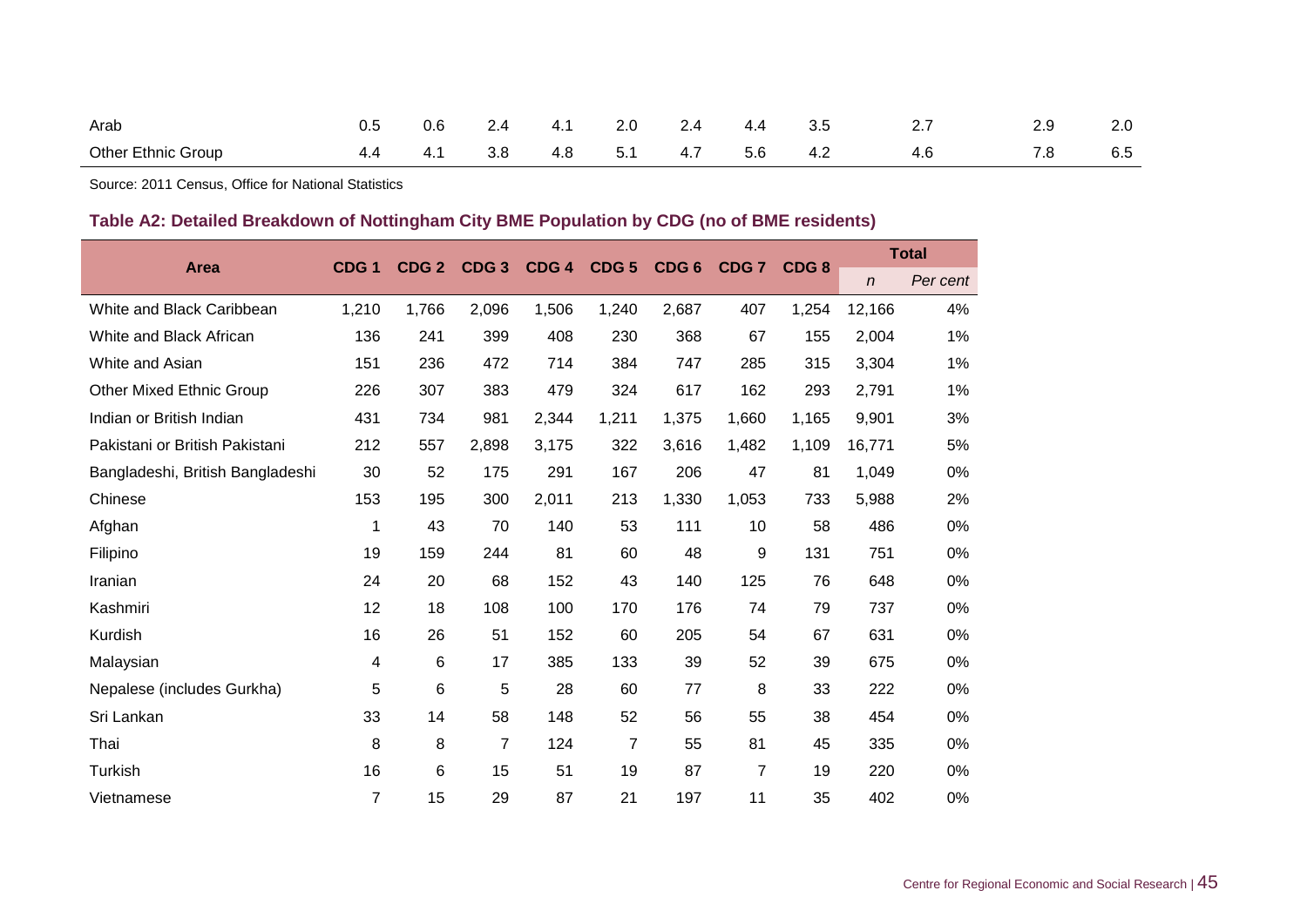| Arab                      | ບ.ບ | 0.6 |     | 4.1 | 2.0 | 4.4 | ა.ხ |          | 2.0 |
|---------------------------|-----|-----|-----|-----|-----|-----|-----|----------|-----|
| <b>Other Ethnic Group</b> |     | 4.1 | 3.8 | 4.8 | 51  | 5.6 | 4.2 | 70<br>.o | 6.5 |

Source: 2011 Census, Office for National Statistics

## **Table A2: Detailed Breakdown of Nottingham City BME Population by CDG (no of BME residents)**

|                                  | CDG <sub>1</sub> | CDG <sub>2</sub> | CDG <sub>3</sub> | CDG <sub>4</sub> | CDG <sub>5</sub> | CDG <sub>6</sub> | CDG <sub>7</sub> | CDG <sub>8</sub> |              | <b>Total</b> |  |
|----------------------------------|------------------|------------------|------------------|------------------|------------------|------------------|------------------|------------------|--------------|--------------|--|
| <b>Area</b>                      |                  |                  |                  |                  |                  |                  |                  |                  | $\mathsf{n}$ | Per cent     |  |
| White and Black Caribbean        | 1,210            | 1,766            | 2,096            | 1,506            | 1,240            | 2,687            | 407              | 1,254            | 12,166       | 4%           |  |
| White and Black African          | 136              | 241              | 399              | 408              | 230              | 368              | 67               | 155              | 2,004        | 1%           |  |
| White and Asian                  | 151              | 236              | 472              | 714              | 384              | 747              | 285              | 315              | 3,304        | 1%           |  |
| <b>Other Mixed Ethnic Group</b>  | 226              | 307              | 383              | 479              | 324              | 617              | 162              | 293              | 2,791        | 1%           |  |
| Indian or British Indian         | 431              | 734              | 981              | 2,344            | 1,211            | 1,375            | 1,660            | 1,165            | 9,901        | 3%           |  |
| Pakistani or British Pakistani   | 212              | 557              | 2,898            | 3,175            | 322              | 3,616            | 1,482            | 1,109            | 16,771       | 5%           |  |
| Bangladeshi, British Bangladeshi | 30               | 52               | 175              | 291              | 167              | 206              | 47               | 81               | 1,049        | 0%           |  |
| Chinese                          | 153              | 195              | 300              | 2,011            | 213              | 1,330            | 1,053            | 733              | 5,988        | 2%           |  |
| Afghan                           | 1                | 43               | 70               | 140              | 53               | 111              | 10               | 58               | 486          | $0\%$        |  |
| Filipino                         | 19               | 159              | 244              | 81               | 60               | 48               | 9                | 131              | 751          | 0%           |  |
| Iranian                          | 24               | 20               | 68               | 152              | 43               | 140              | 125              | 76               | 648          | 0%           |  |
| Kashmiri                         | 12               | 18               | 108              | 100              | 170              | 176              | 74               | 79               | 737          | 0%           |  |
| Kurdish                          | 16               | 26               | 51               | 152              | 60               | 205              | 54               | 67               | 631          | 0%           |  |
| Malaysian                        | 4                | 6                | 17               | 385              | 133              | 39               | 52               | 39               | 675          | 0%           |  |
| Nepalese (includes Gurkha)       | 5                | 6                | 5                | 28               | 60               | 77               | 8                | 33               | 222          | $0\%$        |  |
| Sri Lankan                       | 33               | 14               | 58               | 148              | 52               | 56               | 55               | 38               | 454          | 0%           |  |
| Thai                             | 8                | 8                | $\overline{7}$   | 124              | $\overline{7}$   | 55               | 81               | 45               | 335          | $0\%$        |  |
| Turkish                          | 16               | 6                | 15               | 51               | 19               | 87               | $\overline{7}$   | 19               | 220          | $0\%$        |  |
| Vietnamese                       | 7                | 15               | 29               | 87               | 21               | 197              | 11               | 35               | 402          | 0%           |  |